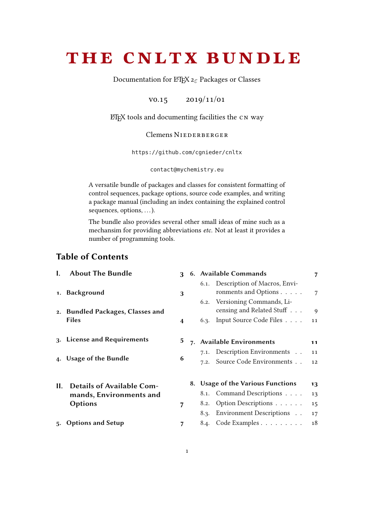# <span id="page-0-0"></span>the cnltx bundle

Documentation for LATEX  $2\varepsilon$  Packages or Classes

v0.15 2019/11/01

ETFX tools and documenting facilities the CN way

# Clemens NIEDERBERGER

<https://github.com/cgnieder/cnltx>

[contact@mychemistry.eu](mailto:contact@mychemistry.eu)

A versatile bundle of packages and classes for consistent formatting of control sequences, package options, source code examples, and writing a package manual (including an index containing the explained control sequences, options, ...).

The bundle also provides several other small ideas of mine such as a mechansim for providing abbreviations etc. Not at least it provides a number of programming tools.

# Table of Contents

|    | <b>About The Bundle</b>          | $\mathbf{R}$ |      | 6. Available Commands                                                                      | 7              |
|----|----------------------------------|--------------|------|--------------------------------------------------------------------------------------------|----------------|
|    | 1. Background                    | 3            |      | 6.1. Description of Macros, Envi-<br>ronments and Options<br>6.2. Versioning Commands, Li- | $\overline{7}$ |
|    | 2. Bundled Packages, Classes and |              |      | censing and Related Stuff $\dots$                                                          | $\mathbf{Q}$   |
|    | <b>Files</b>                     | 4            |      | 6.3. Input Source Code Files                                                               | 11             |
|    | 3. License and Requirements      |              |      | 7. Available Environments                                                                  | 11             |
|    |                                  |              |      | 7.1. Description Environments                                                              | 11             |
|    | 4. Usage of the Bundle           | 6            | 7.2. | Source Code Environments                                                                   | 12             |
|    |                                  |              |      |                                                                                            |                |
| Н. | <b>Details of Available Com-</b> |              |      | 8. Usage of the Various Functions                                                          | 13             |
|    | mands, Environments and          |              |      | 8.1. Command Descriptions                                                                  | 13             |
|    | <b>Options</b>                   | 7            | 8.2. | Option Descriptions                                                                        | 15             |
|    |                                  |              |      | 8.3. Environment Descriptions                                                              | 17             |
|    | 5. Options and Setup             |              |      | 8.4. Code Examples                                                                         | 18             |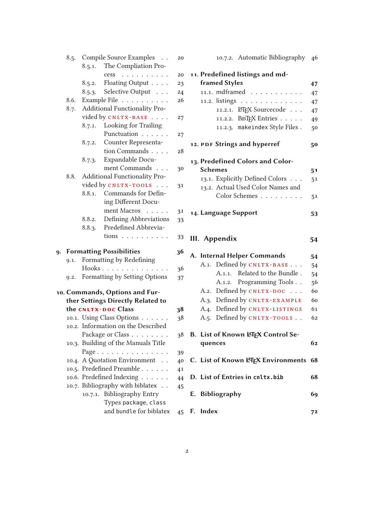|    |      |         | 8.5. Compile Source Examples                                  | 20 |
|----|------|---------|---------------------------------------------------------------|----|
|    |      |         | 8.5.1. The Compliation Pro-                                   |    |
|    |      |         | cess<br>$\mathcal{A}$ , and $\mathcal{A}$ , and $\mathcal{A}$ | 20 |
|    |      | 8.5.2.  | Floating Output                                               | 23 |
|    |      | 8.5.3.  | Selective Output                                              | 24 |
|    | 8.6. |         | Example File                                                  | 26 |
|    | 8.7. |         | Additional Functionality Pro-                                 |    |
|    |      |         | vided by CNLTX-BASE                                           | 27 |
|    |      | 8.7.1.  | Looking for Trailing                                          |    |
|    |      |         | Punctuation                                                   | 27 |
|    |      | 8.7.2.  | Counter Representa-                                           |    |
|    |      |         | tion Commands                                                 | 28 |
|    |      | 8.7.3.  | Expandable Docu-                                              |    |
|    |      |         | ment Commands                                                 | 30 |
|    | 8.8. |         | Additional Functionality Pro-                                 |    |
|    |      |         | vided by CNLTX-TOOLS                                          | 31 |
|    |      | 8.8.1.  | Commands for Defin-                                           |    |
|    |      |         | ing Different Docu-                                           |    |
|    |      |         | ment Macros<br>$\sim$                                         | 31 |
|    |      | 8.8.2.  | Defining Abbreviations                                        | 33 |
|    |      | 8.8.3.  | Predefined Abbrevia-                                          |    |
|    |      |         | tions                                                         | 33 |
| 9. |      |         | <b>Formatting Possibilities</b>                               | 36 |
|    | 9.1. |         | Formatting by Redefining                                      |    |
|    |      |         | Hooks                                                         | 36 |
|    | 9.2. |         | Formatting by Setting Options                                 | 37 |
|    |      |         | 10. Commands, Options and Fur-                                |    |
|    |      |         | ther Settings Directly Related to                             |    |
|    |      |         | the CNLTX-DOC Class                                           | 38 |
|    |      |         | 10.1. Using Class Options                                     | 38 |
|    |      |         | 10.2. Information on the Described                            |    |
|    |      |         | Package or Class                                              | 38 |
|    |      |         | 10.3. Building of the Manuals Title                           |    |
|    |      |         | Page                                                          | 39 |
|    |      |         | 10.4. A Quotation Environment                                 | 40 |
|    |      |         | 10.5. Predefined Preamble                                     | 41 |
|    |      |         | 10.6. Predefined Indexing                                     | 44 |
|    |      |         | 10.7. Bibliography with biblatex                              | 45 |
|    |      | 10.7.1. | <b>Bibliography Entry</b>                                     |    |
|    |      |         | Types package, class                                          |    |
|    |      |         | and bundle for biblatex                                       | 45 |

| 10.7.2. Automatic Bibliography 46         |    |  |
|-------------------------------------------|----|--|
| 11. Predefined listings and md-           |    |  |
| <b>framed Styles</b>                      |    |  |
| 11.1. mdframed                            | 47 |  |
| 11.2. listings                            | 47 |  |
| 11.2.1. LTEX Sourcecode                   | 47 |  |
| 11.2.2. BIBTEX Entries                    | 49 |  |
| 11.2.3. makeindex Style Files.            | 50 |  |
| 12. PDF Strings and hyperref              | 50 |  |
| 13. Predefined Colors and Color-          |    |  |
| <b>Schemes</b>                            | 51 |  |
| 13.1. Explicitly Defined Colors           | 51 |  |
| 13.2. Actual Used Color Names and         |    |  |
| Color Schemes                             | 51 |  |
| 14. Language Support                      | 53 |  |
|                                           |    |  |
| III. Appendix                             | 54 |  |
| A. Internal Helper Commands               | 54 |  |
| A.1. Defined by CNLTX-BASE                | 54 |  |
| A.1.1. Related to the Bundle.             | 54 |  |
| A.1.2. Programming Tools                  | 56 |  |
| A.2. Defined by CNLTX-DOC                 | 60 |  |
| A.3. Defined by CNLTX-EXAMPLE             | 60 |  |
| A.4. Defined by CNLTX-LISTINGS            | 61 |  |
| A.5. Defined by CNLTX-TOOLS               | 62 |  |
| <b>B. List of Known LATFX Control Se-</b> |    |  |
| quences                                   | 62 |  |
| C. List of Known LTEX Environments        | 68 |  |
| D. List of Entries in cnltx.bib           | 68 |  |
| E. Bibliography                           | 69 |  |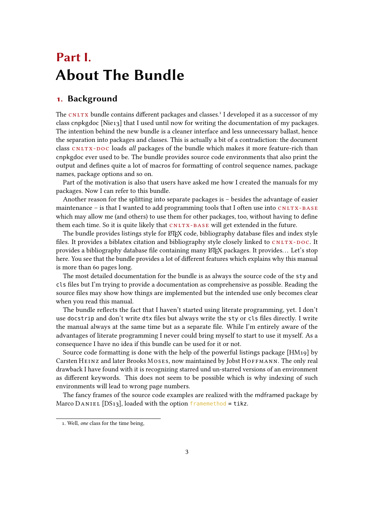# <span id="page-2-0"></span>Part I. About The Bundle

# <span id="page-2-1"></span>1. Background

The  $CNLTX$  bundle contains different packages and classes.<sup>1</sup> I developed it as a successor of my class cnpkgdoc [Nie13] that I used until now for writing the documentation of my packages. The intention behind the new bundle is a cleaner interface and less unnecessary ballast, hence the separation into packages and classes. This is actually a bit of a contradiction: the document class CNLTX-DOC loads all packages of the bundle which makes it more feature-rich than cnpkgdoc ever used to be. The bundle provides source code environments that also print the output and defines quite a lot of macros for formatting of control sequence names, package names, package options and so on.

Part of the motivation is also that users have asked me how I created the manuals for my packages. Now I can refer to this bundle.

Another reason for the splitting into separate packages is – besides the advantage of easier maintenance – is that I wanted to add programming tools that I often use into  $CNITX-BASE$ which may allow me (and others) to use them for other packages, too, without having to define them each time. So it is quite likely that  $CNUTX - BASE$  will get extended in the future.

The bundle provides listings style for  $E_{Tx}$  code, bibliography database files and index style files. It provides a biblatex citation and bibliography style closely linked to  $cn_{\text{LTX-DOC}}$ . It provides a bibliography database file containing many LATEX packages. It provides... Let's stop here. You see that the bundle provides a lot of different features which explains why this manual is more than 60 pages long.

The most detailed documentation for the bundle is as always the source code of the sty and cls les but I'm trying to provide a documentation as comprehensive as possible. Reading the source files may show how things are implemented but the intended use only becomes clear when you read this manual.

The bundle reflects the fact that I haven't started using literate programming, yet. I don't use docstrip and don't write dtx files but always write the sty or cls files directly. I write the manual always at the same time but as a separate file. While I'm entirely aware of the advantages of literate programming I never could bring myself to start to use it myself. As a consequence I have no idea if this bundle can be used for it or not.

Source code formatting is done with the help of the powerful listings package [HM19] by Carsten HEINZ and later Brooks MOSES, now maintained by Jobst HOFFMANN. The only real drawback I have found with it is recognizing starred und un-starred versions of an environment as different keywords. This does not seem to be possible which is why indexing of such environments will lead to wrong page numbers.

The fancy frames of the source code examples are realized with the mdframed package by Marco DANIEL [DS13], loaded with the option framemethod = tikz.

<span id="page-2-2"></span><sup>1.</sup> Well, one class for the time being,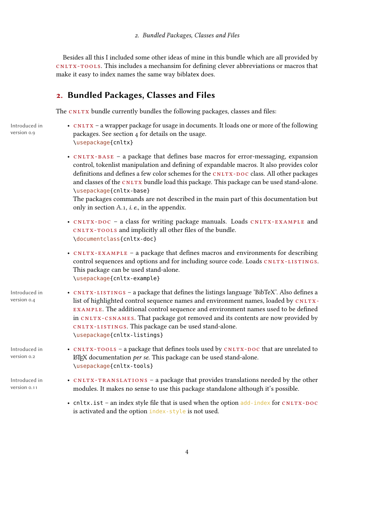Besides all this I included some other ideas of mine in this bundle which are all provided by cnltx -tools. This includes a mechansim for dening clever abbreviations or macros that make it easy to index names the same way biblatex does.

# <span id="page-3-0"></span>2. Bundled Packages, Classes and Files

The CNLTX bundle currently bundles the following packages, classes and files:

Introduced in version 0.9

- CNLTX a wrapper package for usage in documents. It loads one or more of the following packages. See section [4](#page-5-0) for details on the usage. \usepackage{cnltx}
	- CNLTX-BASE a package that defines base macros for error-messaging, expansion control, tokenlist manipulation and defining of expandable macros. It also provides color definitions and defines a few color schemes for the CNLTX-DOC class. All other packages and classes of the CNLTX bundle load this package. This package can be used stand-alone. \usepackage{cnltx-base}

The packages commands are not described in the main part of this documentation but only in section [A.1,](#page-53-2) i. e., in the appendix.

- CNLTX-DOC a class for writing package manuals. Loads CNLTX-EXAMPLE and CNLTX-TOOLS and implicitly all other files of the bundle. \documentclass{cnltx-doc}
- CNLTX-EXAMPLE a package that defines macros and environments for describing control sequences and options and for including source code. Loads CNLTX-LISTINGS. This package can be used stand-alone. \usepackage{cnltx-example}
- Introduced in version 0.4 • CNLTX-LISTINGS – a package that defines the listings language 'BibTeX'. Also defines a list of highlighted control sequence names and environment names, loaded by  $CNITX$ example. The additional control sequence and environment names used to be dened in cnltx -csnames. That package got removed and its contents are now provided by cnltx -l ist ings. This package can be used stand-alone. \usepackage{cnltx-listings}

<sup>L</sup>ATEX documentation per se. This package can be used stand-alone.

\usepackage{cnltx-tools}

Introduced in version 0.2

Introduced in • version 0.11

• CNLTX-TRANSLATIONS – a package that provides translations needed by the other modules. It makes no sense to use this package standalone although it's possible.

• CNLTX-TOOLS – a package that defines tools used by CNLTX-DOC that are unrelated to

• cnltx. ist – an index style file that is used when the option  $add$ -index for CNLTX-DOC is activated and the option index-style is not used.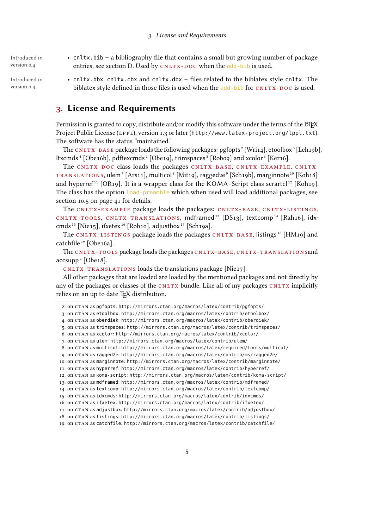Introduced in version 0.4

Introduced in version 0.4

- cnltx.bib a bibliography file that contains a small but growing number of package entries, see section [D.](#page-67-1) Used by CNLTX-DOC when the add-bib is used.
- cnltx.bbx, cnltx.cbx and cnltx.dbx files related to the biblatex style cnltx. The biblatex style defined in those files is used when the add-bib for  $\text{cntry-}$  -poc is used.

# <span id="page-4-0"></span>3. License and Requirements

Permission is granted to copy, distribute and/or modify this software under the terms of the ETEX Project Public License (LPPL), version 1.3 or later (<http://www.latex-project.org/lppl.txt>). The software has the status "maintained."

The CNLTX-BASE package loads the following packages: pgfopts<sup>[2](#page-4-1)</sup> [Wri14], etoolbox<sup>[3](#page-4-2)</sup> [Leh19b], ltxcmds<sup>[4](#page-0-0)</sup> [Obe16b], pdftexcmds<sup>4</sup> [Obe19], trimspaces<sup>[5](#page-4-4)</sup> [Robo9] and xcolor<sup>[6](#page-4-5)</sup> [Ker16].

The CNLTX-DOC class loads the packages CNLTX-BASE, CNLTX-EXAMPLE, CNLTX-TRANSLATIONS, ulem<sup>[7](#page-4-6)</sup> [Ars11], multicol<sup>[8](#page-4-7)</sup> [Mit1[9](#page-4-8)], ragged2e<sup>9</sup> [Sch19b], marginnote<sup>[10](#page-4-9)</sup> [Koh18] and hyperref<sup>[11](#page-4-10)</sup> [OR19]. It is a wrapper class for the KOMA-Script class scrartcl<sup>[12](#page-4-11)</sup> [Koh19]. The class has the option load-preamble which when used will load additional packages, see section [10.5 on page 41](#page-40-0) for details.

The CNLTX-EXAMPLE package loads the packages: CNLTX-BASE, CNLTX-LISTINGS, cNLTX-TOOLS, CNLTX-TRANSLATIONS, mdframed<sup>[13](#page-4-12)</sup> [DS13], textcomp<sup>[14](#page-4-13)</sup> [Rah16], idx-cmds<sup>[15](#page-4-14)</sup> [Nie15], ifxetex<sup>[16](#page-4-15)</sup> [Rob10], adjustbox<sup>[17](#page-4-16)</sup> [Sch19a].

The CNLTX-LISTINGS package loads the packages CNLTX-BASE, listings<sup>[18](#page-4-17)</sup> [HM19] and catchfile<sup>[19](#page-4-18)</sup> [Obe16a].

The CNLTX-TOOLS package loads the packages CNLTX-BASE, CNLTX-TRANSLATIONSand  $accsupp<sup>4</sup>$  $accsupp<sup>4</sup>$  $accsupp<sup>4</sup>$  [Obe18].

 $cn_{\text{LTX-TRANSLATIONS}$  loads the translations package [Nie17].

All other packages that are loaded are loaded by the mentioned packages and not directly by any of the packages or classes of the  $CNITX$  bundle. Like all of my packages  $CNITX$  implicitly relies on an up to date TFX distribution.

```
2. on CTAN as pgfopts: http://mirrors.ctan.org/macros/latex/contrib/pgfopts/
3. on CTAN as etoolbox: http://mirrors.ctan.org/macros/latex/contrib/etoolbox/
4. on CTAN as oberdiek: http://mirrors.ctan.org/macros/latex/contrib/oberdiek/
 5. on CTAN as trimspaces: http://mirrors.ctan.org/macros/latex/contrib/trimspaces/
6. on CTAN as xcolor: http://mirrors.ctan.org/macros/latex/contrib/xcolor/
 7. on CTAN as ulem: http://mirrors.ctan.org/macros/latex/contrib/ulem/
8. on CTAN as multicol: http://mirrors.ctan.org/macros/latex/required/tools/multicol/
9. on CTAN as ragged2e: http://mirrors.ctan.org/macros/latex/contrib/ms/ragged2e/
10. on CTAN as marginnote: http://mirrors.ctan.org/macros/latex/contrib/marginnote/
11. on CTAN as hyperref: http://mirrors.ctan.org/macros/latex/contrib/hyperref/
12. on CTAN as koma-script: http://mirrors.ctan.org/macros/latex/contrib/koma-script/
13. on CTAN as mdframed: http://mirrors.ctan.org/macros/latex/contrib/mdframed/
14. on CTAN as textcomp: http://mirrors.ctan.org/macros/latex/contrib/textcomp/
15. on CTAN as idxcmds: http://mirrors.ctan.org/macros/latex/contrib/idxcmds/
16. on CTAN as ifxetex: http://mirrors.ctan.org/macros/latex/contrib/ifxetex/
17. on CTAN as adjustbox: http://mirrors.ctan.org/macros/latex/contrib/adjustbox/
18. on CTAN as listings: http://mirrors.ctan.org/macros/latex/contrib/listings/
19. on CTAN as catchfile: http://mirrors.ctan.org/macros/latex/contrib/catchfile/
```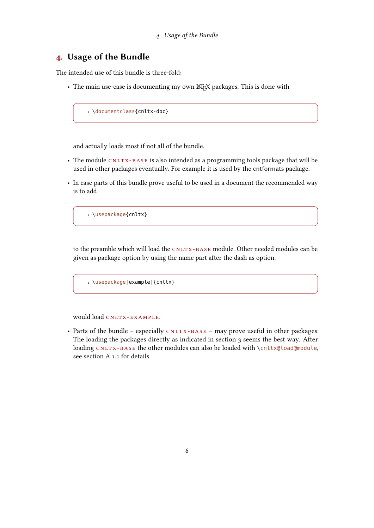# <span id="page-5-0"></span>4. Usage of the Bundle

The intended use of this bundle is three-fold:

• The main use-case is documenting my own LATEX packages. This is done with

1 \documentclass{cnltx-doc}

and actually loads most if not all of the bundle.

- The module CNLTX-BASE is also intended as a programming tools package that will be used in other packages eventually. For example it is used by the cntformats package.
- In case parts of this bundle prove useful to be used in a document the recommended way is to add

1 \usepackage{cnltx}

to the preamble which will load the CNLTX-BASE module. Other needed modules can be given as package option by using the name part after the dash as option.

1 \usepackage[example]{cnltx}

would load CNLTX-EXAMPLE.

• Parts of the bundle – especially  $CNLTX-BASE$  – may prove useful in other packages. The loading the packages directly as indicated in section [3](#page-4-0) seems the best way. After loading CNLTX-BASE the other modules can also be loaded with \cnltx@load@module, see section [A.1.1](#page-53-3) for details.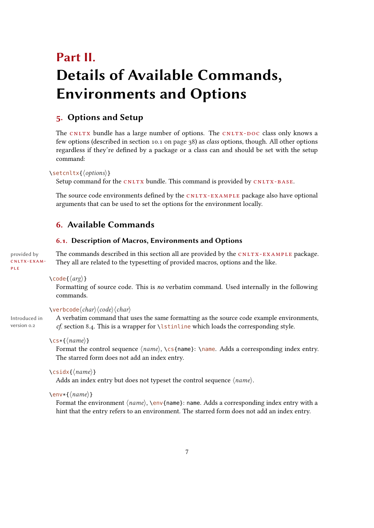# <span id="page-6-0"></span>Part II. Details of Available Commands, Environments and Options

# <span id="page-6-1"></span>5. Options and Setup

The CNLTX bundle has a large number of options. The CNLTX-DOC class only knows a few options (described in section [10.1 on page 38\)](#page-37-1) as class options, though. All other options regardless if they're defined by a package or a class can and should be set with the setup command:

#### $\setminus$ setcnltx{ $\langle options \rangle$ }

Setup command for the  $CNLTX$  bundle. This command is provided by  $CNLTX-BASE$ .

The source code environments defined by the  $CNLY-EXAMPLE$  package also have optional arguments that can be used to set the options for the environment locally.

# <span id="page-6-2"></span>6. Available Commands

#### <span id="page-6-3"></span>6.1. Description of Macros, Environments and Options

cnltx -exam ple

provided by The commands described in this section all are provided by the CNLTX-EXAMPLE package. They all are related to the typesetting of provided macros, options and the like.

#### $\setminus \text{code}(\langle arg \rangle)$

Formatting of source code. This is no verbatim command. Used internally in the following commands.

#### $\vee$ erbcode $\langle char \rangle$  $\langle code \rangle$

Introduced in version 0.2

A verbatim command that uses the same formatting as the source code example environments,

 $\csc{\max}$ 

Format the control sequence  $\langle name \rangle$ , \cs{name}: \name. Adds a corresponding index entry. The starred form does not add an index entry.

cf. section [8.4.](#page-17-0) This is a wrapper for \lstinline which loads the corresponding style.

 $\setminus$ csidx{ $\langle name \rangle$ }

Adds an index entry but does not typeset the control sequence  $\langle name \rangle$ .

#### $\text{max}({name})$

Format the environment  $\langle name \rangle$ ,  $\langle name \rangle$ : name, Adds a corresponding index entry with a hint that the entry refers to an environment. The starred form does not add an index entry.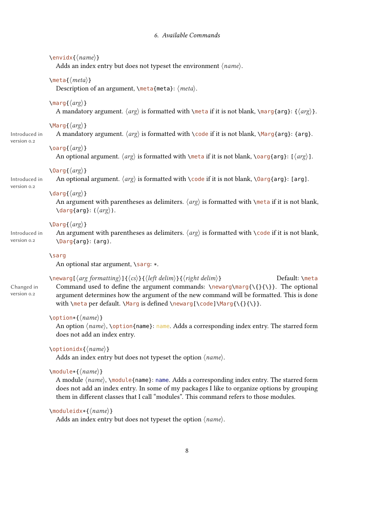#### 6. Available Commands

#### $\text{\\langle} \langle name \rangle$

Adds an index entry but does not typeset the environment  $\langle name \rangle$ .

#### $\mathcal{h}$  (*meta*) }

Description of an argument,  $\mathcal{S}$  = {meta}:  $\mathcal{S}$  meta}.

#### $\langle \text{arg}\{\langle \text{arg}\rangle\}$

A mandatory argument.  $\langle arg \rangle$  is formatted with \meta if it is not blank, \marg{arg}: { $\langle arg \rangle$ }.

#### $\langle \text{Arg}\{\langle \text{arg}\rangle\}$

Introduced in version 0.2

version 0.2

# $\langle \text{arg}\rangle$ }

An optional argument.  $\langle arg \rangle$  is formatted with \meta if it is not blank, \oarg{arg}: [ $\langle arg \rangle$ ].

A mandatory argument.  $\langle arg \rangle$  is formatted with \code if it is not blank, \Marg{arg}: {arg}.

#### $\langle \text{Arg}\{\langle \text{arg}\rangle\}$

Introduced in An optional argument.  $\langle arg \rangle$  is formatted with \code if it is not blank, \0arg{arg}: [arg].

#### \darg $\{\langle arg \rangle\}$

An argument with parentheses as delimiters.  $\langle arg \rangle$  is formatted with \meta if it is not blank,  $\langle \text{drag}\} : (\langle \text{arg}\rangle).$ 

#### $\langle \text{Darg}(\langle \text{arg} \rangle)$

Introduced in version  $0.2$ 

An argument with parentheses as delimiters.  $\langle arg \rangle$  is formatted with  $\Diamond$ code if it is not blank, \Darg{arg}: (arg).

#### \sarg

An optional star argument,  $\simeq$  \*.

Changed in version 0.2

 $\emptyset$ \newarg[ $\langle arg formatting \rangle$ ]{ $\langle cs \rangle$ }{ $\langle left\ delim \rangle$ }{ $\langle right\ delim \rangle$ } Default: \meta Command used to define the argument commands:  $\newcommand{\S}{\{\}}$ . The optional argument determines how the argument of the new command will be formatted. This is done with  $\meta per default. \Marg is defined \newcommand{\cd}{{\cdots},\n}\newcommand{\cd}{{\cdots},\n}$ 

#### $\to\{ \langle name \rangle \}$

An option  $\langle name \rangle$ ,  $\{option{name}\}$ : name. Adds a corresponding index entry. The starred form does not add an index entry.

### $\to$  \optionidx{ $\langle name \rangle$ }

Adds an index entry but does not typeset the option  $\langle name \rangle$ .

#### $\mathcal{h}(\mathit{name})$

A module  $\langle name \rangle$ ,  $\langle name \rangle$ : name]: name. Adds a corresponding index entry. The starred form does not add an index entry. In some of my packages I like to organize options by grouping them in different classes that I call "modules". This command refers to those modules.

#### $\mathcal{L}$  \moduleidx\*{ $\langle name \rangle$ }

Adds an index entry but does not typeset the option  $\langle name \rangle$ .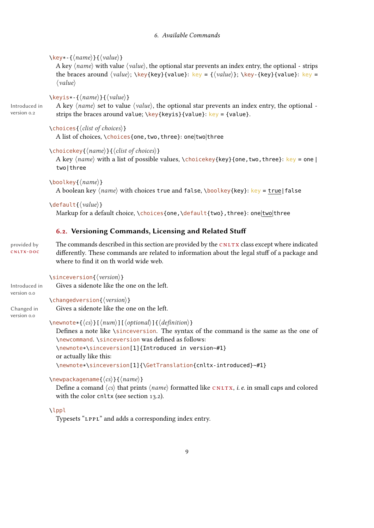#### 6. Available Commands

```
\kappakey*-{\langle name \rangle}{\langle value \rangle}
```
A key  $\langle name \rangle$  with value  $\langle value \rangle$ , the optional star prevents an index entry, the optional - strips the braces around  $\langle value \rangle$ ;  $\key{\{key\}}$  [value]: key = { $\langle value \rangle$ };  $\key$ -{key}{value}: key =  $\langle value \rangle$ 

 $\{kevis*-\{\langle name\rangle\}\}\$ 

Introduced in version 0.2

A key  $\langle name \rangle$  set to value  $\langle value \rangle$ , the optional star prevents an index entry, the optional strips the braces around value;  $\key{\key{\text{key}\}}$  value}:  $key = \{value\}$ .

 $\left\{ \text{chocies}\right\}$  (clist of choices) }

A list of choices, \choices{one,two,three}: one|two|three

 $\langle$ choicekey{ $\langle name \rangle$ }{ $\langle$ clist of choices}}

A key  $\langle name \rangle$  with a list of possible values,  $\langle hence \rangle$ {key}{one, two, three}: key = one | two|three

```
\boldsymbol{\delta}\boolkey{\langle name \rangle}
```
A boolean key  $\langle name \rangle$  with choices true and false, \boolkey{key}: key = true|false

```
\delta \default{\langle value \rangle}
```
Markup for a default choice, \choices{one, \default{two}, three}: one|two|three

# <span id="page-8-0"></span>6.2. Versioning Commands, Licensing and Related Stu

cnltx -doc

provided by The commands described in this section are provided by the CNLTX class except where indicated differently. These commands are related to information about the legal stuff of a package and where to find it on th world wide web.

\sinceversion{ $\langle version \rangle$ }

 $\{\n \text{changedversion}\}$ 

Gives a sidenote like the one on the left.

version 0.0

Introduced in

Changed in version 0.0 Gives a sidenote like the one on the left.

 $\emptyset$ newnote\*{ $\langle cs \rangle$ }[ $\langle num \rangle$ ][ $\langle optimal \rangle$ ]{ $\langle definition \rangle$ }

Defines a note like  $\sin c$  events on. The syntax of the command is the same as the one of \newcommand. \sinceversion was defined as follows: \newnote\*\sinceversion[1]{Introduced in version~#1} or actually like this: \newnote\*\sinceversion[1]{\GetTranslation{cnltx-introduced}~#1}

 $\newpace{1}{\n| {\hbox{newpackage} {\hbox{if} ({\hbox{name}})}}$ 

Define a comand  $\langle cs \rangle$  that prints  $\langle name \rangle$  formatted like CNLTX, *i. e.* in small caps and colored with the color cnltx (see section [13.2\)](#page-50-2).

\lppl

Typesets "LPPL" and adds a corresponding index entry.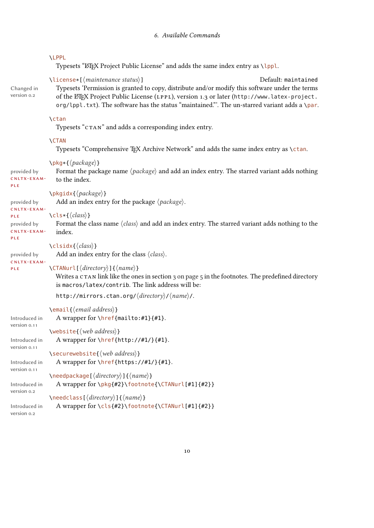#### \LPPL

Typesets "LATEX Project Public License" and adds the same index entry as \lppl.

Changed in version 0.2

\license\*[/maintenance status\] Default: maintained Typesets 'Permission is granted to copy, distribute and/or modify this software under the terms of the LATEX Project Public License (LPPL), version 1.3 or later ([http://www.latex-project.](http://www.latex-project.org/lppl.txt) [org/lppl.txt](http://www.latex-project.org/lppl.txt)). The software has the status "maintained."'. The un-starred variant adds a \par.

#### \ctan

Typesets "CTAN" and adds a corresponding index entry.

#### \CTAN

Typesets "Comprehensive T<sub>EX</sub> Archive Network" and adds the same index entry as \ctan.

 $\{package\}$ 

provided by cnltx -exam - Format the package name  $\langle package \rangle$  and add an index entry. The starred variant adds nothing to the index.

#### $\pmb{\rightarrow}$

Add an index entry for the package  $\langle package \rangle$ .

```
provided by
cnltx -exam -
ple
```
ple

ple

 $\left\langle \text{cls*}\right\{ \left\langle \text{class}\right\rangle \right\}$ 

provided by cnltx -exam - Format the class name  $\langle class \rangle$  and add an index entry. The starred variant adds nothing to the index.

# $\clap{\cosh\langle \text{class}\rangle}$

Add an index entry for the class  $\langle class \rangle$ .

provided by cnltx -exam ple

#### $\Upsilon$ TANurl[ $\langle directory \rangle$ ]{ $\langle name \rangle$ }

Writes a CTAN link like the ones in section [3 on page 5](#page-4-0) in the footnotes. The predefined directory is macros/latex/contrib. The link address will be:

http://mirrors.ctan.org/ $\langle \text{directory} \rangle / \langle \text{name} \rangle /$ .

```
\text{lemail}\{ \text{email} \text{ address} \}Introduced in
version 0.11
                  A wrapper for \href{mailto:#1}{#1}.
                \website{\langleweb address\rangle}
Introduced in
version 0.11
                   A wrapper for \href{http://#1/}{#1}.
                \securewebsite{\web address\}
Introduced in
version 0.11
                   A wrapper for \hbar e f{https://#1/}{#1}.
                \langleneedpackage[\langledirectory\rangle]{\langlename\rangle}
Introduced in
version 0.2
                   A wrapper for \pkg{#2}\footnote{\CTANurl[#1]{#2}}
                \langle \needclass[\langle directory)]{\langle name)}
Introduced in
                  A wrapper for \cls{#2}\footnote{\CTANurl[#1]{#2}}
```
version 0.2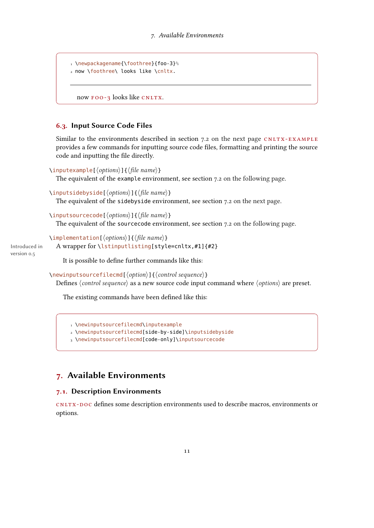```
1 \newpackagename{\foothree}{foo-3}%
2 now \foothree\ looks like \cnltx.
```
now FOO-3 looks like CNLTX.

#### <span id="page-10-0"></span>6.3. Input Source Code Files

Similar to the environments described in section [7.2 on the next page](#page-11-0)  $CNUTX-EXAMPLE$ provides a few commands for inputting source code files, formatting and printing the source code and inputting the file directly.

```
\inputexample[\langle options\rangle]{\langle file name\rangle}
```
The equivalent of the example environment, see section [7.2 on the following page.](#page-11-0)

```
\inputsidebyside[\langle options\rangle]{\langle file name\rangle}
```
The equivalent of the sidebyside environment, see section [7.2 on the next page.](#page-11-0)

#### \inputsourcecode[ $\langle options\rangle$ ]{ $\langle file name\rangle$ }

The equivalent of the sourcecode environment, see section [7.2 on the following page.](#page-11-0)

\implementation[ $\langle options\rangle$ ]{ $\langle file name\rangle$ ]

Introduced in version 0.5

A wrapper for \lstinputlisting[style=cnltx,#1]{#2}

It is possible to define further commands like this:

 $\langle$ newinputsourcefilecmd[ $\langle$ option $\rangle$ ]{ $\langle$ control sequence $\rangle$ }

Defines  $\langle control\ sequence\rangle$  as a new source code input command where  $\langle options\rangle$  are preset.

The existing commands have been defined like this:

1 \newinputsourcefilecmd\inputexample

2 \newinputsourcefilecmd[side-by-side]\inputsidebyside

3 \newinputsourcefilecmd[code-only]\inputsourcecode

# <span id="page-10-1"></span>7. Available Environments

## <span id="page-10-2"></span>7.1. Description Environments

cnltx -doc denes some description environments used to describe macros, environments or options.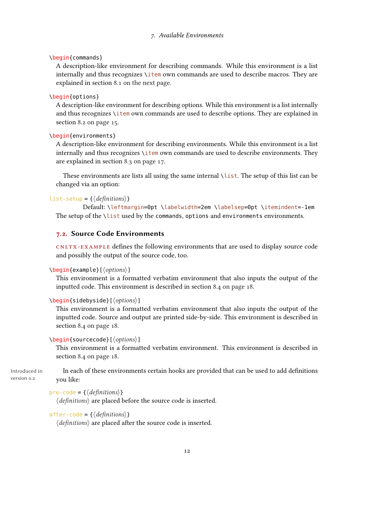\begin{commands}

A description-like environment for describing commands. While this environment is a list internally and thus recognizes \item own commands are used to describe macros. They are explained in section [8.1 on the next page.](#page-12-1)

#### \begin{options}

A description-like environment for describing options. While this environment is a list internally and thus recognizes \item own commands are used to describe options. They are explained in section [8.2 on page 15.](#page-14-0)

\begin{environments}

A description-like environment for describing environments. While this environment is a list internally and thus recognizes \item own commands are used to describe environments. They are explained in section [8.3 on page 17.](#page-16-0)

These environments are lists all using the same internal \list. The setup of this list can be changed via an option:

#### $list-setup = {\langle definitions\rangle}$

Default: \leftmargin=0pt \labelwidth=2em \labelsep=0pt \itemindent=-1em The setup of the \list used by the commands, options and environments environments.

#### <span id="page-11-0"></span>7.2. Source Code Environments

cnltx -example denes the following environments that are used to display source code and possibly the output of the source code, too.

#### $\begin{equation*} \begin{bmatrix} \text{exp}\left\{ \text{exp}\left\{ \text{exp}\left\{ \text{exp}\left\{ \text{exp}\left\{ \text{exp}\left\{ \text{exp}\left\{ \text{exp}\left\{ \text{exp}\left\{ \text{exp}\left\{ \text{exp}\left\{ \text{exp}\left\{ \text{exp}\left\{ \text{exp}\left\{ \text{exp}\left\{ \text{exp}\left\{ \text{exp}\left\{ \text{exp}\left\{ \text{exp}\left\{ \text{exp}\left\{ \text{exp}\left\{ \text{exp}\left\{ \text{exp}\left\{ \text{exp}\left\{ \text{exp}\left\{ \text{exp}\left\$

This environment is a formatted verbatim environment that also inputs the output of the inputted code. This environment is described in section [8.4 on page 18.](#page-17-0)

#### $\begin{bmatrix} \begin{array}{c} \text{b} \\ \text{c} \end{array} \end{bmatrix}$

This environment is a formatted verbatim environment that also inputs the output of the inputted code. Source and output are printed side-by-side. This environment is described in section [8.4 on page 18.](#page-17-0)

#### $\begin{bmatrix} \boldsymbol{\delta} \boldsymbol{\delta} \end{bmatrix}$

This environment is a formatted verbatim environment. This environment is described in section [8.4 on page 18.](#page-17-0)

Introduced in version 0.2 In each of these environments certain hooks are provided that can be used to add definitions you like:

```
pre-code = {\langle definitions}}
```
 $\langle definitions\rangle$  are placed before the source code is inserted.

```
after-code = {\langle definitions}}
```
 $\langle definitions\rangle$  are placed after the source code is inserted.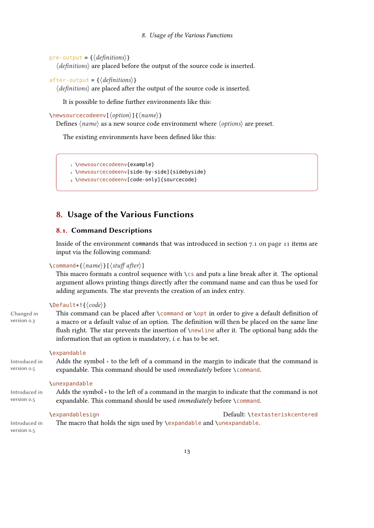```
pre-output = \{\langle definitions\rangle\}
```
 $\langle definitions\rangle$  are placed before the output of the source code is inserted.

```
after-output = \{\langle definitions\rangle\}
```
 $\langle definitions\rangle$  are placed after the output of the source code is inserted.

It is possible to define further environments like this:

 $\newsourcecodeenv[\langle option\rangle]{\langle name\rangle}$ 

Defines  $\langle name \rangle$  as a new source code environment where  $\langle options \rangle$  are preset.

The existing environments have been defined like this:

```
1 \newsourcecodeenv{example}
```

```
2 \newsourcecodeenv[side-by-side]{sidebyside}
```
3 \newsourcecodeenv[code-only]{sourcecode}

# <span id="page-12-0"></span>8. Usage of the Various Functions

### <span id="page-12-1"></span>8.1. Command Descriptions

Inside of the environment commands that was introduced in section [7.1 on page 11](#page-10-2) items are input via the following command:

#### $\text{Command*}{\text{arme}}[s]$

This macro formats a control sequence with  $\zeta$  and puts a line break after it. The optional argument allows printing things directly after the command name and can thus be used for adding arguments. The star prevents the creation of an index entry.

### $\Delta\text{Default}*!{code}$

Changed in version 0.3

This command can be placed after  $\complement$  command or  $\opt$  in order to give a default definition of a macro or a default value of an option. The definition will then be placed on the same line flush right. The star prevents the insertion of \newline after it. The optional bang adds the information that an option is mandatory, i. e. has to be set.

#### \expandable

Introduced in version 0.5 Adds the symbol  $*$  to the left of a command in the margin to indicate that the command is expandable. This command should be used *immediately* before \command.

#### \unexpandable

Introduced in version 0.5 Adds the symbol ∗ to the left of a command in the margin to indicate that the command is not expandable. This command should be used *immediately* before \command.

\expandablesign Default: \textasteriskcentered The macro that holds the sign used by \expandable and \unexpandable.

Introduced in version 0.5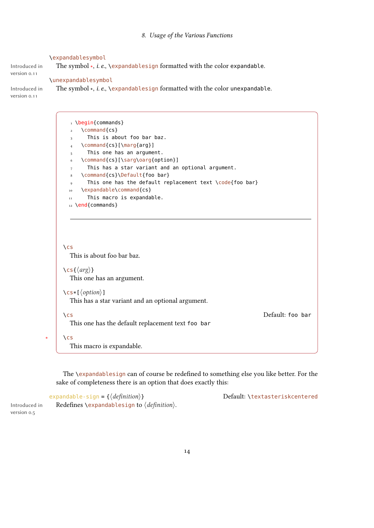#### \expandablesymbol

The symbol \*, *i.e.*, \expandablesign formatted with the color expandable.

#### Introduced in version 0.11

\unexpandablesymbol

The symbol \*, i.e., \expandablesign formatted with the color unexpandable.

Introduced in version 0.11

> 1 \begin{commands}  $2 \qquad \text{Command}$  (cs } 3 This is about foo bar baz. \command{cs}[\marg{arg}] This one has an argument. \command{cs}[\sarg\oarg{option}] This has a star variant and an optional argument. \command{cs}\Default{foo bar} 9 This one has the default replacement text \code{foo bar} 10 \expandable\command{cs} 11 This macro is expandable. 12 \end{commands}

\cs This is about foo bar baz.

\cs{ $\langle arg \rangle$ }

This one has an argument.

```
\csc{\sqrt{option}}
```
This has a star variant and an optional argument.

 $\lambda$  cs

This one has the default replacement text foo bar

\cs Default: foo bar

This macro is expandable.

The \expandablesign can of course be redefined to something else you like better. For the sake of completeness there is an option that does exactly this:

 $expandable-sign = {\langle definition \rangle}$  Default: \textasteriskcentered Redefines \expandablesign to  $\langle definition \rangle$ .

Introduced in version 0.5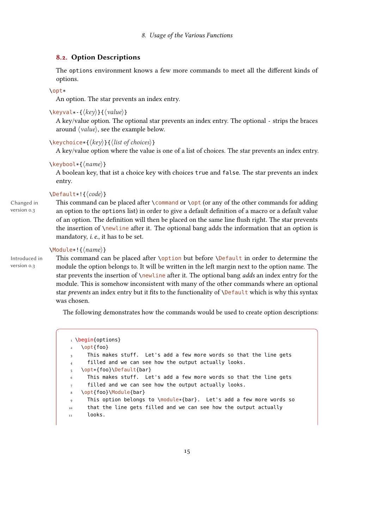#### <span id="page-14-0"></span>8.2. Option Descriptions

The options environment knows a few more commands to meet all the different kinds of options.

#### \opt\*

An option. The star prevents an index entry.

```
\text{keyval} + \{\langle key \rangle\}\{\langle value \rangle\}
```
A key/value option. The optional star prevents an index entry. The optional - strips the braces around  $\langle value \rangle$ , see the example below.

#### $\text{Kevchoice*}$ { $\langle \text{key} \rangle$ }{ $\langle \text{list of choices} \rangle$ }

A key/value option where the value is one of a list of choices. The star prevents an index entry.

#### $\kappa$ (hame)}

A boolean key, that ist a choice key with choices true and false. The star prevents an index entry.

#### $\Delta\text{Default}*! {\langle code \rangle}$

Changed in version 0.3

This command can be placed after \command or \opt (or any of the other commands for adding an option to the options list) in order to give a default definition of a macro or a default value of an option. The definition will then be placed on the same line flush right. The star prevents the insertion of \newline after it. The optional bang adds the information that an option is mandatory, i. e., it has to be set.

#### $\M{Module*!}{\langle name \rangle}$

Introduced in version 0.3

This command can be placed after \option but before \Default in order to determine the module the option belongs to. It will be written in the left margin next to the option name. The star prevents the insertion of \newline after it. The optional bang adds an index entry for the module. This is somehow inconsistent with many of the other commands where an optional star prevents an index entry but it fits to the functionality of *\Default which is why this syntax* was chosen.

The following demonstrates how the commands would be used to create option descriptions:

```
1 \begin{options}
   \opt{foo}
     This makes stuff. Let's add a few more words so that the line gets
     filled and we can see how the output actually looks.
   \opt*{foo}\Default{bar}
     This makes stuff. Let's add a few more words so that the line gets
     filled and we can see how the output actually looks.
   \opt{foo}\Module{bar}
9 This option belongs to \module*{bar}. Let's add a few more words so
10 that the line gets filled and we can see how the output actually
11 looks.
```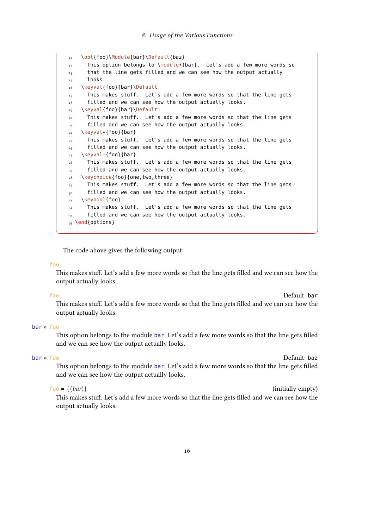```
12 \opt{foo}\Module{bar}\Default{baz}
13 This option belongs to \module*{bar}. Let's add a few more words so
14 that the line gets filled and we can see how the output actually
15 looks.
16 \keyval{foo}{bar}\Default
17 This makes stuff. Let's add a few more words so that the line gets
18 filled and we can see how the output actually looks.
19 \keyval{foo}{bar}\Default!
20 This makes stuff. Let's add a few more words so that the line gets
21 filled and we can see how the output actually looks.
22 \keyval*{foo}{bar}
23 This makes stuff. Let's add a few more words so that the line gets
_{24} filled and we can see how the output actually looks.
25 \keyval-{foo}{bar}
26 This makes stuff. Let's add a few more words so that the line gets
27 filled and we can see how the output actually looks.
28 \keychoice{foo}{one, two, three}
29 This makes stuff. Let's add a few more words so that the line gets
30 filled and we can see how the output actually looks.
31 \keybool{foo}
32 This makes stuff. Let's add a few more words so that the line gets
33 filled and we can see how the output actually looks.
34 \text{end} (options)
```
The code above gives the following output:

#### foo

This makes stuff. Let's add a few more words so that the line gets filled and we can see how the output actually looks.

foo Default: bar This makes stuff. Let's add a few more words so that the line gets filled and we can see how the output actually looks.

#### bar » foo

This option belongs to the module bar. Let's add a few more words so that the line gets filled and we can see how the output actually looks.

#### bar » foo Default: baz

This option belongs to the module bar. Let's add a few more words so that the line gets filled and we can see how the output actually looks.

 $f \circ \sigma = \{ \langle bar \rangle \}$  (initially empty)

This makes stuff. Let's add a few more words so that the line gets filled and we can see how the output actually looks.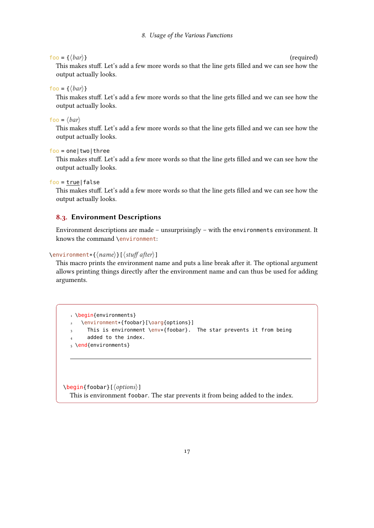#### $foo = \{\langle bar \rangle\}$  (required)

This makes stuff. Let's add a few more words so that the line gets filled and we can see how the output actually looks.

#### foo = { $\langle bar \rangle$ }

This makes stuff. Let's add a few more words so that the line gets filled and we can see how the output actually looks.

### $foo = \langle bar \rangle$

This makes stuff. Let's add a few more words so that the line gets filled and we can see how the output actually looks.

foo = one|two|three

This makes stuff. Let's add a few more words so that the line gets filled and we can see how the output actually looks.

foo = true|false

This makes stuff. Let's add a few more words so that the line gets filled and we can see how the output actually looks.

### <span id="page-16-0"></span>8.3. Environment Descriptions

Environment descriptions are made – unsurprisingly – with the environments environment. It knows the command \environment:

#### $\text{conviromment}({name})[{\text{stuff after}}]$

This macro prints the environment name and puts a line break after it. The optional argument allows printing things directly after the environment name and can thus be used for adding arguments.

```
1 \begin{environments}
2 \environment*{foobar}[\oarg{options}]
     This is environment \env*{foobar}. The star prevents it from being
     added to the index.
5 \end{environments}
```
\begin{foobar}[ $\langle options \rangle$ ] This is environment foobar. The star prevents it from being added to the index.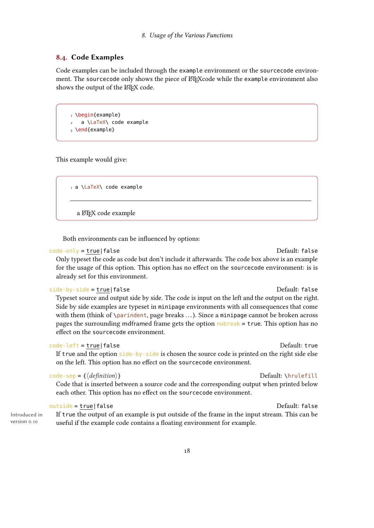### <span id="page-17-0"></span>8.4. Code Examples

Code examples can be included through the example environment or the sourcecode environment. The sourcecode only shows the piece of LATEX code while the example environment also shows the output of the LATEX code.

1 \begin{example} 2 a \LaTeX\ code example  $3 \text{ \textdegree}$ 

This example would give:

1 a \LaTeX\ code example

a LATEX code example

Both environments can be influenced by options:

#### code-only = true|false default: false

Only typeset the code as code but don't include it afterwards. The code box above is an example for the usage of this option. This option has no effect on the sourcecode environment: is is already set for this environment.

#### side-by-side = true|false Default: false

Typeset source and output side by side. The code is input on the left and the output on the right. Side by side examples are typeset in minipage environments with all consequences that come with them (think of \parindent, page breaks ...). Since a minipage cannot be broken across pages the surrounding mdframed frame gets the option nobreak = true. This option has no effect on the sourcecode environment.

#### code-left = true|false default: true code-left = true|false

If true and the option side-by-side is chosen the source code is printed on the right side else on the left. This option has no effect on the sourcecode environment.

### $code-sep = \{\langle definition \rangle\}$

Code that is inserted between a source code and the corresponding output when printed below each other. This option has no effect on the sourcecode environment.

If true the output of an example is put outside of the frame in the input stream. This can be

#### outside = true|false default: false

Introduced in version 0.10

# useful if the example code contains a floating environment for example.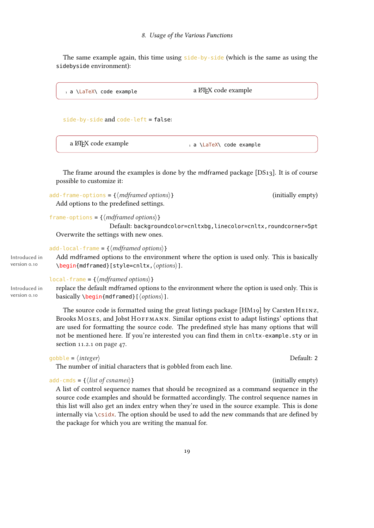The same example again, this time using side-by-side (which is the same as using the sidebyside environment):

```
1 a \LaTeX\ code example a LATEX code example
```
side-by-side and code-left = false:

| a LATEX code example | a \LaTeX\ code example |
|----------------------|------------------------|
|                      |                        |

The frame around the examples is done by the mdframed package [DS13]. It is of course possible to customize it:

add-frame-options =  $\{\langle m\text{d}f\text{ramed options}\rangle\}$  (initially empty) Add options to the predefined settings.

```
frame-options = \{\langle mdframed~options\rangle\}
```
Default: backgroundcolor=cnltxbg,linecolor=cnltx,roundcorner=5pt Overwrite the settings with new ones.

```
add-local-frame = {\{mdframed options\}}
```
Introduced in Add mdframed options to the environment where the option is used only. This is basically  $\begin{equation*} \begin{bmatrix} \text{med} \end{bmatrix} \begin{bmatrix} \text{style=cnltx}, \text{options} \end{bmatrix}. \end{equation*}$ 

 $local-frame = {\{mdramed options\}}$ 

Introduced in replace the default mdframed options to the environment where the option is used only. This is basically  $\begin{cases} \begin{array}{c} \text{obs}(n) \end{array} \end{cases}$ 

> The source code is formatted using the great listings package [HM19] by Carsten HEINZ, Brooks MOSES, and Jobst HOFFMANN. Similar options exist to adapt listings' options that are used for formatting the source code. The predefined style has many options that will not be mentioned here. If you're interested you can find them in cnltx-example.sty or in section [11.2.1 on page 47.](#page-46-3)

```
q_0obble = \langle \text{integer} \rangle Default: 2
```
version 0.10

version 0.10

The number of initial characters that is gobbled from each line.

 $add-cmds = \{\langle list \text{ of } csnames \rangle\}$  (initially empty)

A list of control sequence names that should be recognized as a command sequence in the source code examples and should be formatted accordingly. The control sequence names in this list will also get an index entry when they're used in the source example. This is done internally via  $\csc$ idx. The option should be used to add the new commands that are defined by the package for which you are writing the manual for.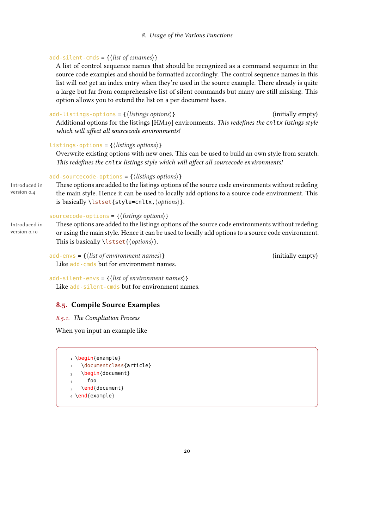#### add-silent-cmds =  $\{\langle list\ of\ csnames\rangle\}$

A list of control sequence names that should be recognized as a command sequence in the source code examples and should be formatted accordingly. The control sequence names in this list will *not* get an index entry when they're used in the source example. There already is quite a large but far from comprehensive list of silent commands but many are still missing. This option allows you to extend the list on a per document basis.

## $add-listings-options = \{\langle listings\; options \rangle\}$  (initially empty) Additional options for the listings [HM19] environments. This redefines the cnltx listings style which will affect all sourcecode environments!

#### listings-options =  ${\langle}$  (listings options)}

Overwrite existing options with new ones. This can be used to build an own style from scratch. This redefines the cnltx listings style which will affect all sourcecode environments!

# add-sourcecode-options = { $\langle$  *listings options* $\rangle$ }

Introduced in version 0.4

These options are added to the listings options of the source code environments without redefing the main style. Hence it can be used to locally add options to a source code environment. This is basically  $\text{listset}$  {style=cnltx,  $\text{ (options)}$  }.

#### sourcecode-options =  ${\langle}$  (listings options) }

Introduced in version 0.10

These options are added to the listings options of the source code environments without redefing or using the main style. Hence it can be used to locally add options to a source code environment. This is basically  $\{\langle options \rangle\}.$ 

 $add-envs = \{\langle list\ of\ environment\ names\rangle\}$  (initially empty) Like add-cmds but for environment names.

add-silent-envs =  $\{\langle list\ of\ environment\ names\rangle\}$ Like add-silent-cmds but for environment names.

# <span id="page-19-0"></span>8.5. Compile Source Examples

#### <span id="page-19-1"></span>8.5.1. The Compliation Process

When you input an example like

```
1 \begin{example}
   \documentclass{article}
   \begin{document}
      4 foo
   5 \end{document}
6 \end{example}
```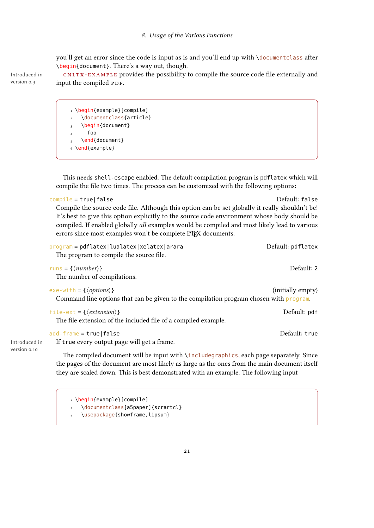you'll get an error since the code is input as is and you'll end up with \documentclass after \begin{document}. There's a way out, though.

Introduced in **cNLTX-EXAMPLE** provides the possibility to compile the source code file externally and input the compiled PDF.

```
1 \begin{example}[compile]
   \documentclass{article}
   \begin{document}
     4 foo
   5 \end{document}
6 \end{example}
```
This needs shell-escape enabled. The default compilation program is pdflatex which will compile the file two times. The process can be customized with the following options:

```
compile = true|false default: false
  Compile the source code file. Although this option can be set globally it really shouldn't be!
  It's best to give this option explicitly to the source code environment whose body should be
  compiled. If enabled globally all examples would be compiled and most likely lead to various
  errors since most examples won't be complete ETFX documents.
```

```
program = pdflatex|lualatex|xelatex|arara Default: pdflatex
 The program to compile the source file.
runs = \{\langle number \rangle\} Default: 2
 The number of compilations.
exe-with = {\langle options \rangle} (initially empty)
 Command line options that can be given to the compilation program chosen with program.
file-ext = \{\langle extension \rangle\}The file extension of the included file of a compiled example.
add-frame = true|false default: true default: true Default: true
 If true every output page will get a frame.
```
The compiled document will be input with \includegraphics, each page separately. Since the pages of the document are most likely as large as the ones from the main document itself they are scaled down. This is best demonstrated with an example. The following input

1 \begin{example}[compile] \documentclass[a5paper]{scrartcl}

\usepackage{showframe,lipsum}

```
version 0.9
```
Introduced in version 0.10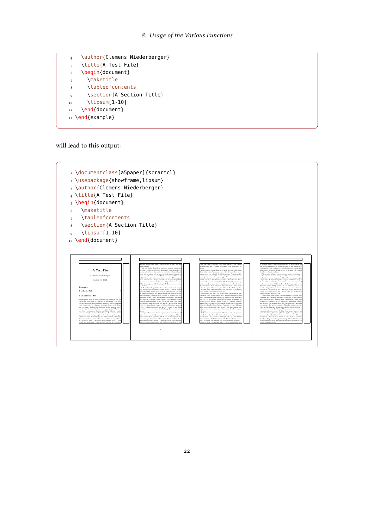```
4 \author{Clemens Niederberger}
5 \title{A Test File}
6 \begin{document}
7 \maketitle
8 \tableofcontents
9 \section{A Section Title}
_{10} \lipsum[1-10]
11 \end{document}
12 \end{example}
```
will lead to this output:

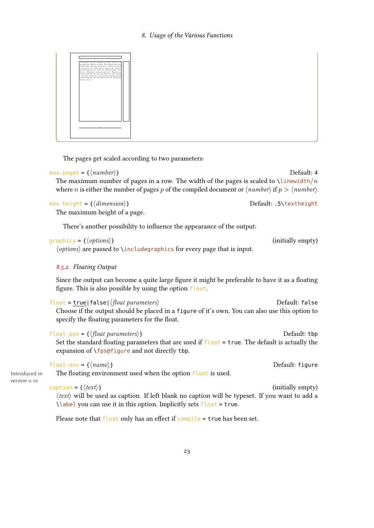

The pages get scaled according to two parameters:

#### $max-pages = {\langle number \rangle}$

The maximum number of pages in a row. The width of the pages is scaled to  $\lambda$  inewidth/n where *n* is either the number of pages *p* of the compiled document or  $\langle number \rangle$  if  $p > \langle number \rangle$ .

 $max\text{-height} = \{\langle dimension \rangle\}$  Default: .5\textheight

The maximum height of a page.

There's another possibility to influence the appearance of the output:

| graphics = { $\langle options \rangle$ } | (initially empty) |
|------------------------------------------|-------------------|
|------------------------------------------|-------------------|

 $\langle options \rangle$  are passed to  $\langle inches \rangle$  includegraphics for every page that is input.

#### <span id="page-22-0"></span>8.5.2. Floating Output

Since the output can become a quite large figure it might be preferable to have it as a floating figure. This is also possible by using the option float.

| float = true   false   $\langle$ float parameters $\rangle$                                                                                      | Default: false |
|--------------------------------------------------------------------------------------------------------------------------------------------------|----------------|
| Choose if the output should be placed in a figure of it's own. You can also use this option to<br>specify the floating parameters for the float. |                |
| float-pos = { $\langle$ float parameters}}                                                                                                       | Default: tbp   |

Set the standard floating parameters that are used if  $f$  loat = true. The default is actually the expansion of \fps@figure and not directly tbp.

|       | float-env = $\{\langle name \rangle\}$                       | Default: figure |
|-------|--------------------------------------------------------------|-----------------|
| ed in | The floating environment used when the option float is used. |                 |

Introduced in version 0.10

### $\text{caption} = \{\langle text \rangle\}$  (initially empty)

 $\langle text \rangle$  will be used as caption. If left blank no caption will be typeset. If you want to add a  $\lambda$ label you can use it in this option. Implicitly sets float = true.

Please note that  $f$  loat only has an effect if compile = true has been set.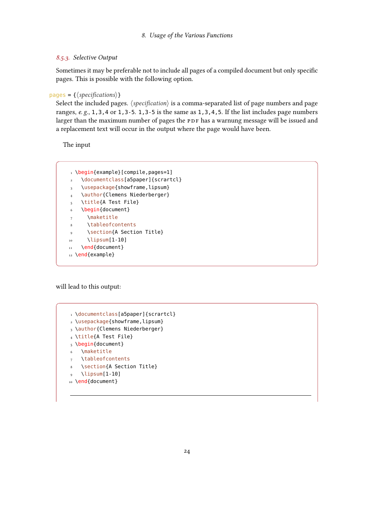#### <span id="page-23-0"></span>8.5.3. Selective Output

Sometimes it may be preferable not to include all pages of a compiled document but only specific pages. This is possible with the following option.

```
pages = \{\langle specifications \rangle\}
```
Select the included pages.  $\langle specification \rangle$  is a comma-separated list of page numbers and page ranges,  $e$ ,  $g$ ,  $1$ ,  $3$ ,  $4$  or  $1$ ,  $3$ - $5$ .  $1$ ,  $3$ - $5$  is the same as  $1$ ,  $3$ ,  $4$ ,  $5$ . If the list includes page numbers larger than the maximum number of pages the PDF has a warnung message will be issued and a replacement text will occur in the output where the page would have been.

The input

```
1 \begin{example}[compile,pages=1]
2 \documentclass[a5paper]{scrartcl}
  \usepackage{showframe,lipsum}
   \author{Clemens Niederberger}
5 \title{A Test File}
6 \begin{document}
7 \maketitle
     \tableofcontents
9 \section{A Section Title}
10 \lipsum[1-10]
11 \end{document}
12 \end{example}
```
will lead to this output:

```
1 \documentclass[a5paper]{scrartcl}
2 \usepackage{showframe,lipsum}
3 \author{Clemens Niederberger}
4 \title{A Test File}
5 \begin{document}
6 \maketitle
   \tableofcontents
  \section{A Section Title}
  \lipsum[1-10]
10 \end{document}
```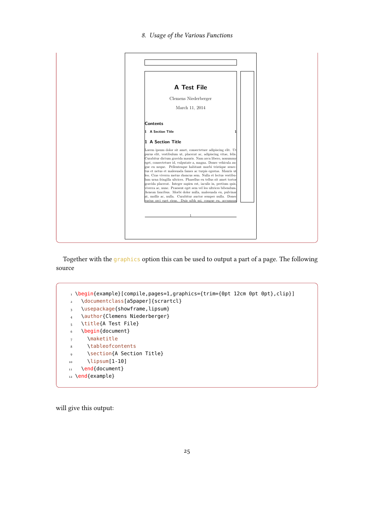

Together with the graphics option this can be used to output a part of a page. The following source

```
1 \begin{example}[compile,pages=1,graphics={trim={0pt 12cm 0pt 0pt},clip}]
2 \documentclass[a5paper]{scrartcl}
3 \usepackage{showframe,lipsum}
4 \author{Clemens Niederberger}
5 \title{A Test File}
6 \begin{document}
7 \maketitle
8 \tableofcontents
9 \section{A Section Title}
_{10} \lipsum[1-10]
11 \end{document}
12 \end{example}
```
will give this output: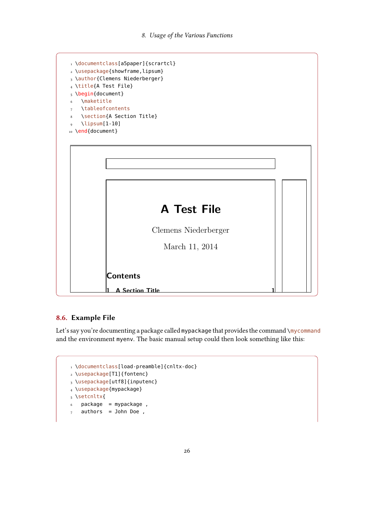

# <span id="page-25-0"></span>8.6. Example File

Let's say you're documenting a package called mypackage that provides the command **\mycommand** and the environment myenv. The basic manual setup could then look something like this:

gue eu necessarie eu neue eu neue al pellentes que habitant morti tristique senec-

```
t_{\text{acc}}1 \documentclass[load-preamble]{cnltx-doc}<br>.\usopackago[I]]{fontonc}
\frac{1}{3} \usepackage[utf8]{inputenc}
\frac{1}{4} \usepackage{mypackage}
        viverra ac, nunc. Praesent eget sem vel leo ultrices bibendum.
\epsilon package = mypackage ,
\sigma_7 authors = John Doe ,
2 \usepackage[T1]{fontenc}
5 \setcnltx{
```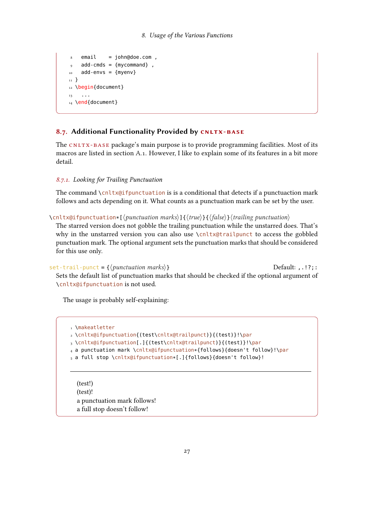```
email = john@doe.com,
9 add-cmds = {mycommand},
_{10} add-envs = {myenv}
11 }
12 \begin{document}
13 ...
14 \end{document}
```
# <span id="page-26-0"></span>8.7. Additional Functionality Provided by CNLTX-BASE

The CNLTX-BASE package's main purpose is to provide programming facilities. Most of its macros are listed in section [A.1.](#page-53-2) However, I like to explain some of its features in a bit more detail.

#### <span id="page-26-1"></span>8.7.1. Looking for Trailing Punctuation

The command  $\chi$ cnltx@ifpunctuation is is a conditional that detects if a punctuaction mark follows and acts depending on it. What counts as a punctuation mark can be set by the user.

\cnltx@ifpunctuation\*[\| punctuation marks\]{\| \true\} {\| \false\ childling punctuation\}

The starred version does not gobble the trailing punctuation while the unstarred does. That's why in the unstarred version you can also use \cnltx@trailpunct to access the gobbled punctuation mark. The optional argument sets the punctuation marks that should be considered for this use only.

```
set-trail-punct = \{\langle punctuation \text{ } marks \rangle\} Default: , .!?;:
  Sets the default list of punctuation marks that should be checked if the optional argument of
  \cnltx@ifpunctuation is not used.
```
The usage is probably self-explaining:

```
1 \makeatletter
2 \cnltx@ifpunctuation{(test\cnltx@trailpunct)}{(test)}!\par
3 \cnltx@ifpunctuation[.]{(test\cnltx@trailpunct)}{(test)}!\par
4 a punctuation mark \cnltx@ifpunctuation*{follows}{doesn't follow}!\par
5 a full stop \cnltx@ifpunctuation*[.]{follows}{doesn't follow}!
```
(test!) (test)! a punctuation mark follows! a full stop doesn't follow!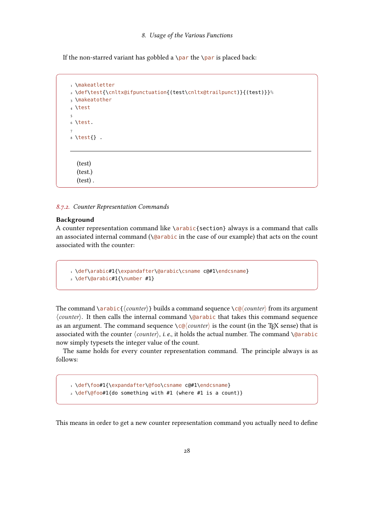If the non-starred variant has gobbled a \par the \par is placed back:

```
1 \makeatletter
2 \def\test{\cnltx@ifpunctuation{(test\cnltx@trailpunct)}{(test)}}%
3 \makeatother
4 \test
5
6 \test.
7
8 \text{ test}.
  (test)
  (test.)
  (test) .
```
#### <span id="page-27-0"></span>8.7.2. Counter Representation Commands

#### Background

A counter representation command like \arabic{section} always is a command that calls an associated internal command  $(\text{qarabic in the case of our example})$  that acts on the count associated with the counter:

```
1 \def\arabic#1{\expandafter\@arabic\csname c@#1\endcsname}
2 \def\@arabic#1{\number #1}
```
The command  $\arctan{\alpha}$  (*counter*) builds a command sequence  $\csc{\alpha}$  from its argument  $\langle counter \rangle$ . It then calls the internal command  $\Diamond$  arabic that takes this command sequence as an argument. The command sequence  $\csc$  counter) is the count (in the TEX sense) that is associated with the counter  $\langle counter \rangle$ , i. e., it holds the actual number. The command \@arabic now simply typesets the integer value of the count.

The same holds for every counter representation command. The principle always is as follows:

1 \def\foo#1{\expandafter\@foo\csname c@#1\endcsname}  $_2 \ \delta$  /def $\langle$ @foo#1{do something with #1 (where #1 is a count)}

This means in order to get a new counter representation command you actually need to define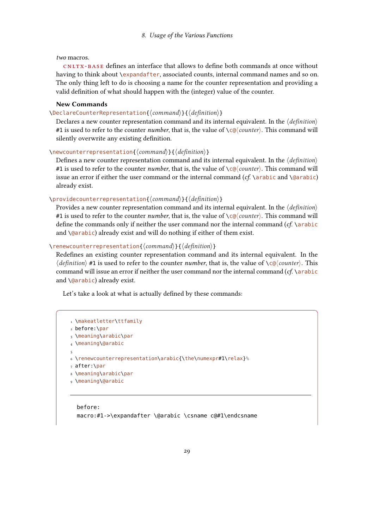two macros.

cnltx -base denes an interface that allows to dene both commands at once without having to think about \expandafter, associated counts, internal command names and so on. The only thing left to do is choosing a name for the counter representation and providing a valid definition of what should happen with the (integer) value of the counter.

#### New Commands

# \DeclareCounterRepresentation{ $\langle command \rangle$ }{ $\langle definition \rangle$ }

Declares a new counter representation command and its internal equivalent. In the  $\langle definition \rangle$ #1 is used to refer to the counter *number*, that is, the value of  $\c{c@} \cong c@$ . This command will silently overwrite any existing definition.

 $\newcounterrepresentation{\langle command \rangle}{\langle definition \rangle}$ 

Defines a new counter representation command and its internal equivalent. In the  $\langle definition \rangle$ #1 is used to refer to the counter *number*, that is, the value of  $\ce{c}(\text{counter})$ . This command will issue an error if either the user command or the internal command  $(cf. \ \bar{c}$  arabic and  $\Diamond$ arabic) already exist.

#### \providecounterrepresentation{ $\langle command \rangle$ }{ $\langle definition \rangle$ }

Provides a new counter representation command and its internal equivalent. In the  $\langle definition \rangle$ #1 is used to refer to the counter *number*, that is, the value of  $\c{Q} \cong CQ$  *counter*). This command will define the commands only if neither the user command nor the internal command  $(cf. \arabla)$ and  $\langle$ @arabic) already exist and will do nothing if either of them exist.

#### \renewcounterrepresentation{ $\langle command \rangle$ }{ $\langle definition \rangle$ }

Redefines an existing counter representation command and its internal equivalent. In the  $\langle definition \rangle$  #1 is used to refer to the counter number, that is, the value of  $\langle c\omega|$  counter). This command will issue an error if neither the user command nor the internal command  $(cf \ \ a$ rabic and \@arabic) already exist.

Let's take a look at what is actually defined by these commands:

```
1 \makeatletter\ttfamily
2 before:\par
3 \meaning\arabic\par
4 \meaning\@arabic
5
6 \renewcounterrepresentation\arabic{\the\numexpr#1\relax}%
7 after:\par
8 \meaning\arabic\par
9 \meaning\@arabic
```

```
before:
macro:#1->\expandafter \@arabic \csname c@#1\endcsname
```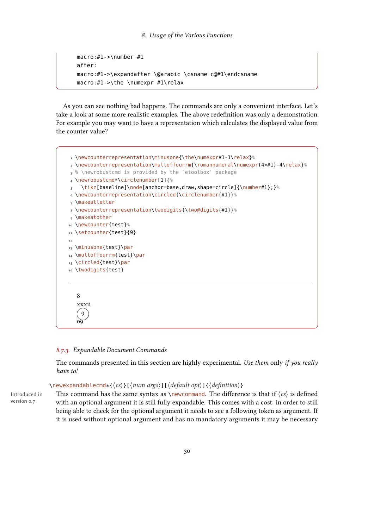```
macro:#1->\number #1
after:
macro:#1->\expandafter \@arabic \csname c@#1\endcsname
macro:#1->\the \numexpr #1\relax
```
As you can see nothing bad happens. The commands are only a convenient interface. Let's take a look at some more realistic examples. The above redenition was only a demonstration. For example you may want to have a representation which calculates the displayed value from the counter value?

```
1 \newcounterrepresentation\minusone{\the\numexpr#1-1\relax}%
2 \newcounterrepresentation\multoffourrm{\romannumeral\numexpr(4*#1)-4\relax}%
3 % \newrobustcmd is provided by the `etoolbox' package
4 \newrobustcmd*\circlenumber[1]{%
    \tikz[baseline]\node[anchor=base,draw,shape=circle]{\number#1};}%
6 \newcounterrepresentation\circled{\circlenumber{#1}}%
7 \makeatletter
8 \newcounterrepresentation\twodigits{\two@digits{#1}}%
9 \makeatother
10 \newcounter{test}%
11 \setcounter{test}{9}
12
13 \minusone{test}\par
14 \multoffourrm{test}\par
15 \circled{test}\par
16 \twodigits{test}
  8
  xxxii
    9
   <u>oğ</u>
```
#### <span id="page-29-0"></span>8.7.3. Expandable Document Commands

The commands presented in this section are highly experimental. Use them only if you really have to!

#### $\langle$ newexpandablecmd\*{ $\langle cs \rangle$ }[ $\langle$ num args $\rangle$ ][ $\langle$ default opt $\rangle$ ]{ $\langle$ definition $\rangle$ }

Introduced in version 0.7

This command has the same syntax as \newcommand. The difference is that if  $\langle cs \rangle$  is defined with an optional argument it is still fully expandable. This comes with a cost: in order to still being able to check for the optional argument it needs to see a following token as argument. If it is used without optional argument and has no mandatory arguments it may be necessary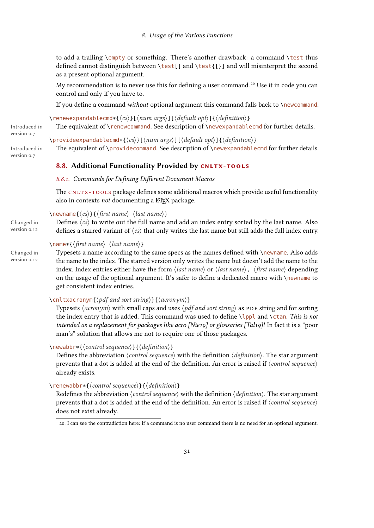to add a trailing \empty or something. There's another drawback: a command \test thus defined cannot distinguish between \test[] and \test{[}] and will misinterpret the second as a present optional argument.

My recommendation is to never use this for defining a user command.<sup>[20](#page-30-2)</sup> Use it in code you can control and only if you have to.

If you define a command without optional argument this command falls back to  $\neq$  new command.

\renewexpandablecmd\*{ $\langle cs \rangle$ }[ $\langle num \, args \rangle$ ][ $\langle default \, opt \rangle$ ]{ $\langle definition \rangle$ }

The equivalent of \renewcommand. See description of \newexpandablecmd for further details.

Introduced in version 0.7

Introduced in version 0.7

\provideexpandablecmd\*{ $\langle cs \rangle$ }[ $\langle num \, args \rangle$ ][ $\langle default \, opt \rangle$ ]{ $\langle definition \rangle$ }

The equivalent of \providecommand. See description of \newexpandablecmd for further details.

# <span id="page-30-0"></span>8.8. Additional Functionality Provided by CNLTX-TOOLS

### <span id="page-30-1"></span>8.8.1. Commands for Defining Different Document Macros

The CNLTX-TOOLS package defines some additional macros which provide useful functionality also in contexts not documenting a ETEX package.

# $\emptyset$ newname $\{\langle cs \rangle\}\{\langle first \ name \rangle \ \langle last \ name \rangle\}$

Changed in Defines  $\langle cs \rangle$  to write out the full name and add an index entry sorted by the last name. Also version 0.12 defines a starred variant of  $\langle cs \rangle$  that only writes the last name but still adds the full index entry.

# $\langle$  hame\*{ $\langle$ first name}  $\langle$  last name}}

Changed in version 0.12 Typesets a name according to the same specs as the names defined with \newname. Also adds the name to the index. The starred version only writes the name but doesn't add the name to the index. Index entries either have the form  $\langle$  last name $\rangle$  or  $\langle$  last name $\rangle$ ,  $\langle$  first name $\rangle$  depending on the usage of the optional argument. It's safer to define a dedicated macro with  $\n\lambda$ newname to get consistent index entries.

# $\{\chi \in \mathbb{R} \mid \langle \phi \rangle \}$  (cnltxacronym $\{ \phi \}$ ) and sort string)  $\{ \langle \phi \rangle \}$

Typesets  $\langle \text{acronym} \rangle$  with small caps and uses  $\langle \text{pdf} \text{ and } \text{sort} \text{ string} \rangle$  as PDF string and for sorting the index entry that is added. This command was used to define  $\lceil \text{ppl} \rceil$  and  $\lceil \text{cl} \rceil$  and  $\lceil \text{ch} \rceil$ intended as a replacement for packages like acro [Nie19] or glossaries [Tal19]! In fact it is a "poor man's" solution that allows me not to require one of those packages.

### $\langle$ newabbr\*{ $\langle$ control sequence}}{ $\langle$ definition}}

Defines the abbreviation  $\langle control\ sequence\rangle$  with the definition  $\langle definition\rangle$ . The star argument prevents that a dot is added at the end of the definition. An error is raised if  $\langle control sequence \rangle$ already exists.

 $\text{Yrenewabbr*}\{\langle control sequence\rangle\}\{\langle definition\rangle\}$ 

Redefines the abbreviation  $\langle$  *control sequence* $\rangle$  with the definition  $\langle$  *definition* $\rangle$ . The star argument prevents that a dot is added at the end of the definition. An error is raised if  $\langle control\ sequence \rangle$ does not exist already.

<span id="page-30-2"></span><sup>20.</sup> I can see the contradiction here: if a command is no user command there is no need for an optional argument.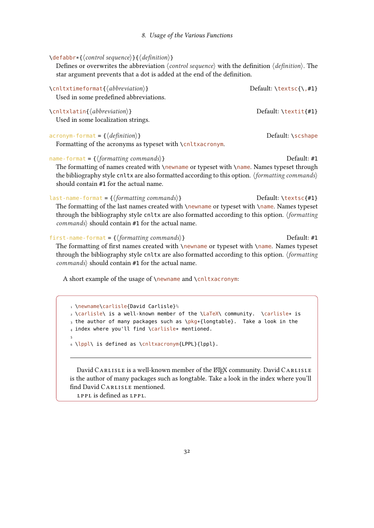#### $\{denb\rightarrow{\}$  (control sequence)  $\{\langle definition \rangle\}$

Defines or overwrites the abbreviation  $\langle$  control sequence $\rangle$  with the definition  $\langle$  definition $\rangle$ . The star argument prevents that a dot is added at the end of the definition.

| \cnltxtimeformat{\abbreviation\}<br>Used in some predefined abbreviations.                                                                                                                                                                                                                                                   | Default: $\textsc{t}, \textsc{1}$ |
|------------------------------------------------------------------------------------------------------------------------------------------------------------------------------------------------------------------------------------------------------------------------------------------------------------------------------|-----------------------------------|
| $\langle$ cnltxlatin{ $\langle$ abbreviation}}<br>Used in some localization strings.                                                                                                                                                                                                                                         | Default: $\text{text{#1}}$        |
| $acronym$ -format = { $\langle definition \rangle$ }<br>Formatting of the acronyms as typeset with \cnltxacronym.                                                                                                                                                                                                            | Default: \scshape                 |
| name-format = $\{\langle$ formatting commands $\rangle\}$<br>The formatting of names created with \newname or typeset with \name. Names typeset through<br>the bibliography style cnltx are also formatted according to this option. <i>(formatting commands)</i><br>should contain #1 for the actual name.                  | Default: #1                       |
| last-name-format = $\{\langle$ formatting commands $\rangle\}$<br>The formatting of the last names created with \newname or typeset with \name. Names typeset<br>through the bibliography style cnltx are also formatted according to this option. <i>(formatting</i> )<br>$commands$ should contain #1 for the actual name. | Default: $\text{textsc}$ {#1}     |
| first-name-format = $\{\langle$ formatting commands $\rangle\}$<br>The formatting of first names created with \newname or typeset with \name. Names typeset<br>through the bibliography style cnltx are also formatted according to this option. (formatting<br>$commands$ should contain #1 for the actual name.            | Default: #1                       |

A short example of the usage of \newname and \cnltxacronym:

1 \newname\carlisle{David Carlisle}% <sup>2</sup> \carlisle\ is a well-known member of the \LaTeX\ community. \carlisle\* is 3 the author of many packages such as \pkg\*{longtable}. Take a look in the <sup>4</sup> index where you'll find \carlisle\* mentioned. 5 6 \lppl\ is defined as \cnltxacronym{LPPL}{lppl}.

David CARLISLE is a well-known member of the LHEX community. David CARLISLE is the author of many packages such as longtable. Take a look in the index where you'll find David CARLISLE mentioned.

LPPL is defined as LPPL.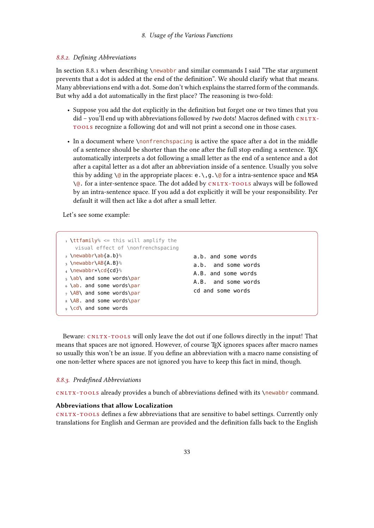#### <span id="page-32-0"></span>8.8.2. Defining Abbreviations

In section [8.8.1](#page-30-1) when describing \newabbr and similar commands I said "The star argument" prevents that a dot is added at the end of the definition". We should clarify what that means. Many abbreviations end with a dot. Some don't which explains the starred form of the commands. But why add a dot automatically in the first place? The reasoning is two-fold:

- Suppose you add the dot explicitly in the definition but forget one or two times that you  $did$  – you'll end up with abbreviations followed by two dots! Macros defined with  $cn_Irx$ tools recognize a following dot and will not print a second one in those cases.
- In a document where \nonfrenchspacing is active the space after a dot in the middle of a sentence should be shorter than the one after the full stop ending a sentence. TFX automatically interprets a dot following a small letter as the end of a sentence and a dot after a capital letter as a dot after an abbreviation inside of a sentence. Usually you solve this by adding  $\Diamond$  in the appropriate places: e.  $\Diamond$ , g.  $\Diamond$  for a intra-sentence space and NSA  $\Diamond$ @. for a inter-sentence space. The dot added by CNLTX-TOOLS always will be followed by an intra-sentence space. If you add a dot explicitly it will be your responsibility. Per default it will then act like a dot after a small letter.

Let's see some example:

```
1 \ttfamily% <= this will amplify the
   visual effect of \nonfrenchspacing
2 \newabbr\ab{a.b}%
3 \newabbr\AB{A.B}%
4 \newabbr*\cd{cd}%
5 \, \delta6 \ab. and some words\par
7 \ \Delta B and some words\par
8 \AB. and some words\par
9 \cd\ and some words
                                        a.b. and some words
                                        a.b. and some words
                                        A.B. and some words
                                        A.B. and some words
                                        cd and some words
```
Beware: CNLTX-TOOLS will only leave the dot out if one follows directly in the input! That means that spaces are not ignored. However, of course T<sub>E</sub>X ignores spaces after macro names so usually this won't be an issue. If you define an abbreviation with a macro name consisting of one non-letter where spaces are not ignored you have to keep this fact in mind, though.

#### <span id="page-32-1"></span>8.8.3. Predefined Abbreviations

CNLTX-TOOLS already provides a bunch of abbreviations defined with its \newabbr command.

#### Abbreviations that allow Localization

CNLTX-TOOLS defines a few abbreviations that are sensitive to babel settings. Currently only translations for English and German are provided and the definition falls back to the English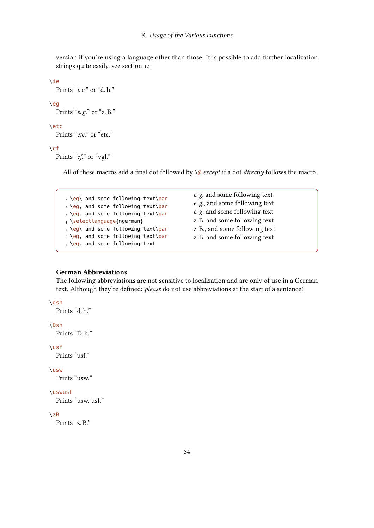version if you're using a language other than those. It is possible to add further localization strings quite easily, see section [14.](#page-52-0)

```
\ie
  Prints "i. e." or "d. h."
\eg
  Prints "e. g." or "z. B."
\etc
  Prints "etc." or "etc."
```
\cf

Prints "cf." or "vgl."

All of these macros add a final dot followed by  $\Diamond$  except if a dot directly follows the macro.

```
1 \eg\ and some following text\par
2 \eg, and some following text\par
3 \eg. and some following text\par
4 \selectlanguage{ngerman}
_5 \geq \eqref{1} and some following text\par
6 \eg, and some following text\par
7 \text{~} \eg. and some following text
```
e. g. and some following text e. g., and some following text e. g. and some following text z. B. and some following text z. B., and some following text z. B. and some following text

### German Abbreviations

The following abbreviations are not sensitive to localization and are only of use in a German text. Although they're defined: please do not use abbreviations at the start of a sentence!

#### \dsh

Prints "d. h."

### \Dsh

Prints "D. h."

#### \usf

Prints "usf."

#### \usw

Prints "usw."

#### \uswusf

Prints "usw. usf."

#### \zB

Prints "z. B."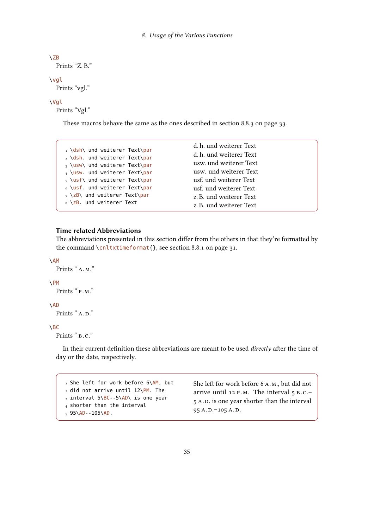```
\ZB
  Prints "Z. B."
\vgl
  Prints "vgl."
```
#### \Vgl

Prints "Vgl."

These macros behave the same as the ones described in section [8.8.3 on page 33.](#page-32-1)

|                                                                | d.h. und weiterer Text  |
|----------------------------------------------------------------|-------------------------|
| 1 \dsh\ und weiterer Text\par<br>2 \dsh. und weiterer Text\par | d. h. und weiterer Text |
| 3 \usw\ und weiterer Text\par                                  | usw. und weiterer Text  |
| 4 \usw. und weiterer Text\par                                  | usw. und weiterer Text  |
| $_5 \text{ }\text{ }\text{ }$ und weiterer Text\par            | usf. und weiterer Text  |
| 6 \usf. und weiterer Text\par                                  | usf. und weiterer Text  |
| $_7$ \zB\ und weiterer Text\par                                | z. B. und weiterer Text |
| $8 \angle$ zB. und weiterer Text                               | z. B. und weiterer Text |

#### Time related Abbreviations

The abbreviations presented in this section differ from the others in that they're formatted by the command \cnltxtimeformat{}, see section [8.8.1 on page 31.](#page-30-1)

### \AM

```
Prints "A.M."
```
# \PM

Prints " P.M."

# \AD

Prints " $A.D.$ "

### $\Delta$ BC

Prints "  $B.C.$ "

In their current definition these abbreviations are meant to be used directly after the time of day or the date, respectively.

1 She left for work before 6\AM, but  $_2$  did not arrive until 12\PM. The  $3$  interval  $5\BE - 5\AD\$  is one year 4 shorter than the interval  $595\$ AD--105 $\$ AD.

She left for work before 6 a.m., but did not arrive until 12 p.m. The interval 5 b.c.– 5 A.D. is one year shorter than the interval  $95 A.D.-105 A.D.$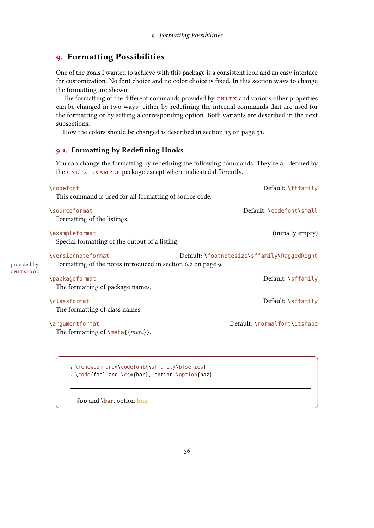# <span id="page-35-0"></span>9. Formatting Possibilities

One of the goals I wanted to achieve with this package is a consistent look and an easy interface for customization. No font choice and no color choice is fixed. In this section ways to change the formatting are shown.

The formatting of the different commands provided by CNLTX and various other properties can be changed in two ways: either by redefining the internal commands that are used for the formatting or by setting a corresponding option. Both variants are described in the next subsections.

How the colors should be changed is described in section [13 on page 51.](#page-50-0)

### <span id="page-35-1"></span>9.1. Formatting by Redefining Hooks

You can change the formatting by redefining the following commands. They're all defined by the CNLTX-EXAMPLE package except where indicated differently.

|             | <b>\codefont</b>                                             | Default: \ttfamily                          |
|-------------|--------------------------------------------------------------|---------------------------------------------|
|             | This command is used for all formatting of source code.      |                                             |
|             | <i><b>\sourceformat</b></i>                                  | Default: \codefont\small                    |
|             | Formatting of the listings.                                  |                                             |
|             | \exampleformat                                               | (initially empty)                           |
|             | Special formatting of the output of a listing.               |                                             |
|             | <i><u><b>Nersionnoteformat</b></u></i>                       | Default: \footnotesize\sffamily\RaggedRight |
| provided by | Formatting of the notes introduced in section 6.2 on page 9. |                                             |
| CNLTX-DOC   | <b>\packageformat</b>                                        | Default: \sffamily                          |
|             | The formatting of package names.                             |                                             |
|             | <b>\classformat</b>                                          | Default: \sffamily                          |
|             | The formatting of class names.                               |                                             |
|             | \argumentformat                                              | Default: \normalfont\itshape                |
|             | The formatting of $\mathcal{meta}(\mathit{meta})$ .          |                                             |
|             |                                                              |                                             |
|             |                                                              |                                             |

<sup>1</sup> \renewcommand\*\codefont{\sffamily\bfseries}

2 \code{foo} and \cs\*{bar}, option \option{baz}

foo and \bar, option baz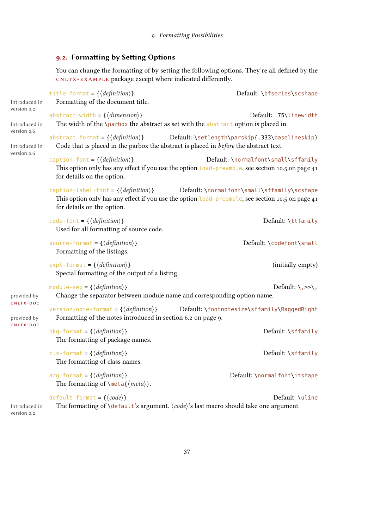# <span id="page-36-0"></span>9.2. Formatting by Setting Options

You can change the formatting of by setting the following options. They're all defined by the CNLTX-EXAMPLE package except where indicated differently.

| Introduced in                | title-format = $\{\langle definition \rangle\}$<br>Formatting of the document title.                                     | Default: \bfseries\scshape                                                                                                                      |
|------------------------------|--------------------------------------------------------------------------------------------------------------------------|-------------------------------------------------------------------------------------------------------------------------------------------------|
| version 0.2<br>Introduced in | abstract-width = $\{\langle dimension \rangle\}$                                                                         | Default: .75\linewidth<br>The width of the \parbox the abstract as set with the abstract option is placed in.                                   |
| version 0.6<br>Introduced in | abstract-format = $\{\langle definition \rangle\}$                                                                       | Default: \setlength\parskip{.333\baselineskip}<br>Code that is placed in the parbox the abstract is placed in before the abstract text.         |
| version o.6                  | caption-font = $\{\langle definition \rangle\}$<br>for details on the option.                                            | Default: \normalfont\small\sffamily<br>This option only has any effect if you use the option load-preamble, see section 10.5 on page 41         |
|                              | caption-label-font = $\{\langle definition \rangle\}$<br>for details on the option.                                      | Default: \normalfont\small\sffamily\scshape<br>This option only has any effect if you use the option load-preamble, see section 10.5 on page 41 |
|                              | code-font = $\{\langle definition \rangle\}$<br>Used for all formatting of source code.                                  | Default: \ttfamily                                                                                                                              |
|                              | source-format = $\{\langle definition \rangle\}$<br>Formatting of the listings.                                          | Default: \codefont\small                                                                                                                        |
|                              | $exp1 - format = {\langle definition \rangle}$<br>Special formatting of the output of a listing.                         | (initially empty)                                                                                                                               |
| provided by                  | module-sep = $\{\langle definition \rangle\}$<br>Change the separator between module name and corresponding option name. | Default: $\langle , \rangle > \rangle$ ,                                                                                                        |
| CNLTX-DOC<br>provided by     | version-note-format = $\{\langle definition \rangle\}$<br>Formatting of the notes introduced in section 6.2 on page 9.   | Default: \footnotesize\sffamily\RaggedRight                                                                                                     |
| CNLTX-DOC                    | pkg-format = $\{\langle definition \rangle\}$<br>The formatting of package names.                                        | Default: \sffamily                                                                                                                              |
|                              | cls-format = $\{\langle definition \rangle\}$<br>The formatting of class names.                                          | Default: \sffamily                                                                                                                              |
|                              | arg-format = $\{\langle definition \rangle\}$<br>The formatting of $\mathcal{meta}(\mathcal{meta})$ .                    | Default: \normalfont\itshape                                                                                                                    |
| Introduced in<br>version 0.2 | default-format = $\{\langle code \rangle\}$                                                                              | Default: \uline<br>The formatting of $\delta$ default's argument. $\langle code \rangle$ 's last macro should take one argument.                |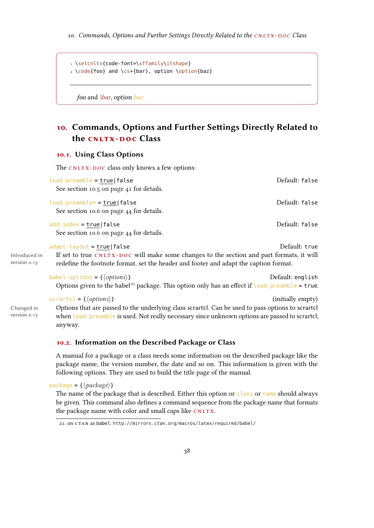```
1 \setcnltx{code-font=\sffamily\itshape}
2 \code{foo} and \cs*{bar}, option \option{baz}
```
*foo* and  $\frac{\bar{b}a}{\bar{b}}$ , option  $\bar{b}a\bar{z}$ 

# 10. Commands, Options and Further Settings Directly Related to the CNLTX-DOC Class

### 10.1. Using Class Options

The CNLTX-DOC class only knows a few options:

| load-preamble = true false<br>See section 10.5 on page 41 for details.                                                                                                                                                                          | Default: false    |
|-------------------------------------------------------------------------------------------------------------------------------------------------------------------------------------------------------------------------------------------------|-------------------|
| $load-preamble += true   false$<br>See section 10.6 on page 44 for details.                                                                                                                                                                     | Default: false    |
| $add$ -index = true   false<br>See section 10.6 on page 44 for details.                                                                                                                                                                         | Default: false    |
| $adapt-layout = true false$<br>If set to true CNLTX-DOC will make some changes to the section and part formats, it will<br>redefine the footnote format, set the header and footer and adapt the caption format.                                | Default: true     |
| babel-options = $\{\langle options\rangle\}$<br>Options given to the babel <sup>21</sup> package. This option only has an effect if $\text{load-preample} = \text{true}$ .                                                                      | Default: english  |
| scrartcl = $\{\langle options \rangle\}$<br>Options that are passed to the underlying class scrartcl. Can be used to pass options to scrartcl<br>when load-preamble is used. Not really necessary since unknown options are passed to scrartcl, | (initially empty) |

Introduced in version 0.13

Changed in

anyway.

version 0.13

# <span id="page-37-1"></span>10.2. Information on the Described Package or Class

A manual for a package or a class needs some information on the described package like the package name, the version number, the date and so on. This information is given with the following options. They are used to build the title page of the manual.

package = { $\langle package\rangle$ }

The name of the package that is described. Either this option or class or name should always be given. This command also defines a command sequence from the package name that formats the package name with color and small caps like CNLTX.

<span id="page-37-0"></span><sup>21.</sup> on CTAN as babel: <http://mirrors.ctan.org/macros/latex/required/babel/>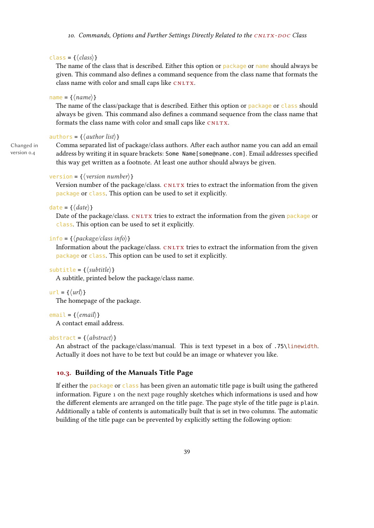#### <span id="page-38-0"></span>class = { $\langle class \rangle$ }

The name of the class that is described. Either this option or package or name should always be given. This command also defines a command sequence from the class name that formats the class name with color and small caps like CNLTX.

#### $name = {\langle name \rangle}$

The name of the class/package that is described. Either this option or package or class should always be given. This command also defines a command sequence from the class name that formats the class name with color and small caps like CNLTX.

# authors = { $\langle author list \rangle$ }

Changed in version 0.4

Comma separated list of package/class authors. After each author name you can add an email address by writing it in square brackets: Some Name [some@name.com]. Email addresses specified this way get written as a footnote. At least one author should always be given.

# version = { $\langle version number \rangle$ }

Version number of the package/class. CNLTX tries to extract the information from the given package or class. This option can be used to set it explicitly.

#### date = { $\langle date \rangle$ }

Date of the package/class.  $\text{c}\text{N}\text{L}\text{TX}$  tries to extract the information from the given package or class. This option can be used to set it explicitly.

### info =  $\{\langle package/class info \rangle\}$

Information about the package/class.  $CNITX$  tries to extract the information from the given package or class. This option can be used to set it explicitly.

### subtitle =  $\{\langle subtitle\rangle\}$

A subtitle, printed below the package/class name.

 $url = f(url)$ 

The homepage of the package.

# email =  $\{ \langle email \rangle \}$

A contact email address.

#### abstract =  $\{\langle abstract \rangle\}$

An abstract of the package/class/manual. This is text typeset in a box of .75\linewidth. Actually it does not have to be text but could be an image or whatever you like.

# 10.3. Building of the Manuals Title Page

If either the package or class has been given an automatic title page is built using the gathered information. Figure [1 on the next page](#page-39-0) roughly sketches which informations is used and how the different elements are arranged on the title page. The page style of the title page is plain. Additionally a table of contents is automatically built that is set in two columns. The automatic building of the title page can be prevented by explicitly setting the following option: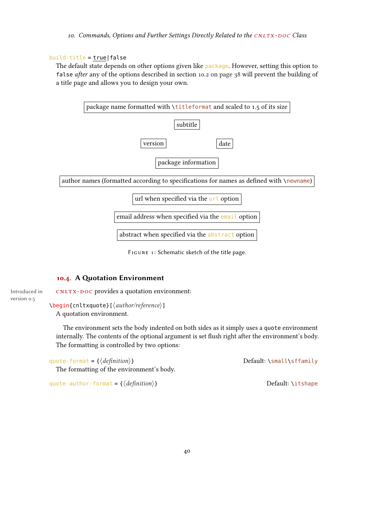# <span id="page-39-1"></span>build-title = true|false

The default state depends on other options given like package. However, setting this option to false after any of the options described in section [10.2 on page 38](#page-37-1) will prevent the building of a title page and allows you to design your own.



<span id="page-39-0"></span>FIGURE 1: Schematic sketch of the title page.

# 10.4. A Quotation Environment

Introduced in cNLTX-DOC provides a quotation environment: version 0.5

> $\begin{CD}$  \begin{cnltxquote}[ $\langle author/reference \rangle$ ] A quotation environment.

The environment sets the body indented on both sides as it simply uses a quote environment internally. The contents of the optional argument is set flush right after the environment's body. The formatting is controlled by two options:

| quote-format = { $\langle definition \rangle$ } |  |  |
|-------------------------------------------------|--|--|
|-------------------------------------------------|--|--|

Default: \small\sffamily

The formatting of the environment's body.

quote-author-format =  $\{\langle definition \rangle\}$  Default: \itshape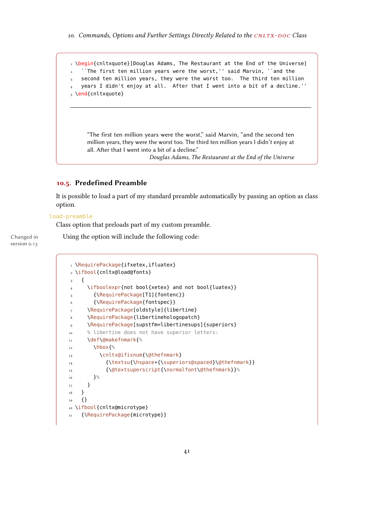```
1 \begin{cnltxquote}[Douglas Adams, The Restaurant at the End of the Universe]
   ``The first ten million years were the worst,'' said Marvin, ``and the
   second ten million years, they were the worst too. The third ten million
   4 years I didn't enjoy at all. After that I went into a bit of a decline.''
5 \end{cnltxquote}
```
"The first ten million years were the worst," said Marvin, "and the second ten million years, they were the worst too. The third ten million years I didn't enjoy at all. After that I went into a bit of a decline."

Douglas Adams, The Restaurant at the End of the Universe

# <span id="page-40-0"></span>10.5. Predefined Preamble

It is possible to load a part of my standard preamble automatically by passing an option as class option.

#### load-preamble

Class option that preloads part of my custom preamble.

version 0.13

Changed in Using the option will include the following code:

```
1 \RequirePackage{ifxetex,ifluatex}
2 \ifbool{cnltx@load@fonts}
\overline{\phantom{a}3\phantom{a}} {
      \ifboolexpr{not bool{xetex} and not bool{luatex}}
5 {\RequirePackage[T1]{fontenc}}
6 {\RequirePackage{fontspec}}
7 \RequirePackage[oldstyle]{libertine}
8 \RequirePackage{libertinehologopatch}
9 \RequirePackage[supstfm=libertinesups]{superiors}
10 % libertine does not have superior letters:
11 \def\@makefnmark{%
12 \text{ hbox}13 \cnltx@ifisnum{\@thefnmark}
14 {\textsu{\hspace*{\superiors@spaced}\@thefnmark}}
15 {\@textsuperscript{\normalfont\@thefnmark}}%
16 }%
<sup>17</sup> }
18 }
_{19} {}
20 \ifbool{cnltx@microtype}
21 {\RequirePackage{microtype}}
```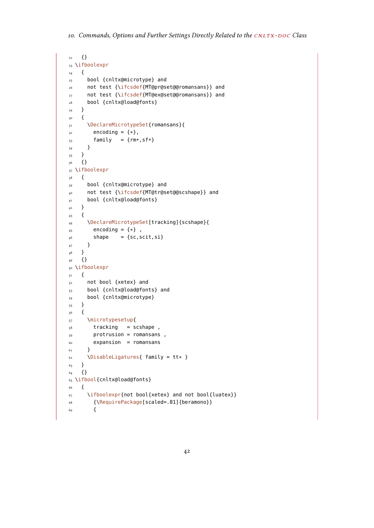```
22 {}
23 \ifboolexpr
24 \frac{1}{2}25 bool {cnltx@microtype} and
26 not test {\ifcsdef{MT@pr@set@@romansans}} and
27 not test {\ifcsdef{MT@ex@set@@romansans}} and
28 bool {cnltx@load@fonts}
29 }
30 {
31 \DeclareMicrotypeSet{romansans}{
32 encoding = \{*\},
33 family = {rm*, sf*}}
34 }
35 }
36 {}
37 \ifboolexpr
38 {
39 bool {cnltx@microtype} and
40 not test {\ifcsdef{MT@tr@set@@scshape}} and
41 bool {cnltx@load@fonts}
42 }
43 \frac{1}{2}44 \DeclareMicrotypeSet[tracking]{scshape}{
45 encoding = \{*\},
46 shape = {sc,scit,si}
47 }
_{48} \qquad }
49 {}
50 \ifboolexpr
51 \frac{1}{2}52 not bool {xetex} and
53 bool {cnltx@load@fonts} and
54 bool {cnltx@microtype}
55 }
56 {
57 \microtypesetup{
58 tracking = scshape,
59 protrusion = romansans ,
60 expansion = romansans
61 }
62 \t\t \Disable Ligatures{ family = tt* }63 }
64 {}
65 \ifbool{cnltx@load@fonts}
66 {
\epsilon_7 \ifboolexpr{not bool{xetex} and not bool{luatex}}
68 {\RequirePackage[scaled=.81]{beramono}}
69 {
```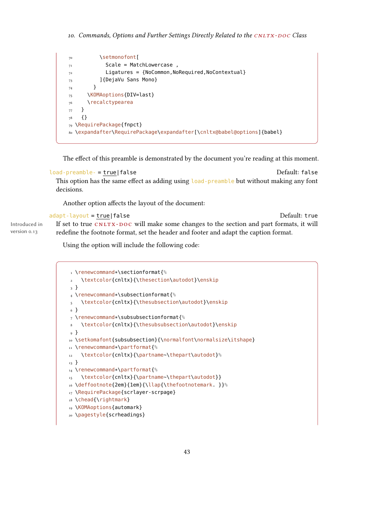```
70 \setmonofont[
71 Scale = MatchLowercase,
T<sub>72</sub> Ligatures = {NoCommon, NoRequired, NoContextual}
73 ]{DejaVu Sans Mono}
74 }
75 \KOMAoptions{DIV=last}
76 \recalctypearea
77 }
78 \t {\}79 \RequirePackage{fnpct}
80 \expandafter\RequirePackage\expandafter[\cnltx@babel@options]{babel}
```
The effect of this preamble is demonstrated by the document you're reading at this moment.

```
load-preamble- = true|false Default: false
 This option has the same effect as adding using load-preamble but without making any font
 decisions.
```
Another option affects the layout of the document:

```
adapt-layout = true|false default: true Default: true
Introduced in
version 0.13
             If set to true CNLY-DOC will make some changes to the section and part formats, it will
             redefine the footnote format, set the header and footer and adapt the caption format.
```
Using the option will include the following code:

```
1 \renewcommand*\sectionformat{%
2 \textcolor{cnltx}{\thesection\autodot}\enskip
3 }
4 \renewcommand*\subsectionformat{%
5 \textcolor{cnltx}{\thesubsection\autodot}\enskip
6 }
7 \renewcommand*\subsubsectionformat{%
    \textcolor{cnltx}{\thesubsubsection\autodot}\enskip
9 }
10 \setkomafont{subsubsection}{\normalfont\normalsize\itshape}
11 \renewcommand*\partformat{%
12 \textcolor{cnltx}{\partname~\thepart\autodot}%
13 }
14 \renewcommand*\partformat{%
15 \textcolor{cnltx}{\partname~\thepart\autodot}}
16 \deffootnote{2em}{1em}{\llap{\thefootnotemark. }}%
17 \RequirePackage{scrlayer-scrpage}
18 \chead{\rightmark}
19 \KOMAoptions{automark}
20 \pagestyle{scrheadings}
```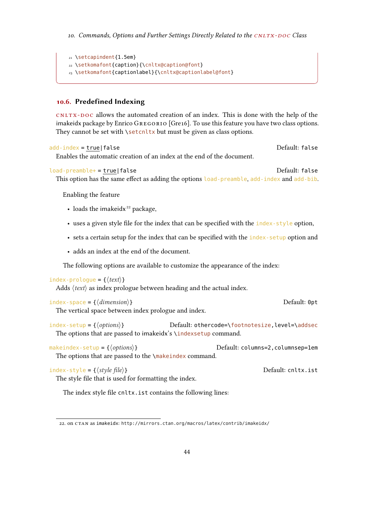```
21 \setcapindent{1.5em}
22 \setkomafont{caption}{\cnltx@caption@font}
23 \setkomafont{captionlabel}{\cnltx@captionlabel@font}
```
# <span id="page-43-0"></span>10.6. Predefined Indexing

cnltx -doc allows the automated creation of an index. This is done with the help of the imakeidx package by Enrico GREGORIO [Gre16]. To use this feature you have two class options. They cannot be set with \setcnltx but must be given as class options.

add-index = true|false default: false Enables the automatic creation of an index at the end of the document.

load-preamble+ = true|false Default: false This option has the same effect as adding the options load-preamble, add-index and add-bib.

Enabling the feature

- loads the imakeidx $^{22}$  $^{22}$  $^{22}$  package,
- $\bullet$  uses a given style file for the index that can be specified with the index-style option,
- sets a certain setup for the index that can be specified with the index-setup option and
- adds an index at the end of the document.

The following options are available to customize the appearance of the index:

#### index-prologue =  $\{\langle text \rangle\}$

Adds  $\langle text \rangle$  as index prologue between heading and the actual index.

```
index-space = \{\langle dimension \rangle\}
```
The vertical space between index prologue and index.

 $index -setup = {\*options*}$  Default: othercode=\footnotesize, level=\addsec The options that are passed to imakeidx's \indexsetup command.

makeindex-setup =  $\{\langle options\rangle\}$  Default: columns=2, columnsep=1em The options that are passed to the \makeindex command.

 $index-style = \{\langle style file \rangle\}$  Default: cnltx.ist

The style file that is used for formatting the index.

The index style file cnltx.ist contains the following lines:

<span id="page-43-1"></span><sup>22.</sup> on CTAN as imakeidx: <http://mirrors.ctan.org/macros/latex/contrib/imakeidx/>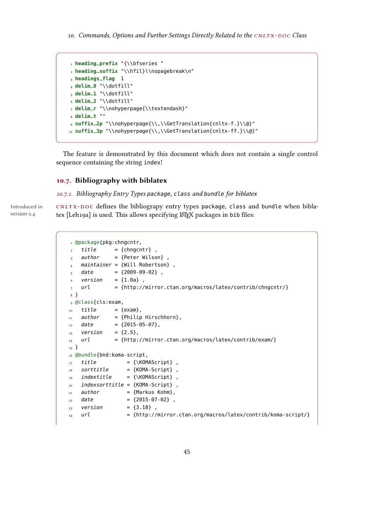```
1 heading_prefix "{\\bfseries "
2 heading_suffix "\\hfil}\\nopagebreak\n"
3 headings_flag 1
4 delim_0 "\\dotfill"
5 delim_1 "\\dotfill"
6 delim_2 "\\dotfill"
7 delim_r "\\nohyperpage{\\textendash}"
8 delim_t ""
9 suffix_2p "\\nohyperpage{\\,\\GetTranslation{cnltx-f.}\\@}"
10 suffix_3p "\\nohyperpage{\\,\\GetTranslation{cnltx-ff.}\\@}"
```
The feature is demonstrated by this document which does not contain a single control sequence containing the string index!

### 10.7. Bibliography with biblatex

<span id="page-44-0"></span>10.7.1. Bibliography Entry Types package, class and bundle for biblatex

Introduced in cNLTX-DOC defines the bibliograpy entry types package, class and bundle when biblatex [Leh19a] is used. This allows specifying LTEX packages in bib files:

```
1 @package{pkg:chngcntr,
2 title = {chngcntr},
3 author = {Peter Wilson},
  maintainer = {Will Robertson},
5 date = {2009-09-02},
6 version = {1.0a},
7 url = {http://mirror.ctan.org/macros/latex/contrib/chngcntr/}
8 }
9 @class{cls:exam,
_{10} title = {exam},
11 author = {Philip Hirschhorn},
12 date = {2015-05-07},
13 version = {2.5},
14 url = {http://mirror.ctan.org/macros/latex/contrib/exam/}
15 }
16 @bundle{bnd:koma-script,
17 title = {\KOMAScript} ,
_{18} sorttitle = {KOMA-Script},
_{19} indextitle = {\KOMAScript},
20 indexsorttitle = {KOMA-Script},
21 author = {Markus Kohm},
22 date = {2015-07-02},
23 version = {3.18},
24 url = {http://mirror.ctan.org/macros/latex/contrib/koma-script/}
```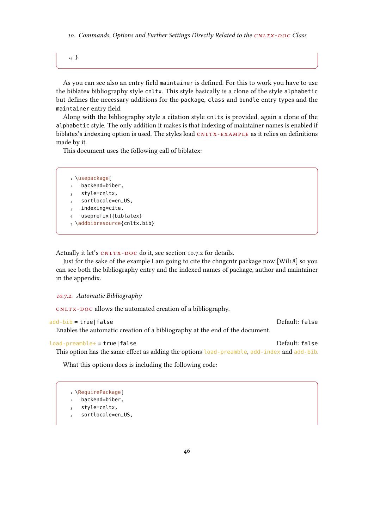<span id="page-45-1"></span>10. Commands, Options and Further Settings Directly Related to the CNLTX-DOC Class

25 }

As you can see also an entry field maintainer is defined. For this to work you have to use the biblatex bibliography style cnltx. This style basically is a clone of the style alphabetic but defines the necessary additions for the package, class and bundle entry types and the maintainer entry field.

Along with the bibliography style a citation style cnltx is provided, again a clone of the alphabetic style. The only addition it makes is that indexing of maintainer names is enabled if biblatex's indexing option is used. The styles load  $CNITX-EXAMPLE$  as it relies on definitions made by it.

This document uses the following call of biblatex:

```
1 \usepackage[
  backend=biber,
   style=cnltx,
   sortlocale=en_US,
   indexing=cite,
   useprefix]{biblatex}
7 \addbibresource{cnltx.bib}
```
Actually it let's CNLTX-DOC do it, see section [10.7.2](#page-45-0) for details.

Just for the sake of the example I am going to cite the chngcntr package now [Wil18] so you can see both the bibliography entry and the indexed names of package, author and maintainer in the appendix.

```
10.7.2. Automatic Bibliography
```
CNLTX-DOC allows the automated creation of a bibliography.

```
add-bib = true|false default: false
```
Enables the automatic creation of a bibliography at the end of the document.

```
load-preamble+ = true|false Default: false
```
This option has the same effect as adding the options load-preamble, add-index and add-bib.

What this options does is including the following code:

```
1 \RequirePackage[
   backend=biber,
```

```
style=cnltx,
```

```
sortlocale=en_US,
```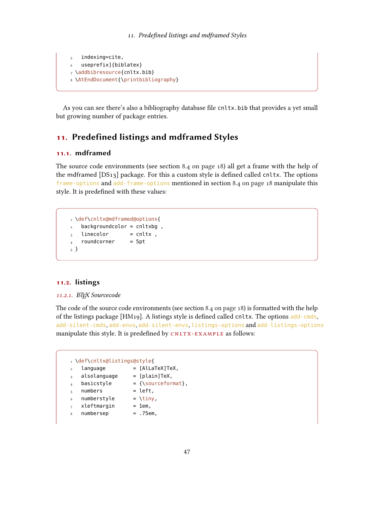```
indexing=cite,
6 useprefix]{biblatex}
7 \addbibresource{cnltx.bib}
8 \AtEndDocument{\printbibliography}
```
As you can see there's also a bibliography database file cnltx.bib that provides a yet small but growing number of package entries.

# 11. Predefined listings and mdframed Styles

# 11.1. mdframed

The source code environments (see section [8.4 on page 18\)](#page-17-0) all get a frame with the help of the mdframed  $[DS_{13}]$  package. For this a custom style is defined called cnltx. The options frame-options and add-frame-options mentioned in section [8.4 on page 18](#page-17-0) manipulate this style. It is predefined with these values:

```
1 \def\cnltx@mdframed@options{
   backgroundcolor = cnltxbg,
3 linecolor = cnltx,
  roundcorner = 5pt
5 }
```
# 11.2. listings

## 11.2.1. ETEX Sourcecode

The code of the source code environments (see section [8.4 on page 18\)](#page-17-0) is formatted with the help of the listings package [HM19]. A listings style is defined called cnltx. The options add-cmds, add-silent-cmds, add-envs, add-silent-envs, listings-options and add-listings-options manipulate this style. It is predefined by CNLTX-EXAMPLE as follows:

```
1 \def\cnltx@listings@style{
\lambda language = [AlLaTeX]TeX,
3 alsolanguage = [plain]TeX,
4 basicstyle = {\sqrt{sourceformat}},
5 numbers = left,
6 numberstyle = \times = \times7 xleftmargin = 1em,
   numbersep = .75em,
```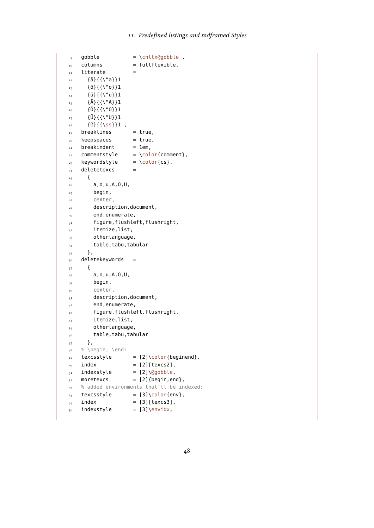```
9 gobble = \cnltx@gobble ,
10 columns = fullflexible,
11 literate =12 \qquad {\ddot{a}} {\{\{\{ \}^{\}d\}} {\}113 {ö}{{\"o}}1
_{14} {\ddot{u}}{{\"u}}1
_{15} {\ddot{A}}{{\"A}}1
_{16} {Ö}{{\"0}}1
_{17} {U}{{\"U}}1
18 \qquad {\text{B}} {\{\text{ss}\}} ,
19 breaklines = true,
20 keepspaces = true,
21 breakindent = 1em,
22 commentstyle = \color{comment},
23 keywordstyle = \color{cs},
24 deletetexcs =
25 {
26 a,o,u,A,O,U,
27 begin,
28 center,
29 description,document,
30 end,enumerate,
31 figure, flushleft, flushright,
32 itemize,list,
33 otherlanguage,
_{34} table, tabu, tabular
35 },
36 deletekeywords =
37 {
38 a, o, u, A, 0, U,
39 begin,
40 center,
41 description,document,
42 end,enumerate,
43 figure,flushleft,flushright,
44 itemize,list,
45 otherlanguage,
46 table,tabu,tabular
47 },
48 % \begin, \end:
49 texcsstyle = [2]\color{beginend},
_{50} index = [2][texcs2],
_{51} indexstyle = [2]\@gobble,
_{52} moretexcs = [2]{begin,end},
53 % added environments that'll be indexed:
_{54} texcsstyle = [3]\color{env},
_{55} index = [3][texcs3],
56 indexstyle = [3]\envidx,
```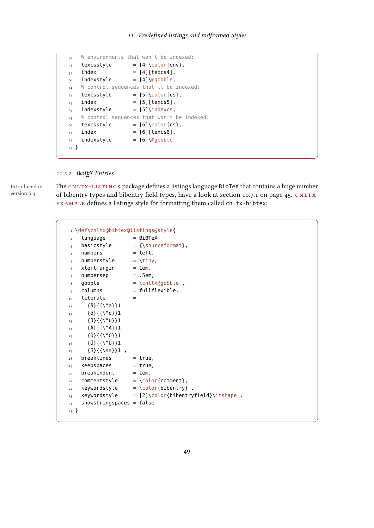```
57 % environments that won't be indexed:
58 texcsstyle = [4]\color{env},
_{59} index = [4][texcs4],
60 indexstyle = [4]\qquad \qquad = [4]\qquad \qquad61 % control sequences that'll be indexed:
62 texcsstyle = [5]\text{color}(\text{cs}),<br>63 index = [5][texcs5],
63 index = [5][texcs5],
64 indexstyle = [5]\indexcs,
65 % control sequences that won't be indexed:
66 texcsstyle = [6]\text{color}\{cs\},<br>
67 \text{index} = [6][texss6].
                     = [6][texcs6],
68 indexstyle = [6]\qquad \qquad = 6\qquad \qquad69 }
```
### 11.2.2. BIBTEX Entries

version 0.4

Introduced in  $\quad$  The <code>CNLTX-LISTINGS</code> package defines a listings language <code>BibTeX</code> that contains a huge number of bibentry types and bibentry field types, have a look at section [10.7.1 on page 45.](#page-44-0) CNLTX-EXAMPLE defines a listings style for formatting them called cnltx-bibtex:

|                | def\cnltx@bibtex@listings@style{                    |     |                                           |
|----------------|-----------------------------------------------------|-----|-------------------------------------------|
| $\overline{2}$ | language                                            |     | $= BiBTeX,$                               |
| 3              | basicstyle                                          |     | = {\sourceformat},                        |
| $\overline{4}$ | numbers                                             |     | = left,                                   |
| 5              | numberstyle                                         |     | $= \lim y$ ,                              |
| 6              | xleftmargin                                         |     | $= 1$ em,                                 |
| $\overline{7}$ | numbersep                                           |     | $= .5em$                                  |
| 8              | gobble                                              |     | = \cnltx@gobble,                          |
| $\mathbf{Q}$   | columns                                             |     | $=$ fullflexible,                         |
| 10             | literate                                            | $=$ |                                           |
| 11             | $\{\ddot{a}\}\{\{\setminus "a\}\}\$ 1               |     |                                           |
| $12\,$         | $\{0\}\{\{\setminus "0\}\}\$ 1                      |     |                                           |
| 13             | $\{\ddot{u}\}\{\{\ddot{u}\}^{\dagger}\}\$ 1         |     |                                           |
| 14             | $\{\ddot{A}\}\{\{\ddot{}\}\dagger\}$ 1              |     |                                           |
| 15             | $\{0\}\{\{\setminus "0\}\}1$                        |     |                                           |
| 16             | $\{\ddot{U}\}\{\{\setminus "U\}\}\$ 1               |     |                                           |
| 17             | $\{\{\}\{\{\text{ss}\}\}\}\$ ,                      |     |                                           |
| 18             | breaklines                                          |     | = true,                                   |
| 19             | keepspaces                                          |     | = true,                                   |
| 20             | breakindent                                         |     | $= 1$ em,                                 |
| 21             | $commentstyle = \cdot\cdot\cdot\{\text{comment}\},$ |     |                                           |
| 22             |                                                     |     | keywordstyle $= \text{Color{bibentry}}$ , |
| 23             |                                                     |     |                                           |
| 24             | showstringspaces = $false$ ,                        |     |                                           |
| 25             |                                                     |     |                                           |
|                |                                                     |     |                                           |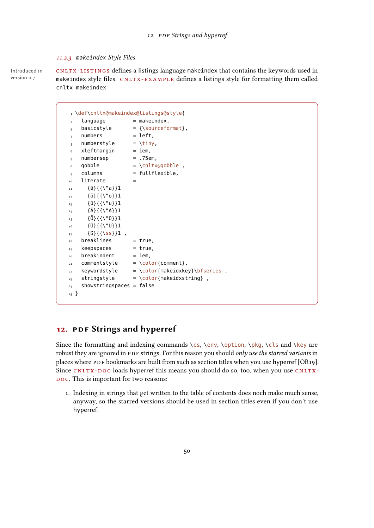#### <span id="page-49-0"></span>11.2.3. makeindex Style Files

version 0.7

Introduced in cNLTX-LISTINGS defines a listings language makeindex that contains the keywords used in makeindex style files. CNLTX-EXAMPLE defines a listings style for formatting them called cnltx-makeindex:

|                        | I \def\cnltx@makeindex@listings@style{ |     |                                                        |
|------------------------|----------------------------------------|-----|--------------------------------------------------------|
| $\overline{a}$         | language                               |     | = makeindex,                                           |
| 3                      | basicstyle                             |     | $=$ {\sourceformat},                                   |
| $\overline{4}$         | numbers                                |     | $=$ left,                                              |
| 5                      | numberstyle                            |     | $= \lim y$ ,                                           |
| 6                      | xleftmargin                            |     | $= 1$ em,                                              |
| $\overline{7}$         | numbersep                              |     | $= .75em$ ,                                            |
| 8                      | gobble                                 |     | = \cnltx@gobble,                                       |
| 9                      | columns                                |     | = fullflexible,                                        |
| 10                     | literate                               | $=$ |                                                        |
| 11                     | $\{\ddot{a}\}\{\{\setminus "a\}\}\$ 1  |     |                                                        |
| 12                     | $\{0\}\{\{\setminus "0\}\}\$ 1         |     |                                                        |
| 13                     | $\{\ddot{u}\}\{\{\setminus "u\}\}\$ 1  |     |                                                        |
| 14                     | $\{\ddot{A}\}\{\{\ddot{\}''A\}\}\$ 1   |     |                                                        |
| 15                     | $\{0\}\{\{\setminus "0\}\}\$ 1         |     |                                                        |
| 16                     | $\{\ddot{U}\}\{\{\setminus "U\}\}1$    |     |                                                        |
| 17                     | ${B}{\S}{S}$                           |     |                                                        |
| 18                     | breaklines                             |     | = true,                                                |
| 19                     | keepspaces                             |     | = true,                                                |
| 20                     | breakindent                            |     | $= 1$ em,                                              |
| 21                     | commentstyle                           |     | $= \text{color{red}{\color{black}{\text{(comment)}}}}$ |
| 22                     | keywordstyle                           |     | $= \cdot \cdot \cdot$ = \color{makeidxkey}\bfseries,   |
| 23                     | stringstyle                            |     | $= \text{Color}$ (makeidxstring),                      |
| 24                     | $shows ring spaces = false$            |     |                                                        |
| $\mathbf{r}$<br>$25 -$ |                                        |     |                                                        |
|                        |                                        |     |                                                        |

# 12. PDF Strings and hyperref

Since the formatting and indexing commands \cs, \env, \option, \pkg, \cls and \key are robust they are ignored in PDF strings. For this reason you should only use the starred variants in places where PDF bookmarks are built from such as section titles when you use hyperref [OR19]. Since CNLTX-DOC loads hyperref this means you should do so, too, when you use CNLTX-DOC. This is important for two reasons:

1. Indexing in strings that get written to the table of contents does noch make much sense, anyway, so the starred versions should be used in section titles even if you don't use hyperref.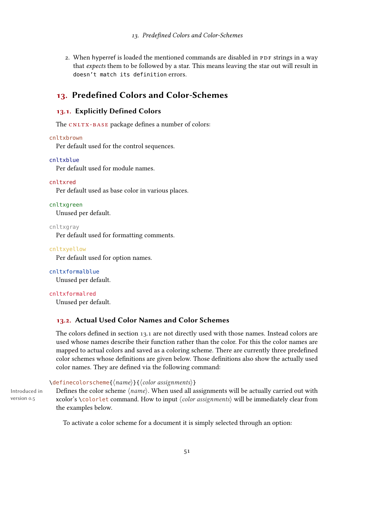2. When hyperref is loaded the mentioned commands are disabled in PDF strings in a way that expects them to be followed by a star. This means leaving the star out will result in doesn't match its definition errors.

# 13. Predefined Colors and Color-Schemes

# <span id="page-50-0"></span>13.1. Explicitly Defined Colors

The CNLTX-BASE package defines a number of colors:

```
cnltxbrown
```
Per default used for the control sequences.

#### cnltxblue

Per default used for module names.

#### cnltxred

Per default used as base color in various places.

#### cnltxgreen

Unused per default.

cnltxgray

Per default used for formatting comments.

#### cnltxyellow

Per default used for option names.

cnltxformalblue Unused per default.

cnltxformalred Unused per default.

# 13.2. Actual Used Color Names and Color Schemes

The colors defined in section [13.1](#page-50-0) are not directly used with those names. Instead colors are used whose names describe their function rather than the color. For this the color names are mapped to actual colors and saved as a coloring scheme. There are currently three predefined color schemes whose definitions are given below. Those definitions also show the actually used color names. They are defined via the following command:

### $\{den\rho\}\$  $\{converscheme\$  $\{name\}$ }{ $\{color\}$  assignments}}

Introduced in version 0.5

Defines the color scheme  $\langle name \rangle$ . When used all assignments will be actually carried out with xcolor's \colorlet command. How to input  $\langle color \; assignments \rangle$  will be immediately clear from the examples below.

To activate a color scheme for a document it is simply selected through an option: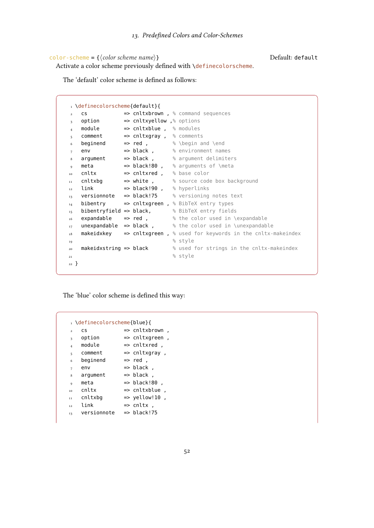```
color-scheme = {\langle color scheme \space name \rangle} Default: default
```
Activate a color scheme previously defined with \definecolorscheme.

The 'default' color scheme is defined as follows:

```
1 \definecolorscheme{default}{
2 \text{ cs} \Rightarrow cnltxbrown, \frac{1}{2} command sequences
 _3 option \qquad \Rightarrow cnltxyellow ,% options
 _4 module \qquad \Rightarrow <code>cnltxblue</code> , \, <code>%</code> modules
 _5 comment \qquad \Rightarrow cnltxgray , \, \, comments
 \epsilon beginend => red , \qquad \epsilon \begin and \end
 _7 env \hspace{1.6cm} \hspace{1.6cm} \hspace{1.6cm} black , \hspace{1.6cm} % environment names
 8 argument => black , % argument delimiters
9 meta => black!80, % arguments of \meta
10 cnltx \Rightarrow cnltxred , % base color
11 cnltxbg \qquad \Rightarrow white , \qquad \quad \, \text{\%} source code box background
12 link => black!90 , % hyperlinks
13 versionnote => black!75 % versioning notes text
_{14} bibentry => cnltxgreen, % BibTeX entry types
15 bibentryfield => black, % BibTeX entry fields
16 expandable => red , 16 % the color used in \expandable
Expandable => red, \frac{16}{17} unexpandable => black, \frac{1}{8} the color used in \unexpandable => black, \frac{1}{8} the color used in \unexpandable
18 makeidxkey => cnltxgreen, % used for keywords in the cnltx-makeindex
<sup>19</sup> style
20 makeidxstring => black % used for strings in the cnltx-makeindex
\frac{1}{21} \frac{8}{3} style
22 }
```
The 'blue' color scheme is defined this way:

|                | definecolorscheme{blue}{ |                   |
|----------------|--------------------------|-------------------|
| $\overline{a}$ | CS                       | => cnltxbrown     |
| 3              | option                   | => cnltxgreen     |
| $\overline{4}$ | module                   | => cnltxred .     |
| 5              | comment                  | => cnltxgray,     |
| 6              | beginend                 | $\Rightarrow$ red |
| 7              | env                      | => black .        |
| 8              | argument                 | => black          |
| 9              | meta                     | => black!80       |
| 10             | cnltx                    | => cnltxblue      |
| 11             | cnltxbq                  | => yellow!10      |
| 12             | link                     | => cnltx .        |
| 13             | versionnote              | => black!75       |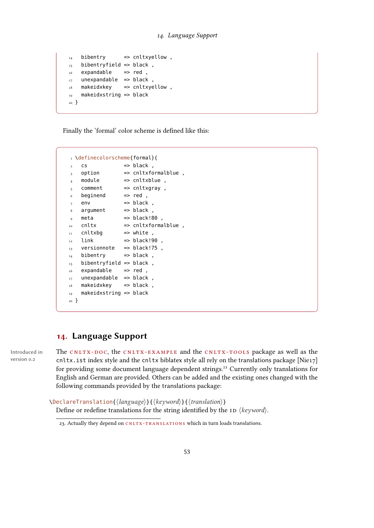```
_{14} bibentry => cnltxyellow,
15 bibentryfield => black,
16 expandable => red,
_{17} unexpandable => black,
18 makeidxkey => cnltxyellow,
19 makeidxstring => black
20 }
```
Finally the 'formal' color scheme is defined like this:

```
1 \definecolorscheme{formal}{
2 \text{ cs} \implies \text{black},
_3 option \qquad => cnltxformalblue,
4 module \qquad \qquad \Rightarrow cnltxblue,
5 comment => cnltxgray,
6 beginend \Rightarrow red,
7 env \implies black,
\delta argument => black,
\circ meta \qquad => black!80 ,
10 cnltx => cnltxformalblue ,
11 cnltxbg \Rightarrow white,
_{12} link \qquad => black!90 ,
13 versionnote => black!75,
14 bibentry => black,
15 bibentryfield => black,
16 expandable => red,
17 unexpandable => black,
18 makeidxkey => black,
19 makeidxstring => black
20 }
```
# 14. Language Support

Introduced in version 0.2

The CNLTX-DOC, the CNLTX-EXAMPLE and the CNLTX-TOOLS package as well as the cnltx.ist index style and the cnltx biblatex style all rely on the translations package [Nie17] for providing some document language dependent strings.<sup>23</sup> Currently only translations for English and German are provided. Others can be added and the existing ones changed with the following commands provided by the translations package:

 $\DeclareTranslation({\langle language\rangle}{\langle keyword\rangle}{\langle}({\langle}translation\rangle)$ Define or redefine translations for the string identified by the  $\text{ID } \langle \text{keyword} \rangle$ .

<span id="page-52-0"></span><sup>23.</sup> Actually they depend on CNLTX-TRANSLATIONS which in turn loads translations.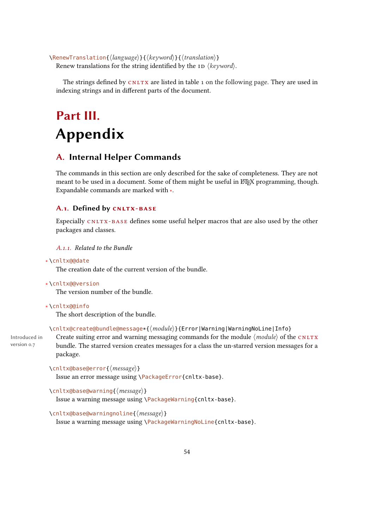<span id="page-53-0"></span> $\Re$  \RenewTranslation{ $\langle$ *language*}}{ $\langle$ *keyword*}}{ $\langle$ *translation*}} Renew translations for the string identified by the ID  $\langle$  keyword $\rangle$ .

The strings defined by  $CNLTX$  are listed in table [1 on the following page.](#page-54-0) They are used in indexing strings and in different parts of the document.

# Part III. Appendix

# A. Internal Helper Commands

The commands in this section are only described for the sake of completeness. They are not meant to be used in a document. Some of them might be useful in  $\mathbb{E} F$ X programming, though. Expandable commands are marked with ∗.

# A.1. Defined by CNLTX-BASE

Especially CNLTX-BASE defines some useful helper macros that are also used by the other packages and classes.

### A.1.1. Related to the Bundle

```
∗ \cnltx@@date
```
The creation date of the current version of the bundle.

```
∗ \cnltx@@version
```
The version number of the bundle.

#### ∗ \cnltx@@info

The short description of the bundle.

\cnltx@create@bundle@message\*{(module)}{Error|Warning|WarningNoLine|Info}

Introduced in version 0.7

Create suiting error and warning messaging commands for the module  $\langle$  module $\rangle$  of the CNLTX bundle. The starred version creates messages for a class the un-starred version messages for a package.

```
\cnltx@base@error{\message}}
```
Issue an error message using \PackageError{cnltx-base}.

```
\cnltx@base@warning{\message}}
```
Issue a warning message using \PackageWarning{cnltx-base}.

```
\cnltx@base@warningnoline{\langle message \rangle}
```
Issue a warning message using \PackageWarningNoLine{cnltx-base}.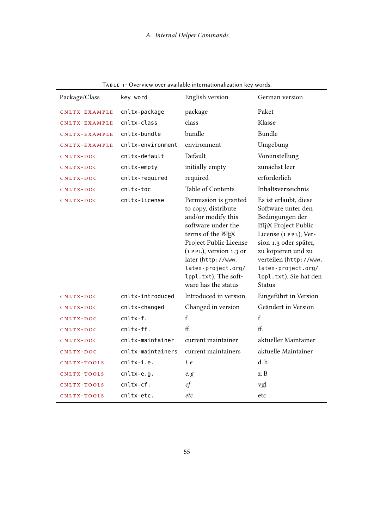| Package/Class | key word          | English version                                                                                                                                                                                                                                               | German version                                                                                                                                                                                                                                                  |
|---------------|-------------------|---------------------------------------------------------------------------------------------------------------------------------------------------------------------------------------------------------------------------------------------------------------|-----------------------------------------------------------------------------------------------------------------------------------------------------------------------------------------------------------------------------------------------------------------|
| CNLTX-EXAMPLE | cnltx-package     | package                                                                                                                                                                                                                                                       | Paket                                                                                                                                                                                                                                                           |
| CNLTX-EXAMPLE | cnltx-class       | class                                                                                                                                                                                                                                                         | Klasse                                                                                                                                                                                                                                                          |
| CNLTX-EXAMPLE | cnltx-bundle      | bundle                                                                                                                                                                                                                                                        | Bundle                                                                                                                                                                                                                                                          |
| CNLTX-EXAMPLE | cnltx-environment | environment                                                                                                                                                                                                                                                   | Umgebung                                                                                                                                                                                                                                                        |
| CNLTX-DOC     | cnltx-default     | Default                                                                                                                                                                                                                                                       | Voreinstellung                                                                                                                                                                                                                                                  |
| CNLTX-DOC     | cnltx-empty       | initially empty                                                                                                                                                                                                                                               | zunächst leer                                                                                                                                                                                                                                                   |
| CNLTX-DOC     | cnltx-required    | required                                                                                                                                                                                                                                                      | erforderlich                                                                                                                                                                                                                                                    |
| CNLTX-DOC     | cnltx-toc         | Table of Contents                                                                                                                                                                                                                                             | Inhaltsverzeichnis                                                                                                                                                                                                                                              |
| CNLTX-DOC     | cnltx-license     | Permission is granted<br>to copy, distribute<br>and/or modify this<br>software under the<br>terms of the LATEX<br>Project Public License<br>(LPPL), version 1.3 or<br>later (http://www.<br>latex-project.org/<br>lppl.txt). The soft-<br>ware has the status | Es ist erlaubt, diese<br>Software unter den<br>Bedingungen der<br><b>L'IEX Project Public</b><br>License (LPPL), Ver-<br>sion 1.3 oder später,<br>zu kopieren und zu<br>verteilen (http://www.<br>latex-project.org/<br>lppl.txt). Sie hat den<br><b>Status</b> |
| CNLTX-DOC     | cnltx-introduced  | Introduced in version                                                                                                                                                                                                                                         | Eingeführt in Version                                                                                                                                                                                                                                           |
| CNLTX-DOC     | cnltx-changed     | Changed in version                                                                                                                                                                                                                                            | Geändert in Version                                                                                                                                                                                                                                             |
| CNLTX-DOC     | $cnltx-f.$        | f.                                                                                                                                                                                                                                                            | f.                                                                                                                                                                                                                                                              |
| CNLTX-DOC     | cnltx-ff.         | ff.                                                                                                                                                                                                                                                           | ff.                                                                                                                                                                                                                                                             |
| CNLTX-DOC     | cnltx-maintainer  | current maintainer                                                                                                                                                                                                                                            | aktueller Maintainer                                                                                                                                                                                                                                            |
| CNLTX-DOC     | cnltx-maintainers | current maintainers                                                                                                                                                                                                                                           | aktuelle Maintainer                                                                                                                                                                                                                                             |
| CNLTX-TOOLS   | cnltx-i.e.        | i. e                                                                                                                                                                                                                                                          | d.h                                                                                                                                                                                                                                                             |
| CNLTX-TOOLS   | $cn$ ltx-e.g.     | e. g                                                                                                                                                                                                                                                          | z. B                                                                                                                                                                                                                                                            |
| CNLTX-TOOLS   | cnltx-cf.         | cf                                                                                                                                                                                                                                                            | vgl                                                                                                                                                                                                                                                             |
| CNLTX-TOOLS   | cnltx-etc.        | etc                                                                                                                                                                                                                                                           | etc                                                                                                                                                                                                                                                             |

<span id="page-54-0"></span>Table 1: Overview over available internationalization key words.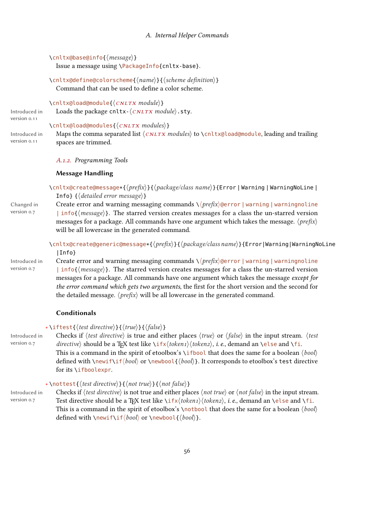```
\cnltx@base@info{\message}}
```
Issue a message using \PackageInfo{cnltx-base}.

 $\{\text{cnlt} \times \text{define}(\text{colos} \cdot \text{hame})\}$  {  $\{\text{cheme definition}\}$ } Command that can be used to define a color scheme.

 $\langle$ cnltx@load@module{ $\langle$ *CNLTX module*}} Loads the package cnltx- $\langle CNLTX \text{ mod} ule \rangle$ .sty.

Introduced in version 0.11

 $\{\cnlt x@load@modules\}$ 

Introduced in version 0.11 Maps the comma separated list  $\langle CNLTX \text{ modules} \rangle$  to  $\langle CNLTX \text{ {}[O(1)]} \rangle$ , leading and trailing spaces are trimmed.

#### A.1.2. Programming Tools

#### Message Handling

\cnltx@create@message\*{ $\langle prefix \rangle$ }{ $\langle package / class name \rangle$ }{Error | Warning | WarningNoLine | Infol  $\{\langle detailed\ error\ message\rangle\}$ 

Changed in version 0.7 Create error and warning messaging commands  $\langle \langle prefix \rangle$  @error | warning | warningnoline | info{ $\langle message \rangle$ }. The starred version creates messages for a class the un-starred version messages for a package. All commands have one argument which takes the message.  $\langle prefix \rangle$ will be all lowercase in the generated command.

> \cnltx@create@generic@message\*{ $\langle prefix \rangle$ }{ $\langle package/dass name \rangle$ }{Error|Warning|WarningNoLine |Info}

Introduced in version 0.7

Create error and warning messaging commands  $\setminus \langle pref(x)$ @error | warning | warningnoline | info{ $\langle message \rangle$ }. The starred version creates messages for a class the un-starred version messages for a package. All commands have one argument which takes the message except for the error command which gets two arguments, the first for the short version and the second for the detailed message.  $\langle prefix \rangle$  will be all lowercase in the generated command.

### Conditionals

#### ∗\iftest{(test directive)}{(true)}{(false)}

Introduced in version 0.7 Checks if  $\langle test \, directive \rangle$  is true and either places  $\langle true \rangle$  or  $\langle false \rangle$  in the input stream.  $\langle test \rangle$ directive) should be a TFX test like  $\iota(x/\iota\delta\epsilon)$ , *i. e.*, demand an  $\iota(x)$  should be a TFX test like  $\iota(x/\iota\delta\epsilon)$ This is a command in the spirit of etoolbox's \ifbool that does the same for a boolean  $\langle \text{bool} \rangle$ defined with  $\neq \theta$  or  $\newcommand{\f{bot}{\f{bot}}$  or  $\newcommand{\f{bot}{\f{bot}}$ . It corresponds to etoolbox's test directive for its \ifboolexpr.

### ∗ \nottest{(test directive)}{(not true)}{(not false)}

Introduced in version 0.7 Checks if  $\langle test \, directive \rangle$  is not true and either places  $\langle not \, true \rangle$  or  $\langle not \, false \rangle$  in the input stream. Test directive should be a TFX test like  $\iota\iota(x/\iota\okenz)$ , i. e., demand an \else and \fi. This is a command in the spirit of etoolbox's \notbool that does the same for a boolean  $\langle \text{bool} \rangle$ defined with \newif\if\bool\} or \newbool{ $\{bool\}$ .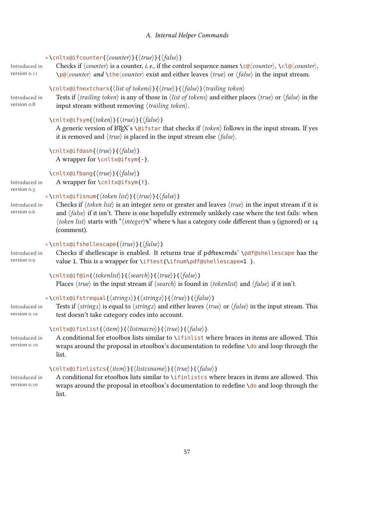<span id="page-56-0"></span>

| Introduced in<br>version 0.11               | *\cnltx@ifcounter{ $\langle counter \rangle$ }{ $\langle true \rangle$ }{ $\langle false \rangle$ }<br>Checks if $\langle counter \rangle$ is a counter, <i>i. e.</i> , if the control sequence names $\langle c \otimes \langle counter \rangle$ , $\langle c \otimes \langle counter \rangle$ ,<br>$\pmb{\downarrow}$ p@ $\langle counter \rangle$ and $\qmb{\downarrow}$ the $\langle counter \rangle$ exist and either leaves $\langle true \rangle$ or $\langle false \rangle$ in the input stream.                      |
|---------------------------------------------|-------------------------------------------------------------------------------------------------------------------------------------------------------------------------------------------------------------------------------------------------------------------------------------------------------------------------------------------------------------------------------------------------------------------------------------------------------------------------------------------------------------------------------|
| Introduced in<br>version o.8                | \cnltx@ifnextchars{\list of tokens\}{\true\}{\false\} \trailing token\<br>Tests if $\langle \text{trailing token} \rangle$ is any of those in $\langle \text{list of tokens} \rangle$ and either places $\langle \text{true} \rangle$ or $\langle \text{false} \rangle$ in the<br>input stream without removing $\langle \text{trailing token} \rangle$ .                                                                                                                                                                     |
|                                             | \cnltx@ifsym{ $\langle token \rangle$ }{ $\langle true \rangle$ }{ $\langle false \rangle$ }<br>A generic version of $\mathbb{E}E[X]$ 's \@ifstar that checks if $\langle \text{token} \rangle$ follows in the input stream. If yes<br>it is removed and $\langle true \rangle$ is placed in the input stream else $\langle false \rangle$ .                                                                                                                                                                                  |
|                                             | \cnltx@ifdash{\true\}{\false\}<br>A wrapper for \cnltx@ifsym{-}.                                                                                                                                                                                                                                                                                                                                                                                                                                                              |
| Introduced in                               | \cnltx@ifbang{\true\}{\false\}<br>A wrapper for \cnltx@ifsym{!}.                                                                                                                                                                                                                                                                                                                                                                                                                                                              |
| version 0.3<br>Introduced in<br>version o.6 | *\cnltx@ifisnum{ $\langle token list \rangle$ }{ $\langle true \rangle$ }{ $\langle false \rangle$ }<br>Checks if $\langle$ token list $\rangle$ is an integer zero or greater and leaves $\langle true \rangle$ in the input stream if it is<br>and $\langle false \rangle$ if it isn't. There is one hopefully extremely unlikely case where the test fails: when<br>$\langle$ token list $\rangle$ starts with " $\langle$ integer $\rangle$ %" where % has a category code different than 9 (ignored) or 14<br>(comment). |
| Introduced in<br>version 0.9                | *\cnltx@ifshellescape{ $\langle true \rangle$ }{ $\langle false \rangle$ }<br>Checks if shellescape is enabled. It returns true if pdftexcmds' \pdf@shellescape has the<br>value 1. This is a wrapper for \iftest{\ifnum\pdf@shellescape=1 }.                                                                                                                                                                                                                                                                                 |
|                                             | \cnltx@if@in{\tokenlist\}}{\search\}{\true\}{\false\}<br>Places $\langle true \rangle$ in the input stream if $\langle search \rangle$ is found in $\langle tokenlist \rangle$ and $\langle false \rangle$ if it isn't.                                                                                                                                                                                                                                                                                                       |
| Introduced in<br>version 0.10               | *\cnltx@ifstrequal{\string1}}{\string2}}{\true}}{\false}}<br>Tests if $\langle string_1 \rangle$ is equal to $\langle string_2 \rangle$ and either leaves $\langle true \rangle$ or $\langle false \rangle$ in the input stream. This<br>test doesn't take category codes into account.                                                                                                                                                                                                                                       |
| Introduced in<br>version 0.10               | \cnltx@ifinlist{ $\langle item \rangle$ }{ $\langle listener \rangle$ }{ $\langle true \rangle$ }{ $\langle false \rangle$ }<br>A conditional for etoolbox lists similar to \ifinlist where braces in items are allowed. This<br>wraps around the proposal in etoolbox's documentation to redefine \do and loop through the<br>list.                                                                                                                                                                                          |
| Introduced in<br>version 0.10               | \cnltx@ifinlistcs{ $\langle item \rangle$ }{ $\langle listcsname \rangle$ }{ $\langle true \rangle$ }{ $\langle false \rangle$ }<br>A conditional for etoolbox lists similar to \ifinlistcs where braces in items are allowed. This<br>wraps around the proposal in etoolbox's documentation to redefine \do and loop through the<br>list.                                                                                                                                                                                    |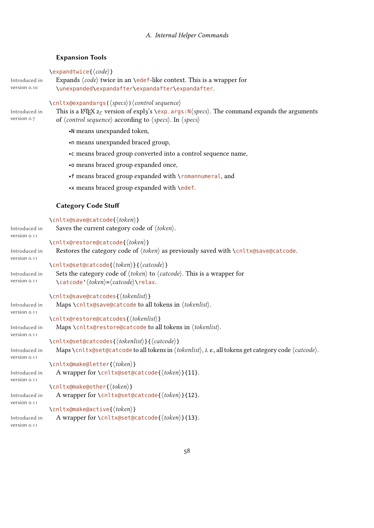### <span id="page-57-0"></span>Expansion Tools

 $\text{Vexpandtwice}\{\text{code}\}$ 

```
Introduced in
version 0.10
                 Expands \langle code \rangle twice in an \edef-like context. This is a wrapper for
                 \unexpanded\expandafter\expandafter\expandafter.
```
#### $\langle$ cnltx@expandargs( $\langle specs \rangle$ ) $\langle control\ sequence \rangle$

Introduced in version 0.7 This is a LAT<sub>E</sub>X<sub>2 $\varepsilon$ </sub> version of expl<sub>3</sub>'s \exp\_args:N\(specs). The command expands the arguments of  $\langle$  control sequence $\rangle$  according to  $\langle$  specs $\rangle$ . In  $\langle$  specs $\rangle$ 

•N means unexpanded token,

•n means unexpanded braced group,

•c means braced group converted into a control sequence name,

- •o means braced group expanded once,
- •f means braced group expanded with \romannumeral, and
- •x means braced group expanded with \edef.

#### Category Code Stu

```
\{\n<sup>\</sup>\n<sup>\</sup>\n<sup>\</sup>\n<sup>\</sup>\n<sup>\</sup>\n<sup>\</sup>\n<sup>\</sup>\n<sup>\</sup>\n<sup>\</sup>\n<sup>\</sup>\n<sup>\</sup>\n<sup>\</sup>\n<sup>\</sup>\n<sup>\</sup>\n<sup>\</sup>\n<sup>\</sup>\n<sup>\</sup>\n<sup>\</sup>\n<sup>\</sup>\n<sup>\</sup>\n<sup>\</sup>\n<sup>\</sup>\n<sup>\</sup>\n<sup>\</sup>\n<sup>\</sup>\n<sup>\</sup>\n<sup>\</sup>\n<sup>\</sup>\n<sup>\</sup>\n<sup>\</sup>\n<sup>\</sup>\nIntroduced in
version 0.11
                          Saves the current category code of \langle \textit{token} \rangle.
                      \cnltx@restore@catcode{\token}}
Introduced in
version 0.11
                         Restores the category code of \langle \text{token} \rangle as previously saved with \langle \text{cnltx@save@catch} \ranglee.
                      \cnltx@set@catcode{\token}}{\catcode}}
Introduced in
version 0.11
                         Sets the category code of \langle \text{token} \rangle to \langle \text{catch} \rangle. This is a wrapper for
                          \catcode' (token)=\catcode\rangle\ref{actcode}\cnltx@save@catcodes{\tokenlist\}
Introduced in
version 0.11
                          Maps \cnltx@save@catcode to all tokens in \langle tokenlist\rangle.
                      \cnltx@restore@catcodes{\tokenlist\}
Introduced in
version 0.11
                         Maps \cnltx@restore@catcode to all tokens in \langle tokenlist\rangle.
                      \cnltx@set@catcodes{\tokenlist\}}{\catcode\}
Introduced in
version 0.11
                         Maps \cnltx@set@catcode to all tokens in \langle \text{tokenlist} \rangle, i. e., all tokens get category code \langle \text{catchode} \rangle.
                      \cnltx@make@letter{\token}}
Introduced in
version 0.11
                         A wrapper for \cnltx@set@catcode{\{token\}}{11}.
                      \cnltx@make@other{(token)}
Introduced in
version 0.11
                         A wrapper for \cnltx@set@catcode{\langle \text{token} \rangle}{12}.
                      \langlecnltx@make@active{\langletoken}}
Introduced in
version 0.11
                         A wrapper for \cnltx@set@catcode{\langle \text{token} \rangle}{13}.
```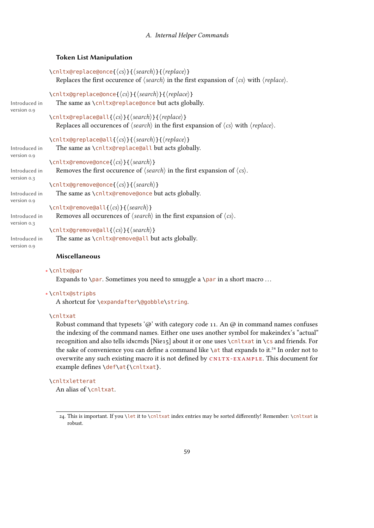### <span id="page-58-1"></span>Token List Manipulation

```
\cnltx@replace@once{\langle cs \rangle}{\langle search \rangle}{\langle replace \rangle}
                       Replaces the first occurence of \langle search \rangle in the first expansion of \langle cs \rangle with \langle replace \rangle.
                    \cnltx@greplace@once{\langle cs \rangle}{\langle search \rangle}{\langle replace \rangle}
Introduced in
                       The same as \cnltx@replace@once but acts globally.
                    \cnltx@replace@all{\langle cs \rangle}{\langle search \rangle}{\langle replace \rangle}
                       Replaces all occurences of \langle search \rangle in the first expansion of \langle cs \rangle with \langle replace \rangle.
                    \cnltx@greplace@all{\langle cs \rangle}{\langle search \rangle}{\langle replace \rangle}
Introduced in
version 0.9
                       The same as \cnltx@replace@all but acts globally.
                    \cnltx@remove@once{\langle cs \rangle}{\langle search \rangle}
Introduced in
version 0.3
                       Removes the first occurence of \langle search \rangle in the first expansion of \langle cs \rangle.
                    \cnltx@gremove@once{\langle cs \rangle}{\langle search \rangle}
Introduced in
                       The same as \cnltx@remove@once but acts globally.
                    \cnltx@remove@all{\langle cs \rangle}{\langle search \rangle}
Introduced in
version 0.3
                       Removes all occurences of \langle search \rangle in the first expansion of \langle cs \rangle.
                    \langlecnltx@gremove@all{\langle cs \rangle}{\langle search \rangle}
                       The same as \cnltx@remove@all but acts globally.
```
Introduced in version 0.9

version 0.9

version 0.9

# Miscellaneous

#### ∗ \cnltx@par

Expands to \par. Sometimes you need to smuggle a \par in a short macro ...

#### ∗ \cnltx@stripbs

A shortcut for \expandafter\@gobble\string.

#### \cnltxat

Robust command that typesets ' $@$ ' with category code 11. An  $@$  in command names confuses the indexing of the command names. Either one uses another symbol for makeindex's "actual" recognition and also tells idxcmds [Nie15] about it or one uses \cnltxat in \cs and friends. For the sake of convenience you can define a command like  $\lambda$ at that expands to it.<sup>24</sup> In order not to overwrite any such existing macro it is not defined by CNLTX-EXAMPLE. This document for example defines \def\at{\cnltxat}.

### \cnltxletterat

An alias of \cnltxat.

<span id="page-58-0"></span><sup>24.</sup> This is important. If you \let it to \cnltxat index entries may be sorted differently! Remember: \cnltxat is robust.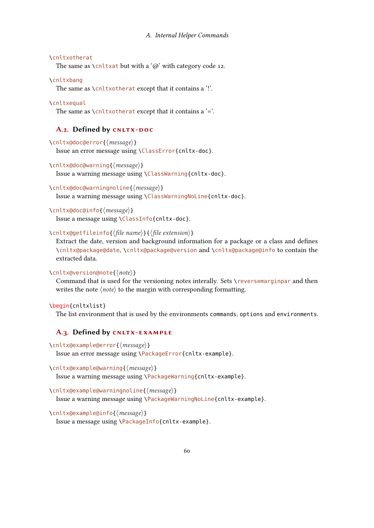#### <span id="page-59-0"></span>\cnltxotherat

The same as  $\chi$ cnltxat but with a ' $\omega$ ' with category code 12.

#### \cnltxbang

The same as \cnltxotherat except that it contains a '!'.

#### \cnltxequal

The same as  $\chi$ cnltxotherat except that it contains a '='.

# A.2. Defined by CNLTX-DOC

```
\cnltx@doc@error{\message}}
  Issue an error message using \ClassError{cnltx-doc}.
```
\cnltx@doc@warning{ $\langle message \rangle$ }

```
Issue a warning message using \ClassWarning{cnltx-doc}.
```

```
\cnltx@doc@warningnoline{\langle message \rangle}
  Issue a warning message using \ClassWarningNoLine{cnltx-doc}.
```

```
\cnltx@doc@info{\langle message \rangle}
  Issue a message using \ClassInfo{cnltx-doc}.
```
# \cnltx@getfileinfo{ $\langle$ file name $\rangle$ }{ $\langle$ file extension $\rangle$ }

Extract the date, version and background information for a package or a class and defines \cnltx@package@date, \cnltx@package@version and \cnltx@package@info to contain the extracted data.

### $\langle$ nltx@version@note{ $\langle note \rangle$ }

Command that is used for the versioning notes interally. Sets \reversemarginpar and then writes the note  $\langle note \rangle$  to the margin with corresponding formatting.

#### \begin{cnltxlist}

The list environment that is used by the environments commands, options and environments.

### A.3. Defined by CNLTX-EXAMPLE

```
\cnltx@example@error{\message}}
  Issue an error message using \PackageError{cnltx-example}.
```

```
\langlecnltx@example@warning{\langlemessage}}
  Issue a warning message using \PackageWarning{cnltx-example}.
```

```
\cnltx@example@warningnoline{\langle message \rangle}
```
Issue a warning message using \PackageWarningNoLine{cnltx-example}.

```
\cnltx@example@info{\message}}
```

```
Issue a message using \PackageInfo{cnltx-example}.
```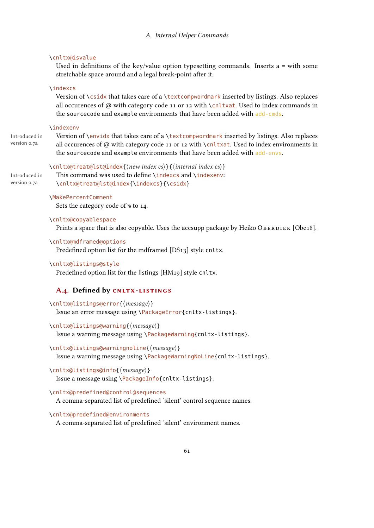#### <span id="page-60-0"></span>\cnltx@isvalue

Used in definitions of the key/value option typesetting commands. Inserts  $a = with some$ stretchable space around and a legal break-point after it.

### \indexcs

Version of \csidx that takes care of a \textcompwordmark inserted by listings. Also replaces all occurences of  $\varpi$  with category code 11 or 12 with \cnltxat. Used to index commands in the sourcecode and example environments that have been added with add-cmds.

#### \indexenv

Introduced in version 0.7a

Introduced in version 0.7a

Version of \envidx that takes care of a \textcompwordmark inserted by listings. Also replaces all occurences of @ with category code 11 or 12 with \cnltxat. Used to index environments in the sourcecode and example environments that have been added with add-envs.

# \cnltx@treat@lst@index{ $\langle new\ index\ cs\rangle$ }{ $\langle internal\ index\ cs\rangle$ } This command was used to define \indexcs and \indexenv: \cnltx@treat@lst@index{\indexcs}{\csidx}

#### \MakePercentComment

Sets the category code of % to 14.

### \cnltx@copyablespace

Prints a space that is also copyable. Uses the accsupp package by Heiko OBERDIEK [Obe18].

#### \cnltx@mdframed@options

Predefined option list for the mdframed [DS13] style cnltx.

# \cnltx@listings@style

Predefined option list for the listings [HM19] style cnltx.

### A.4. Defined by CNLTX-LISTINGS

# \cnltx@listings@error{\message}}

Issue an error message using \PackageError{cnltx-listings}.

### \cnltx@listings@warning{\message}}

Issue a warning message using \PackageWarning{cnltx-listings}.

#### $\langle$ nltx@listings@warningnoline{ $\langle$ message}}

Issue a warning message using \PackageWarningNoLine{cnltx-listings}.

# \cnltx@listings@info{ $\langle message \rangle$ }

Issue a message using \PackageInfo{cnltx-listings}.

#### \cnltx@predefined@control@sequences

A comma-separated list of predefined 'silent' control sequence names.

#### \cnltx@predefined@environments

A comma-separated list of predefined 'silent' environment names.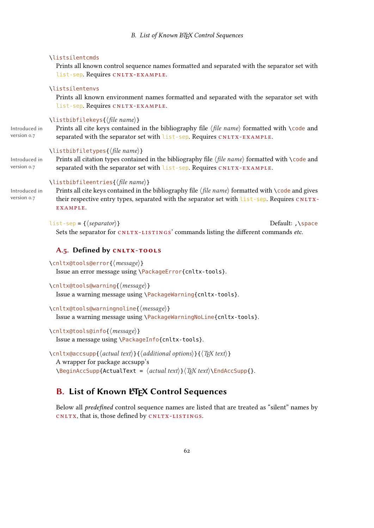#### <span id="page-61-0"></span>\listsilentcmds

Prints all known control sequence names formatted and separated with the separator set with list-sep. Requires CNLTX-EXAMPLE.

#### \listsilentenvs

Prints all known environment names formatted and separated with the separator set with list-sep. Requires CNLTX-EXAMPLE.

### $\langle$ listbibfilekeys{ $\langle$ file name $\rangle$ }

Introduced in version 0.7

Prints all cite keys contained in the bibliography file  $\langle$  file name $\rangle$  formatted with  $\setminus$  code and separated with the separator set with list-sep. Requires CNLTX-EXAMPLE.

#### $\left\{ \left\langle \hat{f} \right| \in \mathbb{R} \right\}$

Introduced in version 0.7

Prints all citation types contained in the bibliography file  $\langle$  file name $\rangle$  formatted with  $\setminus$ code and separated with the separator set with list-sep. Requires CNLTX-EXAMPLE.

# $\langle$ listbibfileentries{ $\langle$ file name $\rangle$ }

Introduced in version 0.7

Prints all cite keys contained in the bibliography file  $\langle$  file name $\rangle$  formatted with  $\setminus$  code and gives their respective entry types, separated with the separator set with list-sep. Requires CNLTXexample.

 $list\text{-}\text{sep} = \{(separator)\}\$  Default: ,\space Sets the separator for CNLTX-LISTINGS' commands listing the different commands etc.

# A.5. Defined by CNLTX-TOOLS

```
\cnltx@tools@error{(message)}
  Issue an error message using \PackageError{cnltx-tools}.
```

```
\cnltx@tools@warning{\message}}
  Issue a warning message using \PackageWarning{cnltx-tools}.
```
\cnltx@tools@warningnoline{\message}} Issue a warning message using \PackageWarningNoLine{cnltx-tools}.

# \cnltx@tools@info{ $\langle message \rangle$ }

Issue a message using \PackageInfo{cnltx-tools}.

```
\cnltx@accsupp{\langle actual text \rangle}{\langle additional options \rangle}{\langle T_F X text \rangle}
   A wrapper for package accsupp's
   \begin{equation*} \begin{cases} \text{Beta}(RctualText = \text{actual text}) & \text{Text} \end{cases} \end{equation*}
```
# **B. List of Known LATEX Control Sequences**

Below all *predefined* control sequence names are listed that are treated as "silent" names by CNLTX, that is, those defined by CNLTX-LISTINGS.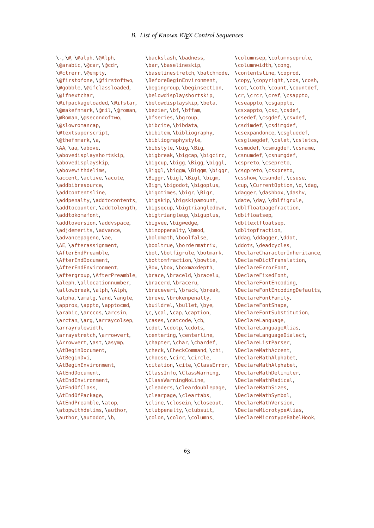\-, \@, \@alph, \@Alph, \@arabic, \@car, \@cdr, \@ctrerr, \@empty, \@firstofone, \@firstoftwo, \@gobble, \@ifclassloaded, \@ifnextchar, \@ifpackageloaded, \@ifstar, \@makefnmark, \@nil, \@roman, \@Roman, \@secondoftwo, \@slowromancap, \@textsuperscript, \@thefnmark, \a, \AA, \aa, \above, \abovedisplayshortskip, \abovedisplayskip, \abovewithdelims, \accent, \active, \acute, \addbibresource, \addcontentsline, \addpenalty, \addtocontents, \addtocounter, \addtolength, \addtokomafont, \addtoversion, \addvspace, \adjdemerits, \advance, \advancepageno, \ae, \AE, \afterassignment, \AfterEndPreamble, \AfterEndDocument, \AfterEndEnvironment, \aftergroup, \AfterPreamble, \aleph, \allocationnumber, \allowbreak, \alph, \Alph, \alpha, \amalg, \and, \angle, \approx, \appto, \apptocmd, \arabic, \arccos, \arcsin, \arctan, \arg, \arraycolsep, \arrayrulewidth, \arraystretch, \arrowvert, \Arrowvert, \ast, \asymp, \AtBeginDocument, \AtBeginDvi, \AtBeginEnvironment, \AtEndDocument, \AtEndEnvironment, \AtEndOfClass, \AtEndOfPackage, \AtEndPreamble, \atop, \atopwithdelims, \author, \author, \autodot, \b,

\backslash, \badness, \bar, \baselineskip, \baselinestretch, \batchmode, \BeforeBeginEnvironment, \begingroup, \beginsection, \belowdisplayshortskip, \belowdisplayskip, \beta, \bezier, \bf, \bffam, \bfseries, \bgroup, \bibcite, \bibdata, \bibitem, \bibliography, \bibliographystyle, \bibstyle, \big, \Big, \bigbreak, \bigcap, \bigcirc, \bigcup, \bigg, \Bigg, \biggl, \Biggl, \biggm, \Biggm, \biggr, \Biggr, \bigl, \Bigl, \bigm, \Bigm, \bigodot, \bigoplus, \bigotimes, \bigr, \Bigr, \bigskip, \bigskipamount, \bigsqcup, \bigtriangledown, \bigtriangleup, \biguplus, \bigvee, \bigwedge, \binoppenalty, \bmod, \boldmath, \boolfalse, \booltrue, \bordermatrix, \bot, \botfigrule, \botmark, \bottomfraction, \bowtie, \Box, \box, \boxmaxdepth, \brace, \braceld, \bracelu, \bracerd, \braceru, \bracevert, \brack, \break, \breve, \brokenpenalty, \buildrel, \bullet, \bye, \c, \cal, \cap, \caption, \cases, \catcode, \cb, \cdot, \cdotp, \cdots, \centering, \centerline, \chapter, \char, \chardef, \check, \CheckCommand, \chi, \choose, \circ, \circle, \citation, \cite, \ClassError, \ClassInfo, \ClassWarning, \ClassWarningNoLine, \cleaders, \cleardoublepage, \clearpage, \cleartabs, \cline, \closein, \closeout, \clubpenalty, \clubsuit, \colon, \color, \columns,

\columnsep, \columnseprule, \columnwidth, \cong, \contentsline, \coprod, \copy, \copyright, \cos, \cosh, \cot, \coth, \count, \countdef, \cr, \crcr, \cref, \csappto, \cseappto, \csgappto, \csxappto, \csc, \csdef, \csedef, \csgdef, \csxdef, \csdimdef, \csdimgdef, \csexpandonce, \csgluedef, \csgluegdef, \cslet, \csletcs, \csmudef, \csmugdef, \csname, \csnumdef, \csnumgdef, \cspreto, \csepreto, \csgpreto, \csxpreto, \csshow, \csundef, \csuse, \cup, \CurrentOption, \d, \dag, \dagger, \dashbox, \dashv, \date, \day, \dblfigrule, \dblfloatpagefraction, \dblfloatsep, \dbltextfloatsep, \dbltopfraction, \ddag, \ddagger, \ddot, \ddots, \deadcycles, \DeclareCharacterInheritance, \DeclareDictTranslation, \DeclareErrorFont, \DeclareFixedFont, \DeclareFontEncoding, \DeclareFontEncodingDefaults, \DeclareFontFamily, \DeclareFontShape, \DeclareFontSubstitution, \DeclareLanguage, \DeclareLanguageAlias, \DeclareLanguageDialect, \DeclareListParser, \DeclareMathAccent, \DeclareMathAlphabet, \DeclareMathAlphabet, \DeclareMathDelimiter, \DeclareMathRadical, \DeclareMathSizes, \DeclareMathSymbol, \DeclareMathVersion, \DeclareMicrotypeAlias, \DeclareMicrotypeBabelHook,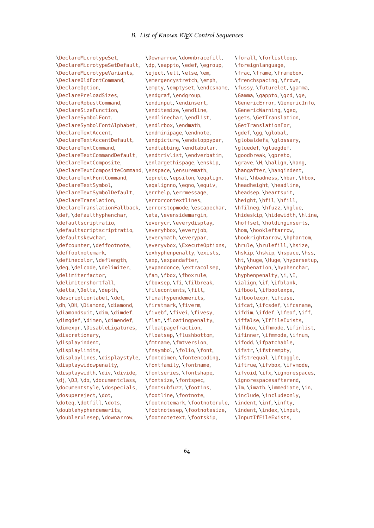\DeclareMicrotypeSet, \DeclareMicrotypeSetDefault, \DeclareMicrotypeVariants, \DeclareOldFontCommand, \DeclareOption, \DeclarePreloadSizes, \DeclareRobustCommand, \DeclareSizeFunction, \DeclareSymbolFont, \DeclareSymbolFontAlphabet, \DeclareTextAccent, \DeclareTextAccentDefault, \DeclareTextCommand, \DeclareTextCommandDefault, \DeclareTextComposite, \DeclareTextCompositeCommand, \enspace, \ensuremath, \DeclareTextFontCommand, \DeclareTextSymbol, \DeclareTextSymbolDefault, \DeclareTranslation, \DeclareTranslationFallback, \def, \defaulthyphenchar, \defaultscriptratio, \defaultscriptscriptratio, \defaultskewchar, \defcounter, \deffootnote, \deffootnotemark, \definecolor, \deflength, \deg, \delcode, \delimiter, \delimiterfactor, \delimitershortfall, \delta, \Delta, \depth, \descriptionlabel, \det, \dh, \DH, \Diamond, \diamond, \diamondsuit, \dim, \dimdef, \dimgdef, \dimen, \dimendef, \dimexpr, \DisableLigatures, \discretionary, \displayindent, \displaylimits, \displaylines, \displaystyle, \displaywidowpenalty, \displaywidth, \div, \divide, \dj, \DJ, \do, \documentclass, \documentstyle, \dospecials, \dosupereject, \dot, \doteq, \dotfill, \dots, \doublehyphendemerits, \doublerulesep, \downarrow,

\Downarrow, \downbracefill, \dp, \eappto, \edef, \egroup, \eject, \ell, \else, \em, \emergencystretch, \emph, \empty, \emptyset, \endcsname, \endgraf, \endgroup, \endinput, \endinsert, \enditemize, \endline, \endlinechar, \endlist, \endlrbox, \endmath, \endminipage, \endnote, \endpicture, \endsloppypar, \endtabbing, \endtabular, \endtrivlist, \endverbatim, \enlargethispage, \enskip, \epreto, \epsilon, \eqalign, \eqalignno, \eqno, \equiv, \errhelp, \errmessage, \errorcontextlines, \errorstopmode, \escapechar, \eta, \evensidemargin, \everycr, \everydisplay, \everyhbox, \everyjob, \everymath, \everypar, \everyvbox, \ExecuteOptions, \exhyphenpenalty, \exists, \exp, \expandafter, \expandonce, \extracolsep, \fam, \fbox, \fboxrule, \fboxsep, \fi, \filbreak, \filecontents, \fill, \finalhypendemerits, \firstmark, \fiverm, \fivebf, \fivei, \fivesy, \flat, \floatingpenalty, \floatpagefraction, \floatsep, \flushbottom, \fmtname, \fmtversion, \fnsymbol, \folio, \font, \fontdimen, \fontencoding, \fontfamily, \fontname, \fontseries, \fontshape, \fontsize, \fontspec, \fontsubfuzz, \footins, \footline, \footnote, \footnotemark, \footnoterule, \footnotesep, \footnotesize, \footnotetext, \footskip,

\forall, \forlistloop, \foreignlanguage, \frac, \frame, \framebox, \frenchspacing, \frown, \fussy, \futurelet, \gamma, \Gamma, \gappto, \gcd, \ge, \GenericError, \GenericInfo, \GenericWarning, \geq, \gets, \GetTranslation, \GetTranslationFor, \gdef, \gg, \global, \globaldefs, \glossary, \gluedef, \gluegdef, \goodbreak, \gpreto, \grave, \H, \halign, \hang, \hangafter, \hangindent, \hat, \hbadness, \hbar, \hbox, \headheight, \headline, \headsep, \heartsuit, \height, \hfil, \hfill, \hfilneg, \hfuzz, \hglue, \hideskip, \hidewidth, \hline, \hoffset, \holdinginserts, \hom, \hookleftarrow, \hookrightarrow, \hphantom, \hrule, \hrulefill, \hsize, \hskip, \hskip, \hspace, \hss, \ht, \huge, \Huge, \hypersetup, \hyphenation, \hyphenchar, \hyphenpenalty, \i, \I, \ialign, \if, \ifblank, \ifbool, \ifboolexpe, \ifboolexpr, \ifcase, \ifcat, \ifcsdef, \ifcsname, \ifdim, \ifdef, \ifeof, \iff, \iffalse, \IfFileExists, \ifhbox, \ifhmode, \ifinlist, \ifinner, \ifmmode, \ifnum, \ifodd, \ifpatchable, \ifstr, \ifstrempty, \ifstrequal, \iftoggle, \iftrue, \ifvbox, \ifvmode, \ifvoid, \ifx, \ignorespaces, \ignorespacesafterend, \Im, \imath, \immediate, \in, \include, \includeonly, \indent, \inf, \infty, \indent, \index, \input, \InputIfFileExists,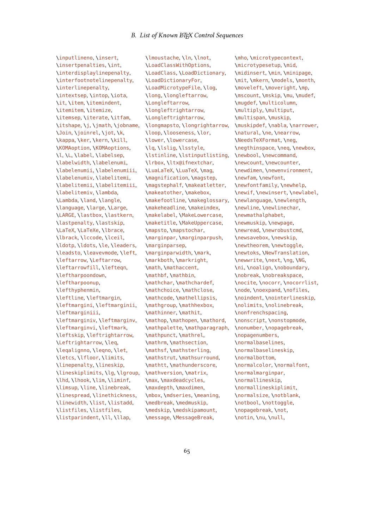\inputlineno, \insert, \insertpenalties, \int, \interdisplaylinepenalty, \interfootnotelinepenalty, \interlinepenalty, \intextsep, \intop, \iota, \it, \item, \itemindent, \itemitem, \itemize, \itemsep, \iterate, \itfam, \itshape, \j, \jmath, \jobname, \Join, \joinrel, \jot, \k, \kappa, \ker, \kern, \kill, \KOMAoption, \KOMAoptions, \l, \L, \label, \labelsep, \labelwidth, \labelenumi, \labelenumii, \labelenumiii, \labelenumiv, \labelitemi, \labelitemii, \labelitemiii, \labelitemiv, \lambda, \Lambda, \land, \langle, \language, \large, \Large, \LARGE, \lastbox, \lastkern, \lastpenalty, \lastskip, \LaTeX, \LaTeXe, \lbrace, \lbrack, \lccode, \lceil, \ldotp, \ldots, \le, \leaders, \leadsto, \leavevmode, \left, \leftarrow, \Leftarrow, \leftarrowfill, \lefteqn, \leftharpoondown, \leftharpoonup, \lefthyphenmin, \leftline, \leftmargin, \leftmargini, \leftmarginii, \leftmarginiii, \leftmarginiv, \leftmarginv, \leftmarginvi, \leftmark, \leftskip, \leftrightarrow, \Leftrightarrow, \leq, \leqalignno, \leqno, \let, \letcs, \lfloor, \limits, \linepenalty, \lineskip, \lineskiplimits, \lg, \lgroup, \lhd, \lhook, \lim, \liminf, \limsup, \line, \linebreak, \linespread, \linethickness, \linewidth, \list, \listadd, \listfiles, \listfiles, \listparindent, \ll, \llap,

\lmoustache, \ln, \lnot, \LoadClassWithOptions, \LoadClass, \LoadDictionary, \LoadDictionaryFor, \LoadMicrotypeFile, \log, \long, \longleftarrow, \Longleftarrow, \longleftrightarrow, \Longleftrightarrow, \longmapsto, \longrightarrow, \loop, \looseness, \lor, \lower, \lowercase, \lq, \lslig, \lsstyle, \lstinline, \lstinputlisting, \lrbox, \ltx@ifnextchar, \LuaLaTeX, \LuaTeX, \mag, \magnification, \magstep, \magstephalf, \makeatletter, \makeatother, \makebox, \makefootline, \makeglossary, \makeheadline, \makeindex, \makelabel, \MakeLowercase, \maketitle, \MakeUppercase, \mapsto, \mapstochar, \marginpar, \marginparpush, \marginparsep, \marginparwidth, \mark, \markboth, \markright, \math, \mathaccent, \mathbf, \mathbin, \mathchar, \mathchardef, \mathchoice, \mathclose, \mathcode, \mathellipsis, \mathgroup, \mathhexbox, \mathinner, \mathit, \mathop, \mathopen, \mathord, \mathpalette, \mathparagraph, \mathpunct, \mathrel, \mathrm, \mathsection, \mathsf, \mathsterling, \mathstrut, \mathsurround, \mathtt, \mathunderscore, \mathversion, \matrix, \max, \maxdeadcycles, \maxdepth, \maxdimen, \mbox, \mdseries, \meaning, \medbreak, \medmuskip, \medskip, \medskipamount, \message, \MessageBreak,

\mho, \microtypecontext, \microtypesetup, \mid, \midinsert, \min, \minipage, \mit, \mkern, \models, \month, \moveleft, \moveright, \mp, \mscount, \mskip, \mu, \mudef, \mugdef, \multicolumn, \multiply, \multiput, \multispan, \muskip, \muskipdef, \nabla, \narrower, \natural, \ne, \nearrow, \NeedsTeXFormat, \neg, \negthinspace, \neq, \newbox, \newbool, \newcommand, \newcount, \newcounter, \newdimen, \newenvironment, \newfam, \newfont, \newfontfamily, \newhelp, \newif, \newinsert, \newlabel, \newlanguage, \newlength, \newline, \newlinechar, \newmathalphabet, \newmuskip, \newpage, \newread, \newrobustcmd, \newsavebox, \newskip, \newtheorem, \newtoggle, \newtoks, \NewTranslation, \newwrite, \next, \ng, \NG, \ni, \noalign, \noboundary, \nobreak, \nobreakspace, \nocite, \nocorr, \nocorrlist, \node, \noexpand, \nofiles, \noindent, \nointerlineskip, \nolimits, \nolinebreak, \nonfrenchspacing, \nonscript, \nonstopmode, \nonumber, \nopagebreak, \nopagenumbers, \normalbaselines, \normalbaselineskip, \normalbottom, \normalcolor, \normalfont, \normalmarginpar, \normallineskip, \normallineskiplimit, \normalsize, \notblank, \notbool, \nottoggle, \nopagebreak, \not, \notin, \nu, \null,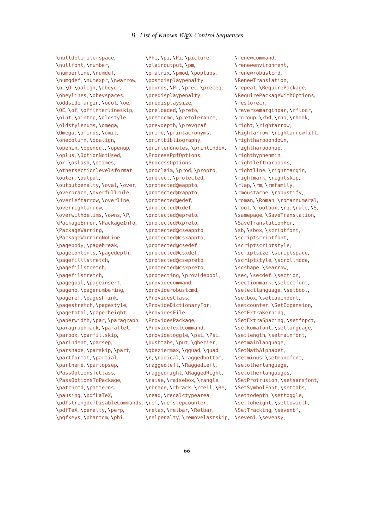\nulldelimiterspace, \nullfont, \number, \numberline, \numdef, \numgdef, \numexpr, \nwarrow, \o, \O, \oalign, \obeycr, \obeylines, \obeyspaces, \oddsidemargin, \odot, \oe, \OE, \of, \offinterlineskip, \oint, \ointop, \oldstyle, \oldstylenums, \omega, \Omega, \ominus, \omit, \onecolumn, \ooalign, \openin, \openout, \openup, \oplus, \OptionNotUsed, \or, \oslash, \otimes, \othersectionlevelsformat, \outer, \output, \outputpenalty, \oval, \over, \overbrace, \overfullrule, \overleftarrow, \overline, \overrightarrow, \overwithdelims, \owns, \P, \PackageError, \PackageInfo, \PackageWarning, \PackageWarningNoLine, \pagebody, \pagebreak, \pagecontents, \pagedepth, \pagefilllstretch, \pagefillstretch, \pagefilstretch, \pagegoal, \pageinsert, \pageno, \pagenumbering, \pageref, \pageshrink, \pagestretch, \pagestyle, \pagetotal, \paperheight, \paperwidth, \par, \paragraph, \paragraphmark, \parallel, \parbox, \parfillskip, \parindent, \parsep, \parshape, \parskip, \part, \partformat, \partial, \partname, \partopsep, \PassOptionsToClass, \PassOptionsToPackage, \patchcmd, \patterns, \pausing, \pdfLaTeX, \pdfstringdefDisableCommands, \ref, \refstepcounter, \pdfTeX, \penalty, \perp, \pgfkeys, \phantom, \phi,

\Phi, \pi, \Pi, \picture, \plainoutput, \pm, \pmatrix, \pmod, \poptabs, \postdisplaypenalty, \pounds, \Pr, \prec, \preceq, \predisplaypenalty, \predisplaysize, \preloaded, \preto, \pretocmd, \pretolerance, \prevdepth, \prevgraf, \prime, \printacronyms, \printbibliography, \printendnotes, \printindex, \ProcessPgfOptions, \ProcessOptions, \proclaim, \prod, \propto, \protect, \protected, \protected@eappto, \protected@xappto, \protected@edef, \protected@xdef, \protected@epreto, \protected@xpreto, \protected@cseappto, \protected@csxappto, \protected@csedef, \protected@csxdef, \protected@csepreto, \protected@csxpreto, \protecting, \providebool, \providecommand, \providerobustcmd, \ProvidesClass, \ProvideDictionaryFor, \ProvidesFile, \ProvidesPackage, \ProvideTextCommand, \providetoggle, \psi, \Psi, \pushtabs, \put, \qbezier, \qbeziermax, \qquad, \quad, \r, \radical, \raggedbottom, \raggedleft, \RaggedLeft, \raggedright, \RaggedRight, \raise, \raisebox, \rangle, \rbrace, \rbrack, \rceil, \Re, \read, \recalctypearea, \relax, \relbar, \Relbar,

\relpenalty,\removelastskip, \seveni,\sevensy, \renewcommand, \renewenvironment, \renewrobustcmd, \RenewTranslation, \repeat, \RequirePackage, \RequirePackageWithOptions, \restorecr, \reversemarginpar, \rfloor, \rgroup, \rhd, \rho, \rhook, \right, \rightarrow, \Rightarrow, \rightarrowfill, \rightharpoondown, \rightharpoonup, \righthyphenmin, \rightleftharpoons, \rightline, \rightmargin, \rightmark, \rightskip, \rlap, \rm, \rmfamily, \rmoustache, \robustify, \roman, \Roman, \romannumeral, \root, \rootbox, \rq, \rule, \S, \samepage, \SaveTranslation, \SaveTranslationFor, \sb, \sbox, \scriptfont, \scriptscriptfont, \scriptscriptstyle, \scriptsize, \scriptspace, \scriptstyle, \scrollmode, \scshape, \searrow, \sec, \secdef, \section, \sectionmark, \selectfont, \selectlanguage, \setbool, \setbox, \setcapindent, \setcounter, \SetExpansion, \SetExtraKerning, \SetExtraSpacing, \setfnpct, \setkomafont, \setlanguage, \setlength, \setmainfont, \setmainlanguage, \SetMathAlphabet, \setminus, \setmonofont, \setotherlanguage, \setotherlanguages, \SetProtrusion, \setsansfont, \SetSymbolFont, \settabs, \settodepth, \settoggle, \settoheight, \settowidth, \SetTracking, \sevenbf,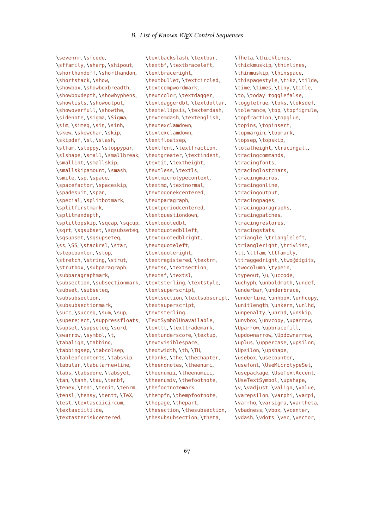\sevenrm, \sfcode, \sffamily, \sharp, \shipout, \shorthandoff, \shorthandon, \shortstack, \show, \showbox, \showboxbreadth, \showboxdepth, \showhyphens, \showlists, \showoutput, \showoverfull, \showthe, \sidenote, \sigma, \Sigma, \sim, \simeq, \sin, \sinh, \skew, \skewchar, \skip, \skipdef, \sl, \slash, \slfam, \sloppy, \sloppypar, \slshape, \small, \smallbreak, \smallint, \smallskip, \smallskipamount, \smash, \smile, \sp, \space, \spacefactor, \spaceskip, \spadesuit, \span, \special, \splitbotmark, \splitfirstmark, \splitmaxdepth, \splittopskip, \sqcap, \sqcup, \sqrt, \sqsubset, \sqsubseteq, \sqsupset, \sqsupseteq, \ss, \SS, \stackrel, \star, \stepcounter, \stop, \stretch, \string, \strut, \strutbox, \subparagraph, \subparagraphmark, \subsection, \subsectionmark, \subset, \subseteq, \subsubsection, \subsubsectionmark, \succ, \succeq, \sum, \sup, \supereject, \suppressfloats, \supset, \supseteq, \surd, \swarrow, \symbol, \t, \tabalign, \tabbing, \tabbingsep, \tabcolsep, \tableofcontents, \tabskip, \tabular, \tabularnewline, \tabs, \tabsdone, \tabsyet, \tan, \tanh, \tau, \tenbf, \tenex, \teni, \tenit, \tenrm, \tensl, \tensy, \tentt, \TeX, \test, \textasciicircum, \textasciitilde, \textasteriskcentered,

\textbackslash, \textbar, \textbf, \textbraceleft, \textbraceright, \textbullet, \textcircled, \textcompwordmark, \textcolor, \textdagger, \textdaggerdbl, \textdollar, \textellipsis, \textemdash, \textemdash, \textenglish, \textexclamdown, \textexclamdown, \textfloatsep, \textfont, \textfraction, \textgreater, \textindent, \textit, \textheight, \textless, \textls, \textmicrotypecontext, \textmd, \textnormal, \textogonekcentered, \textparagraph, \textperiodcentered, \textquestiondown, \textquotedbl, \textquotedblleft, \textquotedblright, \textquoteleft, \textquoteright, \textregistered, \textrm, \textsc, \textsection, \textsf, \textsl, \textsterling, \textstyle, \textsuperscript, \textsection, \textsubscript, \textsuperscript, \textsterling, \TextSymbolUnavailable, \texttt, \texttrademark, \textunderscore, \textup, \textvisiblespace, \textwidth, \th, \TH, \thanks, \the, \thechapter, \theendnotes, \theenumi, \theenumii, \theenumiii, \theenumiv, \thefootnote, \thefootnotemark, \thempfn, \thempfootnote, \thepage, \thepart, \thesection, \thesubsection, \thesubsubsection, \theta,

\Theta, \thicklines, \thickmuskip, \thinlines, \thinmuskip, \thinspace, \thispagestyle, \tikz, \tilde, \time, \times, \tiny, \title, \to, \today togglefalse, \toggletrue, \toks, \toksdef, \tolerance, \top, \topfigrule, \topfraction, \topglue, \topins, \topinsert, \topmargin, \topmark, \topsep, \topskip, \totalheight, \tracingall, \tracingcommands, \tracingfonts, \tracinglostchars, \tracingmacros, \tracingonline, \tracingoutput, \tracingpages, \tracingparagraphs, \tracingpatches, \tracingrestores, \tracingstats, \triangle, \triangleleft, \triangleright, \trivlist, \tt, \ttfam, \ttfamily, \ttraggedright, \two@digits, \twocolumn, \typein, \typeout, \u, \uccode, \uchyph, \unboldmath, \undef, \underbar, \underbrace, \underline, \unhbox, \unhcopy, \unitlength, \unkern, \unlhd, \unpenalty, \unrhd, \unskip, \unvbox, \unvcopy, \uparrow, \Uparrow, \upbracefill, \updownarrow, \Updownarrow, \uplus, \uppercase, \upsilon, \Upsilon, \upshape, \usebox, \usecounter, \usefont, \UseMicrotypeSet, \usepackage, \UseTextAccent, \UseTextSymbol, \upshape, \v, \vadjust, \valign, \value, \varepsilon, \varphi, \varpi, \varrho, \varsigma, \vartheta, \vbadness, \vbox, \vcenter, \vdash, \vdots, \vec, \vector,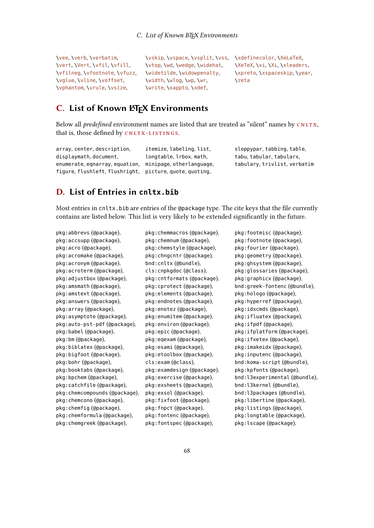\vee, \verb, \verbatim, \vert, \Vert, \vfil, \vfill, \vfilneg, \vfootnote, \vfuzz, \vglue, \vline, \voffset, \vphantom, \vrule, \vsize,

\vtop, \wd, \wedge, \widehat, \widetilde, \widowpenalty, \width, \wlog, \wp, \wr, \write, \xappto, \xdef,

\vskip, \vspace, \vsplit, \vss, \xdefinecolor, \XeLaTeX, \XeTeX, \xi, \Xi, \xleaders, \xpreto, \xspaceskip, \year, \zeta

# C. List of Known LATEX Environments

Below all *predefined* environment names are listed that are treated as "silent" names by  $CNUTX$ , that is, those defined by CNLTX-LISTINGS.

array, center, description, displaymath, document, enumerate, eqnarray, equation, minipage, otherlanguage, figure, flushleft, flushright, picture, quote, quoting, itemize, labeling, list, longtable, lrbox, math,

sloppypar, tabbing, table, tabu, tabular, tabularx, tabulary, trivlist, verbatim

# D. List of Entries in **cnltx.bib**

Most entries in cnltx.bib are entries of the @package type. The cite keys that the file currently contains are listed below. This list is very likely to be extended significantly in the future.

pkg:abbrevs (@package), pkg:accsupp (@package), pkg:acro (@package), pkg:acromake (@package), pkg:acronym (@package), pkg:acroterm (@package), pkg:adjustbox (@package), pkg:amsmath (@package), pkg:amstext (@package), pkg:answers (@package), pkg:array (@package), pkg:asymptote (@package), pkg:auto-pst-pdf (@package), pkg:babel (@package), pkg:bm (@package), pkg:biblatex (@package), pkg:bigfoot (@package), pkg:bohr (@package), pkg:booktabs (@package), pkg:bpchem (@package), pkg:catchfile (@package), pkg:chemcompounds (@package), pkg:chemcono (@package), pkg:chemfig (@package), pkg:chemformula (@package), pkg:chemgreek (@package),

pkg:chemmacros (@package), pkg:chemnum (@package), pkg:chemstyle (@package), pkg:chngcntr (@package), bnd:cnltx (@bundle), cls:cnpkgdoc (@class), pkg:cntformats (@package), pkg:cprotect (@package), pkg:elements (@package), pkg:endnotes (@package), pkg:enotez (@package), pkg:enumitem (@package), pkg:environ (@package), pkg:epic (@package), pkg:eqexam (@package), pkg:esami (@package), pkg:etoolbox (@package), cls:exam (@class), pkg:examdesign (@package), pkg:exercise (@package), pkg:exsheets (@package), pkg:exsol (@package), pkg:fixfoot (@package), pkg:fnpct (@package), pkg:fontenc (@package), pkg:fontspec (@package),

pkg:footmisc (@package), pkg:footnote (@package), pkg:fourier (@package), pkg:geometry (@package), pkg:ghsystem (@package), pkg:glossaries (@package), pkg:graphicx (@package), bnd:greek-fontenc (@bundle), pkg:hologo (@package), pkg:hyperref (@package), pkg:idxcmds (@package), pkg:ifluatex (@package), pkg:ifpdf (@package), pkg:ifplatform (@package), pkg:ifxetex (@package), pkg:imakeidx (@package), pkg:inputenc (@package), bnd:koma-script (@bundle), pkg:kpfonts (@package), bnd:l3experimental (@bundle), bnd:l3kernel (@bundle), bnd:l3packages (@bundle), pkg:libertine (@package), pkg:listings (@package), pkg:longtable (@package), pkg:lscape (@package),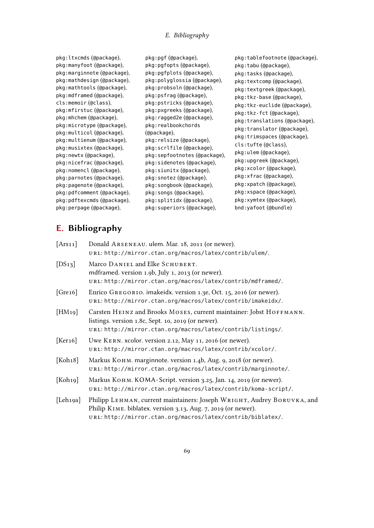# E. Bibliography

pkg:ltxcmds (@package), pkg:manyfoot (@package), pkg:marginnote (@package), pkg:mathdesign (@package), pkg:mathtools (@package), pkg:mdframed (@package), cls:memoir (@class), pkg:mfirstuc (@package), pkg:mhchem (@package), pkg:microtype (@package), pkg:multicol (@package), pkg:multienum (@package), pkg:musixtex (@package), pkg:newtx (@package), pkg:nicefrac (@package), pkg:nomencl (@package), pkg:parnotes (@package), pkg:pagenote (@package), pkg:pdfcomment (@package), pkg:pdftexcmds (@package), pkg:perpage (@package),

pkg:pgf (@package), pkg:pgfopts (@package), pkg:pgfplots (@package), pkg:polyglossia (@package), pkg:probsoln (@package), pkg:psfrag (@package), pkg:pstricks (@package), pkg:pxgreeks (@package), pkg:ragged2e (@package), pkg:realbookchords (@package), pkg:relsize (@package), pkg:scrlfile (@package), pkg:sepfootnotes (@package), pkg:sidenotes (@package), pkg:siunitx (@package), pkg:snotez (@package), pkg:songbook (@package), pkg:songs (@package), pkg:splitidx (@package), pkg:superiors (@package),

pkg:tablefootnote (@package), pkg:tabu (@package), pkg:tasks (@package), pkg:textcomp (@package), pkg:textgreek (@package), pkg:tkz-base (@package), pkg:tkz-euclide (@package), pkg:tkz-fct (@package), pkg:translations (@package), pkg:translator (@package), pkg:trimspaces (@package), cls:tufte (@class), pkg:ulem (@package), pkg:upgreek (@package), pkg:xcolor (@package), pkg:xfrac (@package), pkg:xpatch (@package), pkg:xspace (@package), pkg:xymtex (@package), bnd:yafoot (@bundle)

# E. Bibliography

| [Ans11]              | Donald ARSENEAU. ulem. Mar. 18, 2011 (or newer).<br>URL: http://mirror.ctan.org/macros/latex/contrib/ulem/.                                                                                             |
|----------------------|---------------------------------------------------------------------------------------------------------------------------------------------------------------------------------------------------------|
| [DS13]               | Marco DANIEL and Elke SCHUBERT.<br>mdframed. version 1.9b, July 1, 2013 (or newer).<br>URL: http://mirror.ctan.org/macros/latex/contrib/mdframed/.                                                      |
| [Gre16]              | Enrico GREGORIO. imakeidx. version 1.3e, Oct. 15, 2016 (or newer).<br>URL: http://mirror.ctan.org/macros/latex/contrib/imakeidx/.                                                                       |
| [HM <sub>19</sub> ]  | Carsten HEINZ and Brooks MOSES, current maintainer: Jobst HOFFMANN.<br>listings. version 1.8c, Sept. 10, 2019 (or newer).<br>URL: http://mirror.ctan.org/macros/latex/contrib/listings/.                |
| [Ker16]              | Uwe KERN. xcolor. version 2.12, May 11, 2016 (or newer).<br>URL: http://mirror.ctan.org/macros/latex/contrib/xcolor/.                                                                                   |
| [Koh18]              | Markus Конм. marginnote. version 1.4b, Aug. 9, 2018 (or newer).<br>URL: http://mirror.ctan.org/macros/latex/contrib/marginnote/.                                                                        |
| [Koh <sub>19</sub> ] | Markus Конм. KOMA-Script. version 3.25, Jan. 14, 2019 (or newer).<br>URL: http://mirror.ctan.org/macros/latex/contrib/koma-script/.                                                                     |
| [Leh19a]             | Philipp LEHMAN, current maintainers: Joseph WRIGHT, Audrey BORUVKA, and<br>Philip KIME. biblatex. version 3.13, Aug. 7, 2019 (or newer).<br>URL: http://mirror.ctan.org/macros/latex/contrib/biblatex/. |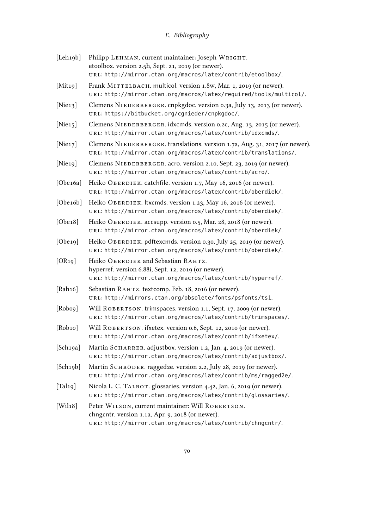# E. Bibliography

| [Leh19b]            | Philipp LEHMAN, current maintainer: Joseph WRIGHT.<br>etoolbox. version 2.5h, Sept. 21, 2019 (or newer).<br>URL: http://mirror.ctan.org/macros/latex/contrib/etoolbox/. |
|---------------------|-------------------------------------------------------------------------------------------------------------------------------------------------------------------------|
| [Mit19]             | Frank MITTELBACH. multicol. version 1.8w, Mar. 1, 2019 (or newer).<br>URL: http://mirror.ctan.org/macros/latex/required/tools/multicol/.                                |
| [Nie13]             | Clemens NIEDERBERGER. cnpkgdoc. version 0.3a, July 13, 2013 (or newer).<br>URL: https://bitbucket.org/cgnieder/cnpkgdoc/.                                               |
| [Nie15]             | Clemens NIEDERBERGER. idxcmds. version 0.2c, Aug. 13, 2015 (or newer).<br>URL: http://mirror.ctan.org/macros/latex/contrib/idxcmds/.                                    |
| [Nie17]             | Clemens NIEDERBERGER. translations. version 1.7a, Aug. 31, 2017 (or newer).<br>URL: http://mirror.ctan.org/macros/latex/contrib/translations/.                          |
| [Nie19]             | Clemens NIEDERBERGER. acro. version 2.10, Sept. 23, 2019 (or newer).<br>URL: http://mirror.ctan.org/macros/latex/contrib/acro/.                                         |
| [Obe16a]            | Heiko OBERDIEK. catchfile. version 1.7, May 16, 2016 (or newer).<br>URL: http://mirror.ctan.org/macros/latex/contrib/oberdiek/.                                         |
| [Obe16b]            | Heiko OBERDIEK. Itxcmds. version 1.23, May 16, 2016 (or newer).<br>URL: http://mirror.ctan.org/macros/latex/contrib/oberdiek/.                                          |
| [Obe18]             | Heiko OBERDIEK. accsupp. version 0.5, Mar. 28, 2018 (or newer).<br>URL: http://mirror.ctan.org/macros/latex/contrib/oberdiek/.                                          |
| [Obe19]             | Heiko OBERDIEK. pdftexcmds. version 0.30, July 25, 2019 (or newer).<br>URL: http://mirror.ctan.org/macros/latex/contrib/oberdiek/.                                      |
| [OR <sub>19</sub> ] | Heiko OBERDIEK and Sebastian RAHTZ.<br>hyperref. version 6.88i, Sept. 12, 2019 (or newer).<br>URL: http://mirror.ctan.org/macros/latex/contrib/hyperref/.               |
| [Rah16]             | Sebastian RAHTZ. textcomp. Feb. 18, 2016 (or newer).<br>URL: http://mirrors.ctan.org/obsolete/fonts/psfonts/ts1.                                                        |
| [Robo9]             | Will ROBERTSON. trimspaces. version 1.1, Sept. 17, 2009 (or newer).<br>URL: http://mirror.ctan.org/macros/latex/contrib/trimspaces/.                                    |
| [Robio]             | Will ROBERTSON. if xetex. version 0.6, Sept. 12, 2010 (or newer).<br>URL: http://mirror.ctan.org/macros/latex/contrib/ifxetex/.                                         |
| [Sch19a]            | Martin SCHARRER. adjustbox. version 1.2, Jan. 4, 2019 (or newer).<br>URL: http://mirror.ctan.org/macros/latex/contrib/adjustbox/.                                       |
| [Sch19b]            | Martin SCHRÖDER. ragged2e. version 2.2, July 28, 2019 (or newer).<br>URL: http://mirror.ctan.org/macros/latex/contrib/ms/ragged2e/.                                     |
| [Tali9]             | Nicola L. C. TALBOT. glossaries. version 4.42, Jan. 6, 2019 (or newer).<br>URL: http://mirror.ctan.org/macros/latex/contrib/glossaries/.                                |
| [Wil18]             | Peter WILSON, current maintainer: Will ROBERTSON.<br>chngcntr. version 1.1a, Apr. 9, 2018 (or newer).<br>URL: http://mirror.ctan.org/macros/latex/contrib/chngcntr/.    |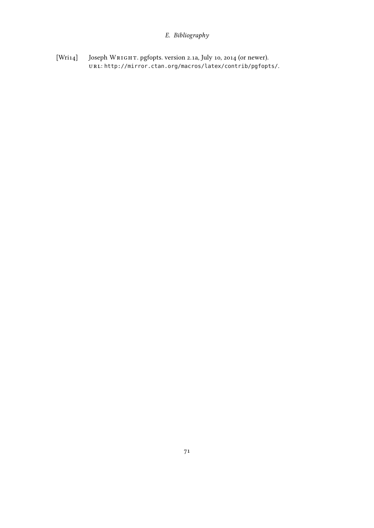# E. Bibliography

[Wri14] Joseph WRIGHT. pgfopts. version 2.1a, July 10, 2014 (or newer). url: <http://mirror.ctan.org/macros/latex/contrib/pgfopts/>.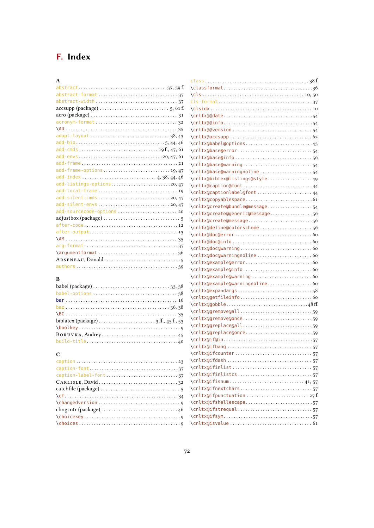# F. Index

| $\mathbf{A}$                                                                              |
|-------------------------------------------------------------------------------------------|
|                                                                                           |
|                                                                                           |
|                                                                                           |
| $\text{accept}(package) \dots \dots \dots \dots \dots \dots \dots \dots 5, 61 \text{ f.}$ |
|                                                                                           |
| acronym-format 32                                                                         |
|                                                                                           |
| adapt-layout 38,43                                                                        |
| $add - bib \dots 134446$                                                                  |
|                                                                                           |
|                                                                                           |
|                                                                                           |
| add-frame-options19,47                                                                    |
|                                                                                           |
| add-listings-options20,47                                                                 |
|                                                                                           |
| add-silent-cmds20,47                                                                      |
|                                                                                           |
| add-sourcecode-options  20                                                                |
|                                                                                           |
|                                                                                           |
|                                                                                           |
|                                                                                           |
|                                                                                           |
| $\qquad$                                                                                  |
|                                                                                           |
|                                                                                           |

#### B

 $\mathbf C$ 

| biblatex (package) $\dots \dots \dots \dots \dots \dots \dots$ 3 ff., 45 f., 53 |
|---------------------------------------------------------------------------------|
|                                                                                 |
| BORUVKA, Audrey45                                                               |
|                                                                                 |

caption . . . . . . . . . . . . . . . . . . . . . . . . . . . . . . . . . . . . . . . . . [23](#page-22-0) caption-font . . . . . . . . . . . . . . . . . . . . . . . . . . . . . . . . . . . . [37](#page-36-0) caption-label-font . . . . . . . . . . . . . . . . . . . . . . . . . . . . . [37](#page-36-0) Carl isle, David . . . . . . . . . . . . . . . . . . . . . . . . . . . . . . . . [32](#page-31-0) catchfile (package) . . . . . . . . . . . . . . . . . . . . . . . . . . . . . . . . [5](#page-4-0) \cf. . . . . . . . . . . . . . . . . . . . . . . . . . . . . . . . . . . . . . . . . . . . . . [34](#page-33-0) \changedversion . . . . . . . . . . . . . . . . . . . . . . . . . . . . . . . . . [9](#page-8-1) chngcntr (package) . . . . . . . . . . . . . . . . . . . . . . . . . . . . . . . [46](#page-45-1) \choicekey . . . . . . . . . . . . . . . . . . . . . . . . . . . . . . . . . . . . . . . [9](#page-8-1) \choices . . . . . . . . . . . . . . . . . . . . . . . . . . . . . . . . . . . . . . . . . [9](#page-8-1)

#### \classformat. . . . . . . . . . . . . . . . . . . . . . . . . . . . . . . . . . . .[36](#page-35-0) \cls . . . . . . . . . . . . . . . . . . . . . . . . . . . . . . . . . . . . . . . . . [10,](#page-9-0) [50](#page-49-0) cls-format . . . . . . . . . . . . . . . . . . . . . . . . . . . . . . . . . . . . . . [37](#page-36-0) \clsidx . . . . . . . . . . . . . . . . . . . . . . . . . . . . . . . . . . . . . . . . . [10](#page-9-0) \cnltx@@date . . . . . . . . . . . . . . . . . . . . . . . . . . . . . . . . . . . . [54](#page-53-0) \cnltx@@info . . . . . . . . . . . . . . . . . . . . . . . . . . . . . . . . . . . . [54](#page-53-0) \cnltx@@version . . . . . . . . . . . . . . . . . . . . . . . . . . . . . . . . [54](#page-53-0) \cnltx@accsupp . . . . . . . . . . . . . . . . . . . . . . . . . . . . . . . . . [62](#page-61-0) \cnltx@babel@options . . . . . . . . . . . . . . . . . . . . . . . . . . . [43](#page-42-0) \cnltx@base@error . . . . . . . . . . . . . . . . . . . . . . . . . . . . . . [54](#page-53-0) \cnltx@base@info . . . . . . . . . . . . . . . . . . . . . . . . . . . . . . . [56](#page-55-0) \cnltx@base@warning . . . . . . . . . . . . . . . . . . . . . . . . . . . . [54](#page-53-0) \cnltx@base@warningnoline . . . . . . . . . . . . . . . . . . . . . [54](#page-53-0) \cnltx@bibtex@listings@style . . . . . . . . . . . . . . . . . . [49](#page-48-0) \cnltx@caption@font . . . . . . . . . . . . . . . . . . . . . . . . . . . . [44](#page-43-2) \cnltx@captionlabel@font . . . . . . . . . . . . . . . . . . . . . . [44](#page-43-2) \cnltx@copyablespace . . . . . . . . . . . . . . . . . . . . . . . . . . . [61](#page-60-0) \cnltx@create@bundle@message . . . . . . . . . . . . . . . . . . [54](#page-53-0) \cnltx@create@generic@message . . . . . . . . . . . . . . . . . [56](#page-55-0) \cnltx@create@message. . . . . . . . . . . . . . . . . . . . . . . . . . [56](#page-55-0) \cnltx@define@colorscheme . . . . . . . . . . . . . . . . . . . . . [56](#page-55-0) \cnltx@doc@error . . . . . . . . . . . . . . . . . . . . . . . . . . . . . . . [60](#page-59-0) \cnltx@doc@info . . . . . . . . . . . . . . . . . . . . . . . . . . . . . . . . [60](#page-59-0) \cnltx@doc@warning . . . . . . . . . . . . . . . . . . . . . . . . . . . . . [60](#page-59-0) \cnltx@doc@warningnoline . . . . . . . . . . . . . . . . . . . . . . [60](#page-59-0) \cnltx@example@error . . . . . . . . . . . . . . . . . . . . . . . . . . . [60](#page-59-0) \cnltx@example@info . . . . . . . . . . . . . . . . . . . . . . . . . . . . [60](#page-59-0) \cnltx@example@warning . . . . . . . . . . . . . . . . . . . . . . . . [60](#page-59-0) \cnltx@example@warningnoline . . . . . . . . . . . . . . . . . . [60](#page-59-0) \cnltx@expandargs . . . . . . . . . . . . . . . . . . . . . . . . . . . . . . [58](#page-57-0) \cnltx@getfileinfo . . . . . . . . . . . . . . . . . . . . . . . . . . . . . [60](#page-59-0) \cnltx@gobble . . . . . . . . . . . . . . . . . . . . . . . . . . . . . . . . . [48](#page-47-0) . \cnltx@gremove@all . . . . . . . . . . . . . . . . . . . . . . . . . . . . . [59](#page-58-1) \cnltx@gremove@once . . . . . . . . . . . . . . . . . . . . . . . . . . . . [59](#page-58-1) \cnltx@greplace@all . . . . . . . . . . . . . . . . . . . . . . . . . . . . [59](#page-58-1) \cnltx@greplace@once . . . . . . . . . . . . . . . . . . . . . . . . . . . [59](#page-58-1) \cnltx@if@in . . . . . . . . . . . . . . . . . . . . . . . . . . . . . . . . . . . . [57](#page-56-0) \cnltx@ifbang . . . . . . . . . . . . . . . . . . . . . . . . . . . . . . . . . . [57](#page-56-0) \cnltx@ifcounter . . . . . . . . . . . . . . . . . . . . . . . . . . . . . . . [57](#page-56-0) \cnltx@ifdash . . . . . . . . . . . . . . . . . . . . . . . . . . . . . . . . . . [57](#page-56-0) \cnltx@ifinlist . . . . . . . . . . . . . . . . . . . . . . . . . . . . . . . . [57](#page-56-0) \cnltx@ifinlistcs . . . . . . . . . . . . . . . . . . . . . . . . . . . . . . [57](#page-56-0) \cnltx@ifisnum . . . . . . . . . . . . . . . . . . . . . . . . . . . . . . [41,](#page-40-1) [57](#page-56-0) \cnltx@ifnextchars . . . . . . . . . . . . . . . . . . . . . . . . . . . . . [57](#page-56-0) \cnltx@ifpunctuation . . . . . . . . . . . . . . . . . . . . . . . . . [27](#page-26-0) f. \cnltx@ifshellescape . . . . . . . . . . . . . . . . . . . . . . . . . . . [57](#page-56-0) \cnltx@ifstrequal . . . . . . . . . . . . . . . . . . . . . . . . . . . . . . [57](#page-56-0) \cnltx@ifsym . . . . . . . . . . . . . . . . . . . . . . . . . . . . . . . . . . . . [57](#page-56-0) \cnltx@isvalue . . . . . . . . . . . . . . . . . . . . . . . . . . . . . . . . . [61](#page-60-0)

class . . . . . . . . . . . . . . . . . . . . . . . . . . . . . . . . . . . . . . . . . . [38](#page-37-2) f.

#### 72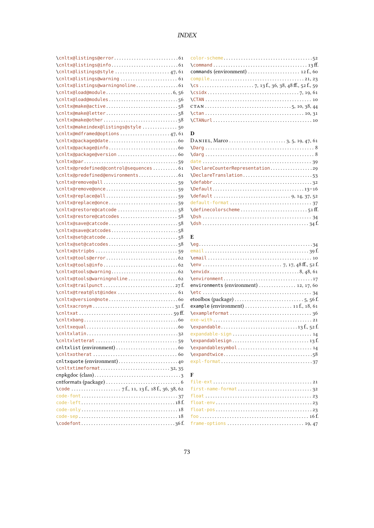| \cnltx@listings@style 47, 61                                                                 |                                                                    |
|----------------------------------------------------------------------------------------------|--------------------------------------------------------------------|
|                                                                                              |                                                                    |
| \cnltx@listings@warningnoline 61                                                             | \cs $\ldots$ $\ldots$ $\ldots$ 7, 13 f., 36, 38, 48 ff., 52 f., 59 |
|                                                                                              |                                                                    |
|                                                                                              |                                                                    |
| \cnltx@make@active58                                                                         |                                                                    |
|                                                                                              |                                                                    |
|                                                                                              |                                                                    |
| \cnltx@makeindex@listings@style  50                                                          |                                                                    |
|                                                                                              | D                                                                  |
| \cnltx@mdframed@options 47, 61                                                               |                                                                    |
|                                                                                              |                                                                    |
|                                                                                              |                                                                    |
|                                                                                              |                                                                    |
|                                                                                              |                                                                    |
| \cnltx@predefined@control@sequences 61                                                       | \DeclareCounterRepresentation29                                    |
| \cnltx@predefined@environments61                                                             | \DeclareTranslation53                                              |
|                                                                                              |                                                                    |
| \cnltx@remove@once59                                                                         |                                                                    |
|                                                                                              |                                                                    |
| \cnltx@replace@once59                                                                        |                                                                    |
| \cnltx@restore@catcode 58                                                                    |                                                                    |
| \cnltx@restore@catcodes58                                                                    |                                                                    |
| \cnltx@save@catcode58                                                                        |                                                                    |
| \cnltx@save@catcodes58                                                                       |                                                                    |
|                                                                                              | E                                                                  |
| \cnltx@set@catcodes58                                                                        |                                                                    |
|                                                                                              |                                                                    |
|                                                                                              |                                                                    |
|                                                                                              |                                                                    |
|                                                                                              |                                                                    |
| \cnltx@tools@warningnoline 62                                                                |                                                                    |
|                                                                                              | environments (environment)  12, 17, 60                             |
| \cnltx@treat@lst@index  61                                                                   |                                                                    |
|                                                                                              |                                                                    |
|                                                                                              | example (environment)  11 f., 18, 61                               |
|                                                                                              |                                                                    |
|                                                                                              |                                                                    |
|                                                                                              |                                                                    |
|                                                                                              | expandable-sign  14                                                |
|                                                                                              |                                                                    |
|                                                                                              | \expandablesymbol14                                                |
|                                                                                              |                                                                    |
|                                                                                              |                                                                    |
| \cnltxtimeformat32,35                                                                        |                                                                    |
|                                                                                              | F                                                                  |
|                                                                                              |                                                                    |
| $\text{Code } \dots \dots \dots \dots \dots \quad 7 \text{f., 11, 13 f., 18 f., 36, 38, 62}$ | $first$ -name-format32                                             |
|                                                                                              |                                                                    |
|                                                                                              |                                                                    |
|                                                                                              |                                                                    |
|                                                                                              |                                                                    |
|                                                                                              |                                                                    |

| commands (environment) $\dots\dots\dots\dots\dots\dots\dots$ 12 f., 60 |
|------------------------------------------------------------------------|
|                                                                        |
|                                                                        |
|                                                                        |
|                                                                        |
|                                                                        |
|                                                                        |
|                                                                        |

| \DeclareCounterRepresentation29 |
|---------------------------------|
| \DeclareTranslation53           |
|                                 |
|                                 |
|                                 |
|                                 |
|                                 |
|                                 |
|                                 |

| environments (environment) $\ldots$ 12, 17, 60                            |  |
|---------------------------------------------------------------------------|--|
|                                                                           |  |
| etoolbox (package) $\dots\dots\dots\dots\dots\dots\dots\dots\dots\dots$   |  |
| example (environment) $\dots\dots\dots\dots\dots\dots\dots$ 11 f., 18, 61 |  |
|                                                                           |  |
|                                                                           |  |
|                                                                           |  |
| expandable-sign  14                                                       |  |
|                                                                           |  |
| \expandablesymbol14                                                       |  |
|                                                                           |  |
|                                                                           |  |
|                                                                           |  |
| F                                                                         |  |
|                                                                           |  |
| $first$ -name-format32                                                    |  |
|                                                                           |  |
|                                                                           |  |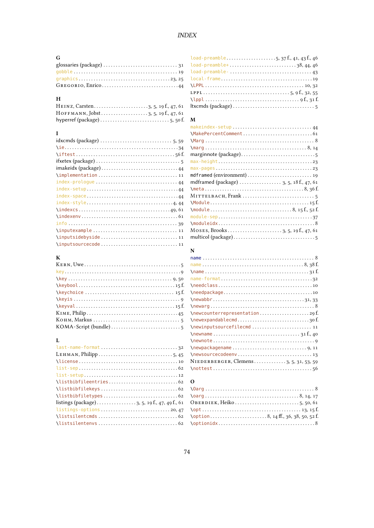# $INDEX$

## ${\bf G}$

| $GREGORIO, Enrico. \ldots \ldots \ldots \ldots \ldots \ldots \ldots \ldots \ldots 44$ |
|---------------------------------------------------------------------------------------|

#### $\mathbf H$

#### $\mathbf{I}$

| $\{$               |
|--------------------|
|                    |
|                    |
|                    |
| index-prologue  44 |
|                    |
|                    |
|                    |
|                    |
|                    |
|                    |
|                    |
|                    |
|                    |

# $\frac{K}{KE}$

#### $\mathbf{L}$

| $listings-options \ldots \ldots \ldots \ldots \ldots \ldots \ldots \ldots \ldots 20,47$ |
|-----------------------------------------------------------------------------------------|
|                                                                                         |
|                                                                                         |
|                                                                                         |

| $\lambda$ load-preamble5,37f.,41,43f.,46 |  |
|------------------------------------------|--|
| load-preamble+38,44,46                   |  |
| load-preamble-  43                       |  |
|                                          |  |
|                                          |  |
|                                          |  |
|                                          |  |
|                                          |  |

#### $\mathbf{M}$

| makeindex-setup  44                                                                                       |
|-----------------------------------------------------------------------------------------------------------|
|                                                                                                           |
|                                                                                                           |
| $\frac{8}{14}$                                                                                            |
|                                                                                                           |
|                                                                                                           |
| $max-pages \ldots \ldots \ldots \ldots \ldots \ldots \ldots \ldots \ldots \ldots \ldots \ldots \ldots 23$ |
|                                                                                                           |
| mdframed (package) $\ldots \ldots \ldots \ldots \ldots$ 3, 5, 18 f., 47, 61                               |
|                                                                                                           |
|                                                                                                           |
|                                                                                                           |
|                                                                                                           |
|                                                                                                           |
|                                                                                                           |
|                                                                                                           |
|                                                                                                           |

#### $\mathbf N$

| $\{\text{name}\ldots\ldots\ldots\ldots\ldots\ldots\ldots\ldots\}$                                                                                                                                                                                                  |
|--------------------------------------------------------------------------------------------------------------------------------------------------------------------------------------------------------------------------------------------------------------------|
|                                                                                                                                                                                                                                                                    |
|                                                                                                                                                                                                                                                                    |
|                                                                                                                                                                                                                                                                    |
|                                                                                                                                                                                                                                                                    |
|                                                                                                                                                                                                                                                                    |
| \newcounterrepresentation29f                                                                                                                                                                                                                                       |
| $\neq$ $\neq$ $\neq$ $\neq$ $\neq$ $\neq$ $\neq$ $\neq$ $\neq$ $\neq$ $\neq$ $\neq$ $\neq$ $\neq$ $\neq$ $\neq$ $\neq$ $\neq$ $\neq$ $\neq$ $\neq$ $\neq$ $\neq$ $\neq$ $\neq$ $\neq$ $\neq$ $\neq$ $\neq$ $\neq$ $\neq$ $\neq$ $\neq$ $\neq$ $\neq$ $\neq$ $\neq$ |
| \newinputsourcefilecmd  11                                                                                                                                                                                                                                         |
| $\{\n    newname \n     \n     \n     \n     \n     \n    y1 f., 40\n    $                                                                                                                                                                                         |
|                                                                                                                                                                                                                                                                    |
|                                                                                                                                                                                                                                                                    |
|                                                                                                                                                                                                                                                                    |
| NIEDERBERGER, Clemens3, 5, 31, 53, 59                                                                                                                                                                                                                              |
| $\{\n  not test \n   \n   \n   \n   \n   \n  56$                                                                                                                                                                                                                   |

## $\mathbf{o}$

| $\phi$ 14 ff., 36, 38, 50, 52 f. |  |
|----------------------------------|--|
|                                  |  |